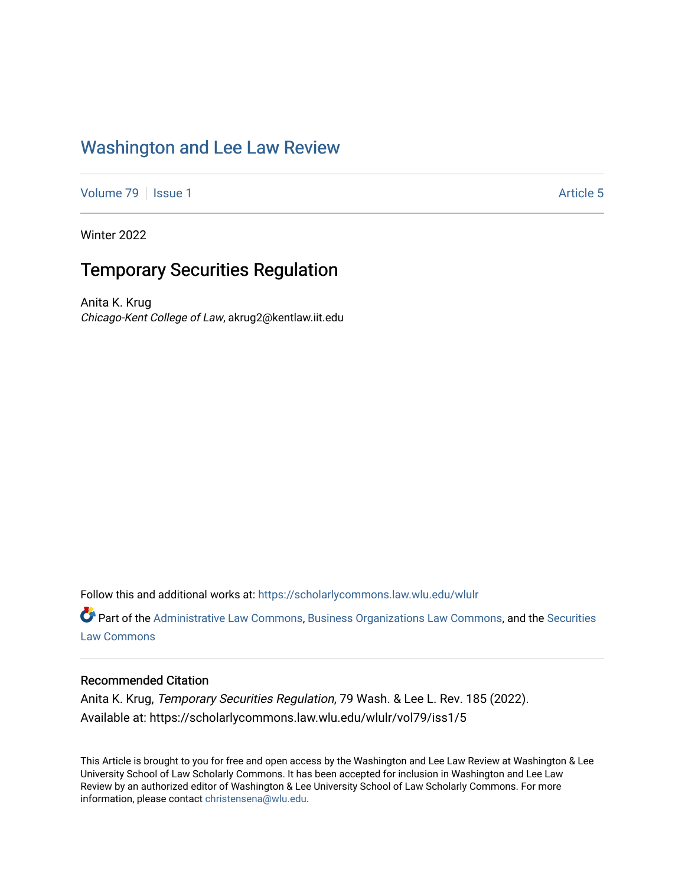# [Washington and Lee Law Review](https://scholarlycommons.law.wlu.edu/wlulr)

[Volume 79](https://scholarlycommons.law.wlu.edu/wlulr/vol79) | [Issue 1](https://scholarlycommons.law.wlu.edu/wlulr/vol79/iss1) Article 5

Winter 2022

# Temporary Securities Regulation

Anita K. Krug Chicago-Kent College of Law, akrug2@kentlaw.iit.edu

Follow this and additional works at: [https://scholarlycommons.law.wlu.edu/wlulr](https://scholarlycommons.law.wlu.edu/wlulr?utm_source=scholarlycommons.law.wlu.edu%2Fwlulr%2Fvol79%2Fiss1%2F5&utm_medium=PDF&utm_campaign=PDFCoverPages) 

*O* Part of the [Administrative Law Commons,](http://network.bepress.com/hgg/discipline/579?utm_source=scholarlycommons.law.wlu.edu%2Fwlulr%2Fvol79%2Fiss1%2F5&utm_medium=PDF&utm_campaign=PDFCoverPages) [Business Organizations Law Commons](http://network.bepress.com/hgg/discipline/900?utm_source=scholarlycommons.law.wlu.edu%2Fwlulr%2Fvol79%2Fiss1%2F5&utm_medium=PDF&utm_campaign=PDFCoverPages), and the [Securities](http://network.bepress.com/hgg/discipline/619?utm_source=scholarlycommons.law.wlu.edu%2Fwlulr%2Fvol79%2Fiss1%2F5&utm_medium=PDF&utm_campaign=PDFCoverPages) [Law Commons](http://network.bepress.com/hgg/discipline/619?utm_source=scholarlycommons.law.wlu.edu%2Fwlulr%2Fvol79%2Fiss1%2F5&utm_medium=PDF&utm_campaign=PDFCoverPages) 

# Recommended Citation

Anita K. Krug, Temporary Securities Regulation, 79 Wash. & Lee L. Rev. 185 (2022). Available at: https://scholarlycommons.law.wlu.edu/wlulr/vol79/iss1/5

This Article is brought to you for free and open access by the Washington and Lee Law Review at Washington & Lee University School of Law Scholarly Commons. It has been accepted for inclusion in Washington and Lee Law Review by an authorized editor of Washington & Lee University School of Law Scholarly Commons. For more information, please contact [christensena@wlu.edu](mailto:christensena@wlu.edu).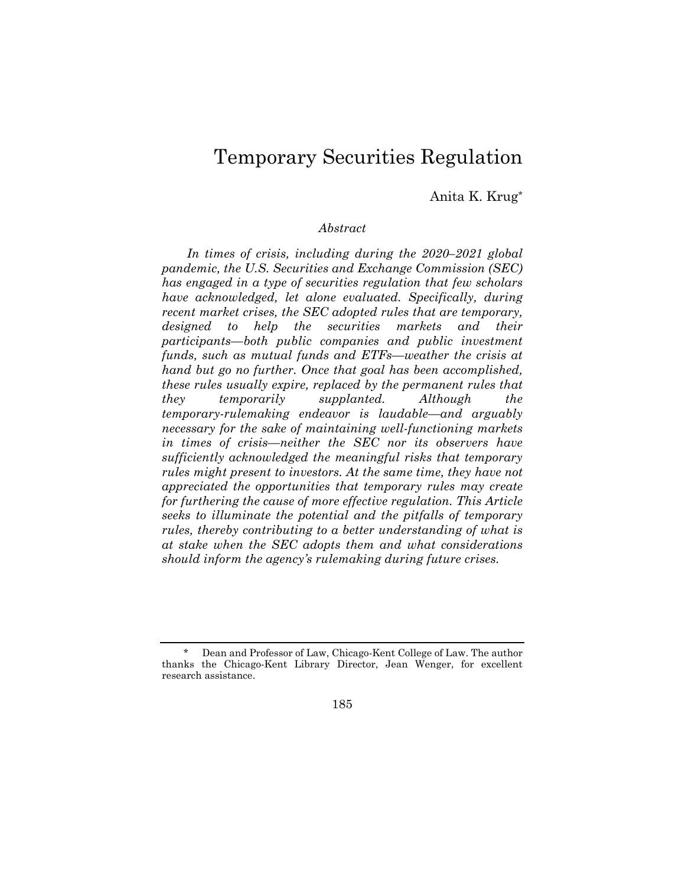# Temporary Securities Regulation

# Anita K. Krug\*

# *Abstract*

*In times of crisis, including during the 2020–2021 global pandemic, the U.S. Securities and Exchange Commission (SEC) has engaged in a type of securities regulation that few scholars have acknowledged, let alone evaluated. Specifically, during recent market crises, the SEC adopted rules that are temporary, designed to help the securities markets and their participants—both public companies and public investment funds, such as mutual funds and ETFs—weather the crisis at hand but go no further. Once that goal has been accomplished, these rules usually expire, replaced by the permanent rules that they temporarily supplanted. Although the temporary-rulemaking endeavor is laudable—and arguably necessary for the sake of maintaining well-functioning markets in times of crisis—neither the SEC nor its observers have sufficiently acknowledged the meaningful risks that temporary rules might present to investors. At the same time, they have not appreciated the opportunities that temporary rules may create for furthering the cause of more effective regulation. This Article seeks to illuminate the potential and the pitfalls of temporary rules, thereby contributing to a better understanding of what is at stake when the SEC adopts them and what considerations should inform the agency's rulemaking during future crises.* 

185

Dean and Professor of Law, Chicago-Kent College of Law. The author thanks the Chicago-Kent Library Director, Jean Wenger, for excellent research assistance.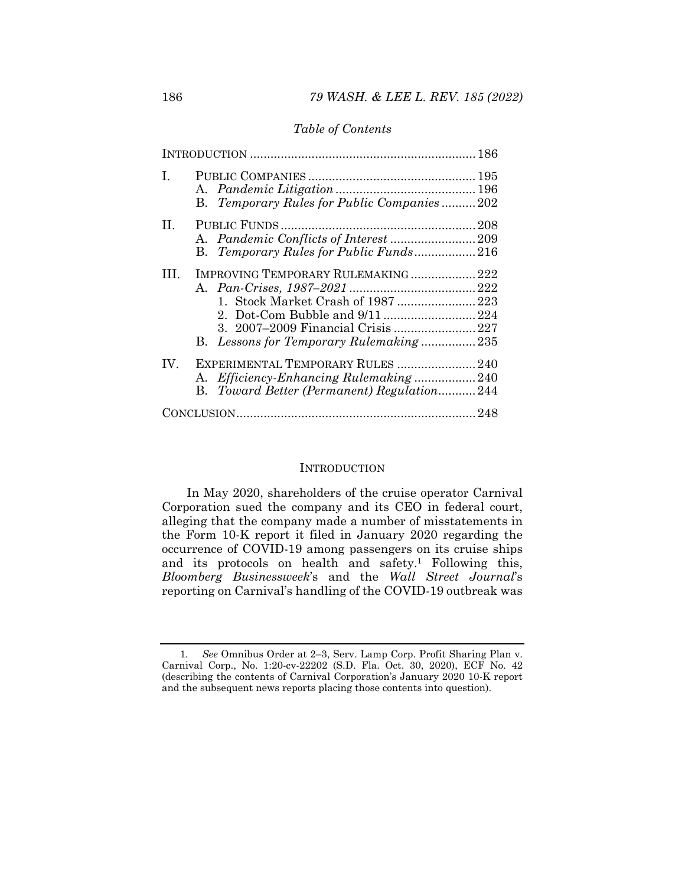# *Table of Contents*

| L.  | B. Temporary Rules for Public Companies202                                                                          |  |
|-----|---------------------------------------------------------------------------------------------------------------------|--|
| П.  | B. Temporary Rules for Public Funds216                                                                              |  |
| Ш.  | IMPROVING TEMPORARY RULEMAKING  222<br>1. Stock Market Crash of 1987  223<br>B. Lessons for Temporary Rulemaking235 |  |
| IV. | EXPERIMENTAL TEMPORARY RULES  240<br>B. Toward Better (Permanent) Regulation244                                     |  |
|     |                                                                                                                     |  |

# **INTRODUCTION**

In May 2020, shareholders of the cruise operator Carnival Corporation sued the company and its CEO in federal court, alleging that the company made a number of misstatements in the Form 10-K report it filed in January 2020 regarding the occurrence of COVID-19 among passengers on its cruise ships and its protocols on health and safety.1 Following this, *Bloomberg Businessweek*'s and the *Wall Street Journal*'s reporting on Carnival's handling of the COVID-19 outbreak was

<sup>1</sup>*. See* Omnibus Order at 2–3, Serv. Lamp Corp. Profit Sharing Plan v. Carnival Corp., No. 1:20-cv-22202 (S.D. Fla. Oct. 30, 2020), ECF No. 42 (describing the contents of Carnival Corporation's January 2020 10-K report and the subsequent news reports placing those contents into question).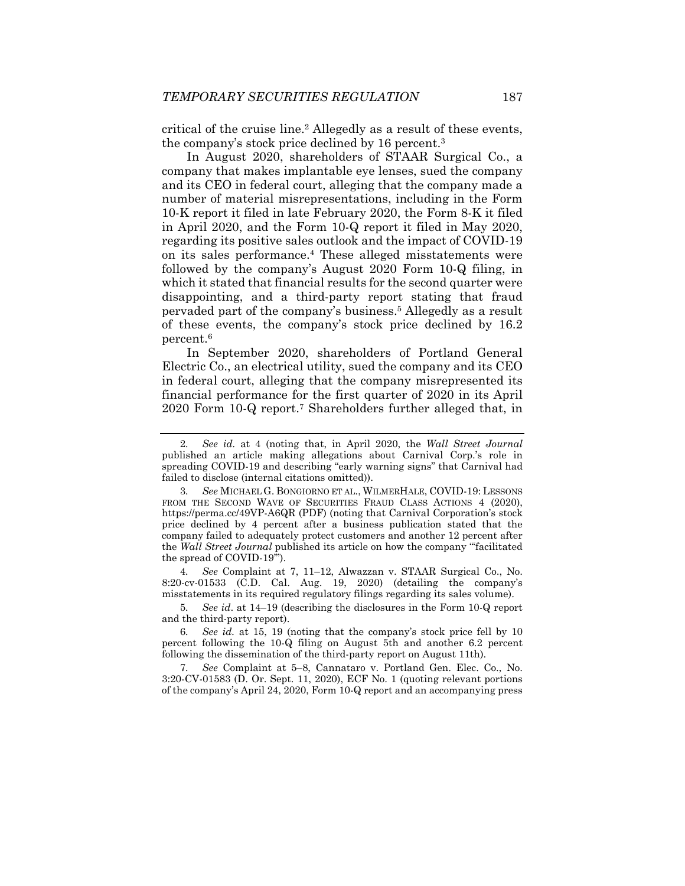critical of the cruise line.2 Allegedly as a result of these events, the company's stock price declined by 16 percent.3

In August 2020, shareholders of STAAR Surgical Co., a company that makes implantable eye lenses, sued the company and its CEO in federal court, alleging that the company made a number of material misrepresentations, including in the Form 10-K report it filed in late February 2020, the Form 8-K it filed in April 2020, and the Form 10-Q report it filed in May 2020, regarding its positive sales outlook and the impact of COVID-19 on its sales performance.4 These alleged misstatements were followed by the company's August 2020 Form 10-Q filing, in which it stated that financial results for the second quarter were disappointing, and a third-party report stating that fraud pervaded part of the company's business.5 Allegedly as a result of these events, the company's stock price declined by 16.2 percent.6

In September 2020, shareholders of Portland General Electric Co., an electrical utility, sued the company and its CEO in federal court, alleging that the company misrepresented its financial performance for the first quarter of 2020 in its April 2020 Form 10-Q report.7 Shareholders further alleged that, in

4*. See* Complaint at 7, 11–12, Alwazzan v. STAAR Surgical Co., No. 8:20-cv-01533 (C.D. Cal. Aug. 19, 2020) (detailing the company's misstatements in its required regulatory filings regarding its sales volume).

5*. See id*. at 14–19 (describing the disclosures in the Form 10-Q report and the third-party report).

7*. See* Complaint at 5–8, Cannataro v. Portland Gen. Elec. Co., No. 3:20-CV-01583 (D. Or. Sept. 11, 2020), ECF No. 1 (quoting relevant portions of the company's April 24, 2020, Form 10-Q report and an accompanying press

<sup>2</sup>*. See id.* at 4 (noting that, in April 2020, the *Wall Street Journal* published an article making allegations about Carnival Corp.'s role in spreading COVID-19 and describing "early warning signs" that Carnival had failed to disclose (internal citations omitted)).

<sup>3</sup>*. See* MICHAEL G. BONGIORNO ET AL., WILMERHALE, COVID-19: LESSONS FROM THE SECOND WAVE OF SECURITIES FRAUD CLASS ACTIONS 4 (2020), https://perma.cc/49VP-A6QR (PDF) (noting that Carnival Corporation's stock price declined by 4 percent after a business publication stated that the company failed to adequately protect customers and another 12 percent after the *Wall Street Journal* published its article on how the company "'facilitated the spread of COVID-19'").

<sup>6</sup>*. See id.* at 15, 19 (noting that the company's stock price fell by 10 percent following the 10-Q filing on August 5th and another 6.2 percent following the dissemination of the third-party report on August 11th).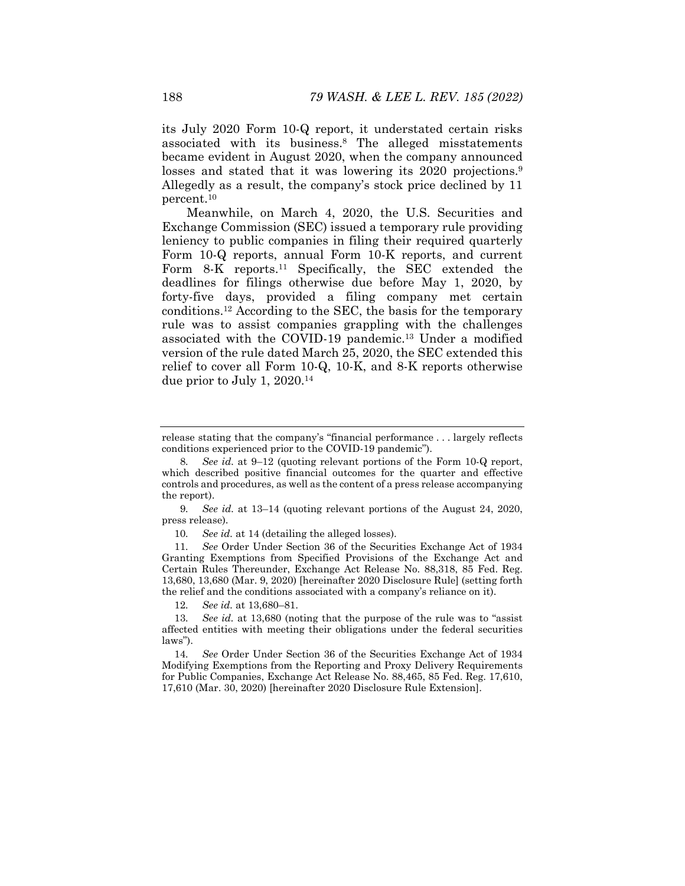its July 2020 Form 10-Q report, it understated certain risks associated with its business.8 The alleged misstatements became evident in August 2020, when the company announced losses and stated that it was lowering its 2020 projections.<sup>9</sup> Allegedly as a result, the company's stock price declined by 11 percent.10

Meanwhile, on March 4, 2020, the U.S. Securities and Exchange Commission (SEC) issued a temporary rule providing leniency to public companies in filing their required quarterly Form 10-Q reports, annual Form 10-K reports, and current Form 8-K reports.<sup>11</sup> Specifically, the SEC extended the deadlines for filings otherwise due before May 1, 2020, by forty-five days, provided a filing company met certain conditions.12 According to the SEC, the basis for the temporary rule was to assist companies grappling with the challenges associated with the COVID-19 pandemic.13 Under a modified version of the rule dated March 25, 2020, the SEC extended this relief to cover all Form 10-Q, 10-K, and 8-K reports otherwise due prior to July 1, 2020.14

9*. See id.* at 13–14 (quoting relevant portions of the August 24, 2020, press release).

10*. See id.* at 14 (detailing the alleged losses).

11*. See* Order Under Section 36 of the Securities Exchange Act of 1934 Granting Exemptions from Specified Provisions of the Exchange Act and Certain Rules Thereunder, Exchange Act Release No. 88,318, 85 Fed. Reg. 13,680, 13,680 (Mar. 9, 2020) [hereinafter 2020 Disclosure Rule] (setting forth the relief and the conditions associated with a company's reliance on it).

12*. See id.* at 13,680–81.

13*. See id.* at 13,680 (noting that the purpose of the rule was to "assist affected entities with meeting their obligations under the federal securities laws").

14*. See* Order Under Section 36 of the Securities Exchange Act of 1934 Modifying Exemptions from the Reporting and Proxy Delivery Requirements for Public Companies, Exchange Act Release No. 88,465, 85 Fed. Reg. 17,610, 17,610 (Mar. 30, 2020) [hereinafter 2020 Disclosure Rule Extension].

release stating that the company's "financial performance . . . largely reflects conditions experienced prior to the COVID-19 pandemic").

<sup>8</sup>*. See id.* at 9–12 (quoting relevant portions of the Form 10-Q report, which described positive financial outcomes for the quarter and effective controls and procedures, as well as the content of a press release accompanying the report).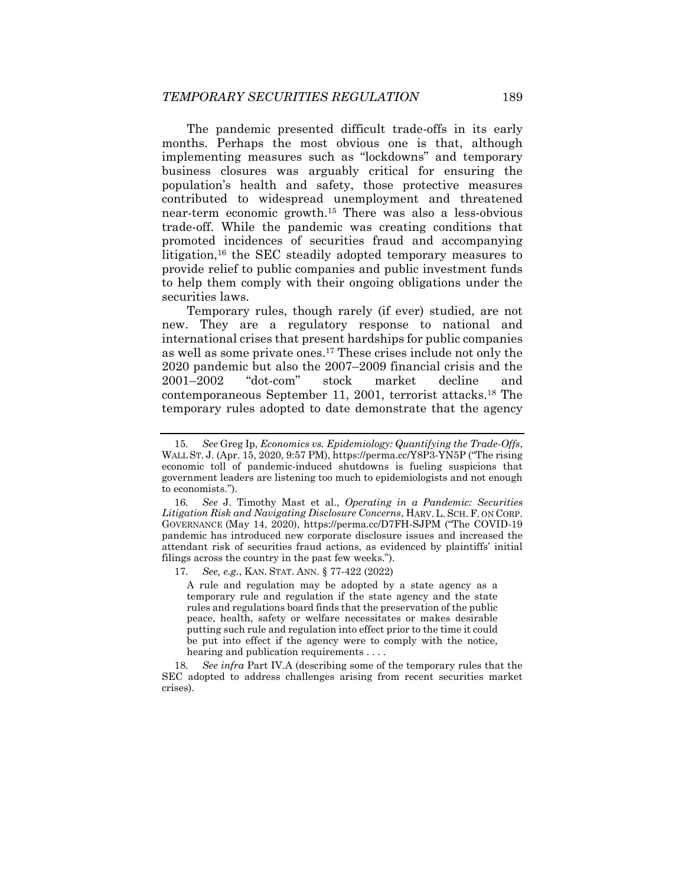The pandemic presented difficult trade-offs in its early months. Perhaps the most obvious one is that, although implementing measures such as "lockdowns" and temporary business closures was arguably critical for ensuring the population's health and safety, those protective measures contributed to widespread unemployment and threatened near-term economic growth.15 There was also a less-obvious trade-off. While the pandemic was creating conditions that promoted incidences of securities fraud and accompanying litigation,<sup>16</sup> the SEC steadily adopted temporary measures to provide relief to public companies and public investment funds to help them comply with their ongoing obligations under the securities laws.

Temporary rules, though rarely (if ever) studied, are not new. They are a regulatory response to national and international crises that present hardships for public companies as well as some private ones.17 These crises include not only the 2020 pandemic but also the 2007–2009 financial crisis and the 2001–2002 "dot-com" stock market decline and contemporaneous September 11, 2001, terrorist attacks.18 The temporary rules adopted to date demonstrate that the agency

17*. See, e.g.*, KAN. STAT. ANN. § 77-422 (2022)

A rule and regulation may be adopted by a state agency as a temporary rule and regulation if the state agency and the state rules and regulations board finds that the preservation of the public peace, health, safety or welfare necessitates or makes desirable putting such rule and regulation into effect prior to the time it could be put into effect if the agency were to comply with the notice, hearing and publication requirements . . . .

18*. See infra* Part IV.A (describing some of the temporary rules that the SEC adopted to address challenges arising from recent securities market crises).

<sup>15</sup>*. See* Greg Ip, *Economics vs. Epidemiology: Quantifying the Trade-Offs*, WALL ST. J. (Apr. 15, 2020, 9:57 PM), https://perma.cc/Y8P3-YN5P ("The rising economic toll of pandemic-induced shutdowns is fueling suspicions that government leaders are listening too much to epidemiologists and not enough to economists.").

<sup>16</sup>*. See* J. Timothy Mast et al., *Operating in a Pandemic: Securities Litigation Risk and Navigating Disclosure Concerns*, HARV. L. SCH. F. ON CORP. GOVERNANCE (May 14, 2020), https://perma.cc/D7FH-SJPM ("The COVID-19 pandemic has introduced new corporate disclosure issues and increased the attendant risk of securities fraud actions, as evidenced by plaintiffs' initial filings across the country in the past few weeks.").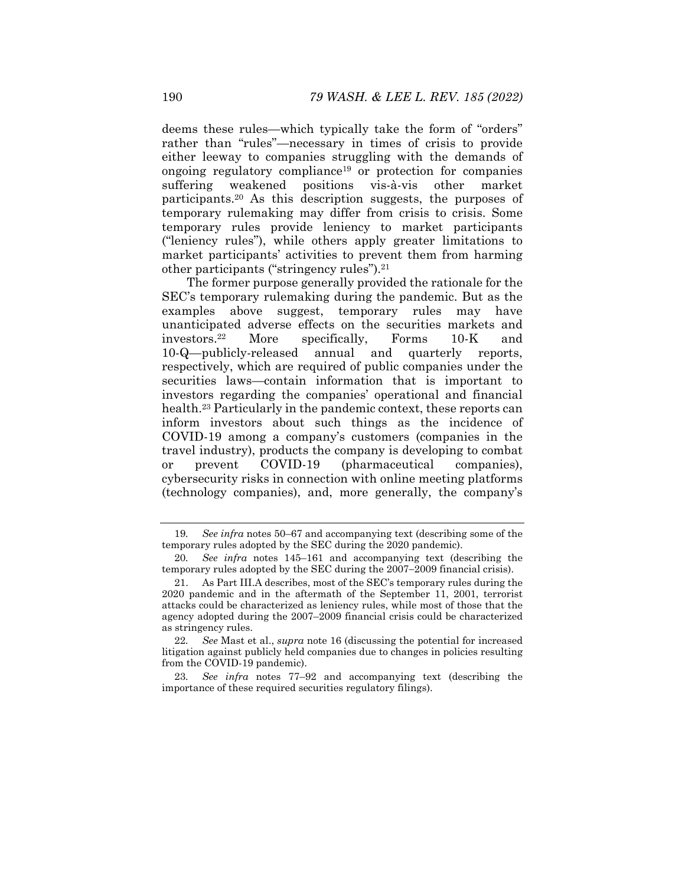deems these rules—which typically take the form of "orders" rather than "rules"—necessary in times of crisis to provide either leeway to companies struggling with the demands of ongoing regulatory compliance19 or protection for companies suffering weakened positions vis-à-vis other market participants.20 As this description suggests, the purposes of temporary rulemaking may differ from crisis to crisis. Some temporary rules provide leniency to market participants ("leniency rules"), while others apply greater limitations to market participants' activities to prevent them from harming other participants ("stringency rules").21

The former purpose generally provided the rationale for the SEC's temporary rulemaking during the pandemic. But as the examples above suggest, temporary rules may have unanticipated adverse effects on the securities markets and investors.22 More specifically, Forms 10-K and 10-Q—publicly-released annual and quarterly reports, respectively, which are required of public companies under the securities laws—contain information that is important to investors regarding the companies' operational and financial health.23 Particularly in the pandemic context, these reports can inform investors about such things as the incidence of COVID-19 among a company's customers (companies in the travel industry), products the company is developing to combat or prevent COVID-19 (pharmaceutical companies), cybersecurity risks in connection with online meeting platforms (technology companies), and, more generally, the company's

<sup>19</sup>*. See infra* notes 50–67 and accompanying text (describing some of the temporary rules adopted by the SEC during the 2020 pandemic).

<sup>20</sup>*. See infra* notes 145–161 and accompanying text (describing the temporary rules adopted by the SEC during the 2007–2009 financial crisis).

 <sup>21.</sup> As Part III.A describes, most of the SEC's temporary rules during the 2020 pandemic and in the aftermath of the September 11, 2001, terrorist attacks could be characterized as leniency rules, while most of those that the agency adopted during the 2007–2009 financial crisis could be characterized as stringency rules.

<sup>22</sup>*. See* Mast et al., *supra* note 16 (discussing the potential for increased litigation against publicly held companies due to changes in policies resulting from the COVID-19 pandemic).

<sup>23</sup>*. See infra* notes 77–92 and accompanying text (describing the importance of these required securities regulatory filings).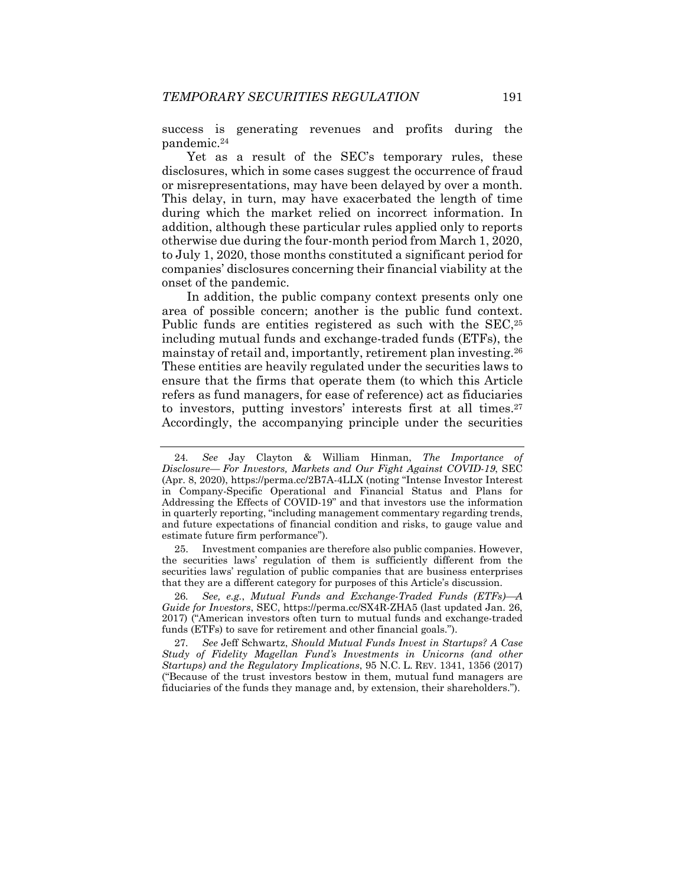success is generating revenues and profits during the pandemic.24

Yet as a result of the SEC's temporary rules, these disclosures, which in some cases suggest the occurrence of fraud or misrepresentations, may have been delayed by over a month. This delay, in turn, may have exacerbated the length of time during which the market relied on incorrect information. In addition, although these particular rules applied only to reports otherwise due during the four-month period from March 1, 2020, to July 1, 2020, those months constituted a significant period for companies' disclosures concerning their financial viability at the onset of the pandemic.

In addition, the public company context presents only one area of possible concern; another is the public fund context. Public funds are entities registered as such with the SEC,<sup>25</sup> including mutual funds and exchange-traded funds (ETFs), the mainstay of retail and, importantly, retirement plan investing.26 These entities are heavily regulated under the securities laws to ensure that the firms that operate them (to which this Article refers as fund managers, for ease of reference) act as fiduciaries to investors, putting investors' interests first at all times.27 Accordingly, the accompanying principle under the securities

 25. Investment companies are therefore also public companies. However, the securities laws' regulation of them is sufficiently different from the securities laws' regulation of public companies that are business enterprises that they are a different category for purposes of this Article's discussion.

26*. See, e.g.*, *Mutual Funds and Exchange-Traded Funds (ETFs)A Guide for Investors*, SEC, https://perma.cc/SX4R-ZHA5 (last updated Jan. 26, 2017) ("American investors often turn to mutual funds and exchange-traded funds (ETFs) to save for retirement and other financial goals.").

27*. See* Jeff Schwartz, *Should Mutual Funds Invest in Startups? A Case Study of Fidelity Magellan Fund's Investments in Unicorns (and other Startups) and the Regulatory Implications*, 95 N.C. L. REV. 1341, 1356 (2017) ("Because of the trust investors bestow in them, mutual fund managers are fiduciaries of the funds they manage and, by extension, their shareholders.").

<sup>24</sup>*. See* Jay Clayton & William Hinman, *The Importance of Disclosure— For Investors, Markets and Our Fight Against COVID-19*, SEC (Apr. 8, 2020), https://perma.cc/2B7A-4LLX (noting "Intense Investor Interest in Company-Specific Operational and Financial Status and Plans for Addressing the Effects of COVID-19" and that investors use the information in quarterly reporting, "including management commentary regarding trends, and future expectations of financial condition and risks, to gauge value and estimate future firm performance").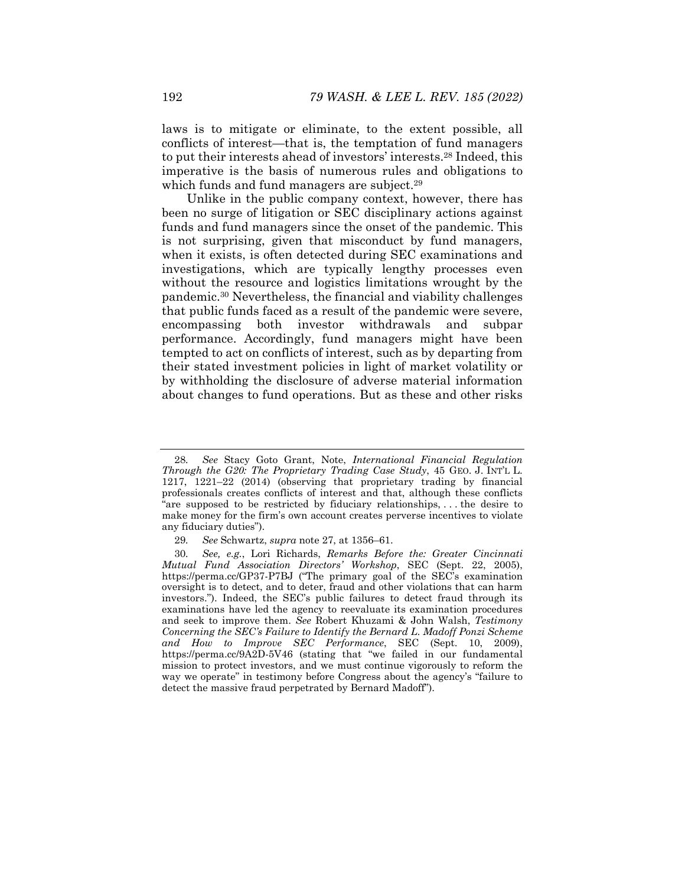laws is to mitigate or eliminate, to the extent possible, all conflicts of interest—that is, the temptation of fund managers to put their interests ahead of investors' interests.28 Indeed, this imperative is the basis of numerous rules and obligations to which funds and fund managers are subject.<sup>29</sup>

Unlike in the public company context, however, there has been no surge of litigation or SEC disciplinary actions against funds and fund managers since the onset of the pandemic. This is not surprising, given that misconduct by fund managers, when it exists, is often detected during SEC examinations and investigations, which are typically lengthy processes even without the resource and logistics limitations wrought by the pandemic.30 Nevertheless, the financial and viability challenges that public funds faced as a result of the pandemic were severe, encompassing both investor withdrawals and subpar performance. Accordingly, fund managers might have been tempted to act on conflicts of interest, such as by departing from their stated investment policies in light of market volatility or by withholding the disclosure of adverse material information about changes to fund operations. But as these and other risks

<sup>28</sup>*. See* Stacy Goto Grant, Note, *International Financial Regulation Through the G20: The Proprietary Trading Case Study*, 45 GEO. J. INT'L L. 1217, 1221–22 (2014) (observing that proprietary trading by financial professionals creates conflicts of interest and that, although these conflicts "are supposed to be restricted by fiduciary relationships, . . . the desire to make money for the firm's own account creates perverse incentives to violate any fiduciary duties").

<sup>29</sup>*. See* Schwartz, *supra* note 27, at 1356–61.

<sup>30</sup>*. See, e.g.*, Lori Richards, *Remarks Before the: Greater Cincinnati Mutual Fund Association Directors' Workshop*, SEC (Sept. 22, 2005), https://perma.cc/GP37-P7BJ ("The primary goal of the SEC's examination oversight is to detect, and to deter, fraud and other violations that can harm investors."). Indeed, the SEC's public failures to detect fraud through its examinations have led the agency to reevaluate its examination procedures and seek to improve them. *See* Robert Khuzami & John Walsh, *Testimony Concerning the SEC's Failure to Identify the Bernard L. Madoff Ponzi Scheme and How to Improve SEC Performance*, SEC (Sept. 10, 2009), https://perma.cc/9A2D-5V46 (stating that "we failed in our fundamental mission to protect investors, and we must continue vigorously to reform the way we operate" in testimony before Congress about the agency's "failure to detect the massive fraud perpetrated by Bernard Madoff").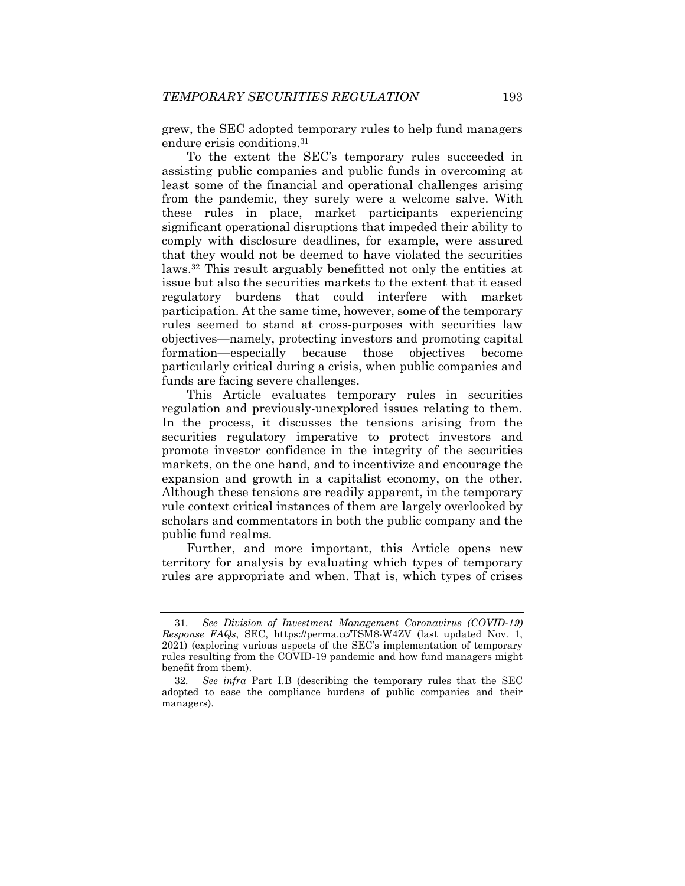grew, the SEC adopted temporary rules to help fund managers endure crisis conditions.<sup>31</sup>

To the extent the SEC's temporary rules succeeded in assisting public companies and public funds in overcoming at least some of the financial and operational challenges arising from the pandemic, they surely were a welcome salve. With these rules in place, market participants experiencing significant operational disruptions that impeded their ability to comply with disclosure deadlines, for example, were assured that they would not be deemed to have violated the securities laws.32 This result arguably benefitted not only the entities at issue but also the securities markets to the extent that it eased regulatory burdens that could interfere with market participation. At the same time, however, some of the temporary rules seemed to stand at cross-purposes with securities law objectives—namely, protecting investors and promoting capital formation—especially because those objectives become particularly critical during a crisis, when public companies and funds are facing severe challenges.

This Article evaluates temporary rules in securities regulation and previously-unexplored issues relating to them. In the process, it discusses the tensions arising from the securities regulatory imperative to protect investors and promote investor confidence in the integrity of the securities markets, on the one hand, and to incentivize and encourage the expansion and growth in a capitalist economy, on the other. Although these tensions are readily apparent, in the temporary rule context critical instances of them are largely overlooked by scholars and commentators in both the public company and the public fund realms.

Further, and more important, this Article opens new territory for analysis by evaluating which types of temporary rules are appropriate and when. That is, which types of crises

<sup>31</sup>*. See Division of Investment Management Coronavirus (COVID-19) Response FAQs*, SEC, https://perma.cc/TSM8-W4ZV (last updated Nov. 1, 2021) (exploring various aspects of the SEC's implementation of temporary rules resulting from the COVID-19 pandemic and how fund managers might benefit from them).

<sup>32</sup>*. See infra* Part I.B (describing the temporary rules that the SEC adopted to ease the compliance burdens of public companies and their managers).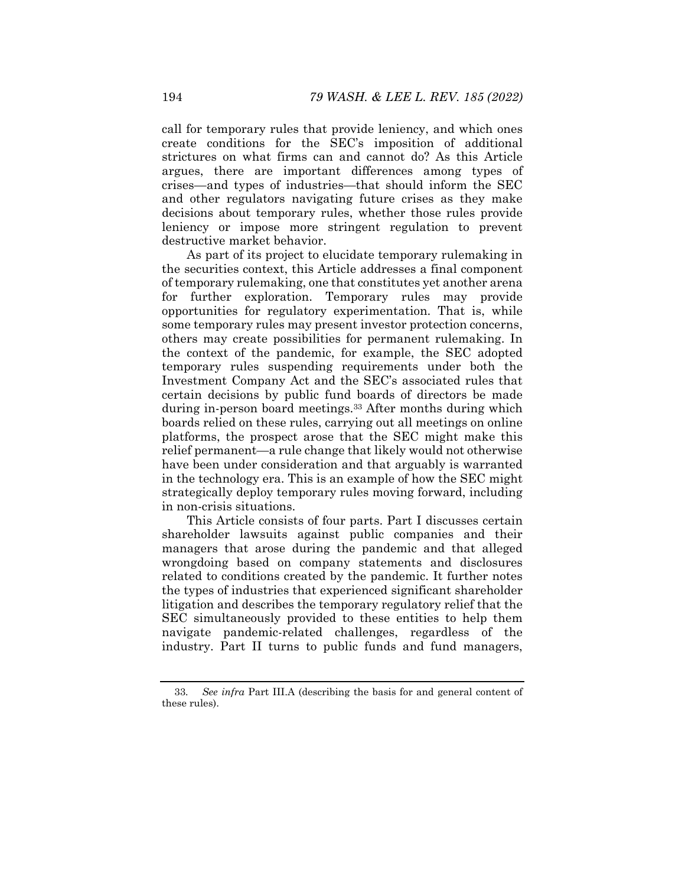call for temporary rules that provide leniency, and which ones create conditions for the SEC's imposition of additional strictures on what firms can and cannot do? As this Article argues, there are important differences among types of crises—and types of industries—that should inform the SEC and other regulators navigating future crises as they make decisions about temporary rules, whether those rules provide leniency or impose more stringent regulation to prevent destructive market behavior.

As part of its project to elucidate temporary rulemaking in the securities context, this Article addresses a final component of temporary rulemaking, one that constitutes yet another arena for further exploration. Temporary rules may provide opportunities for regulatory experimentation. That is, while some temporary rules may present investor protection concerns, others may create possibilities for permanent rulemaking. In the context of the pandemic, for example, the SEC adopted temporary rules suspending requirements under both the Investment Company Act and the SEC's associated rules that certain decisions by public fund boards of directors be made during in-person board meetings.<sup>33</sup> After months during which boards relied on these rules, carrying out all meetings on online platforms, the prospect arose that the SEC might make this relief permanent—a rule change that likely would not otherwise have been under consideration and that arguably is warranted in the technology era. This is an example of how the SEC might strategically deploy temporary rules moving forward, including in non-crisis situations.

This Article consists of four parts. Part I discusses certain shareholder lawsuits against public companies and their managers that arose during the pandemic and that alleged wrongdoing based on company statements and disclosures related to conditions created by the pandemic. It further notes the types of industries that experienced significant shareholder litigation and describes the temporary regulatory relief that the SEC simultaneously provided to these entities to help them navigate pandemic-related challenges, regardless of the industry. Part II turns to public funds and fund managers,

<sup>33</sup>*. See infra* Part III.A (describing the basis for and general content of these rules).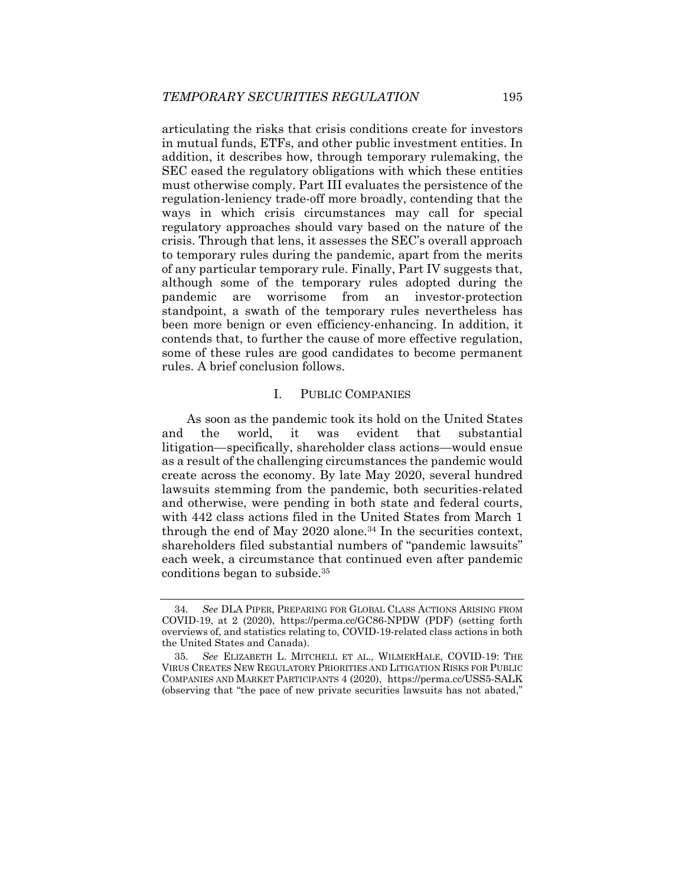articulating the risks that crisis conditions create for investors in mutual funds, ETFs, and other public investment entities. In addition, it describes how, through temporary rulemaking, the SEC eased the regulatory obligations with which these entities must otherwise comply. Part III evaluates the persistence of the regulation-leniency trade-off more broadly, contending that the ways in which crisis circumstances may call for special regulatory approaches should vary based on the nature of the crisis. Through that lens, it assesses the SEC's overall approach to temporary rules during the pandemic, apart from the merits of any particular temporary rule. Finally, Part IV suggests that, although some of the temporary rules adopted during the pandemic are worrisome from an investor-protection standpoint, a swath of the temporary rules nevertheless has been more benign or even efficiency-enhancing. In addition, it contends that, to further the cause of more effective regulation, some of these rules are good candidates to become permanent rules. A brief conclusion follows.

# I. PUBLIC COMPANIES

As soon as the pandemic took its hold on the United States and the world, it was evident that substantial litigation—specifically, shareholder class actions—would ensue as a result of the challenging circumstances the pandemic would create across the economy. By late May 2020, several hundred lawsuits stemming from the pandemic, both securities-related and otherwise, were pending in both state and federal courts, with 442 class actions filed in the United States from March 1 through the end of May 2020 alone.<sup>34</sup> In the securities context, shareholders filed substantial numbers of "pandemic lawsuits" each week, a circumstance that continued even after pandemic conditions began to subside.35

<sup>34</sup>*. See* DLA PIPER, PREPARING FOR GLOBAL CLASS ACTIONS ARISING FROM COVID-19, at 2 (2020), https://perma.cc/GC86-NPDW (PDF) (setting forth overviews of, and statistics relating to, COVID-19-related class actions in both the United States and Canada).

<sup>35</sup>*. See* ELIZABETH L. MITCHELL ET AL., WILMERHALE, COVID-19: THE VIRUS CREATES NEW REGULATORY PRIORITIES AND LITIGATION RISKS FOR PUBLIC COMPANIES AND MARKET PARTICIPANTS 4 (2020), https://perma.cc/USS5-SALK (observing that "the pace of new private securities lawsuits has not abated,"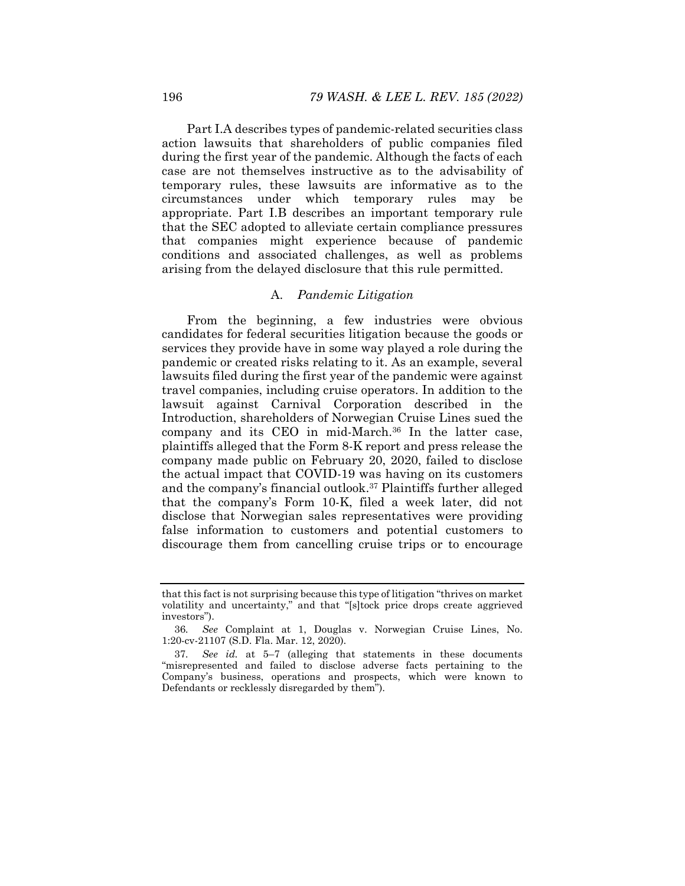Part I.A describes types of pandemic-related securities class action lawsuits that shareholders of public companies filed during the first year of the pandemic. Although the facts of each case are not themselves instructive as to the advisability of temporary rules, these lawsuits are informative as to the circumstances under which temporary rules may be appropriate. Part I.B describes an important temporary rule that the SEC adopted to alleviate certain compliance pressures that companies might experience because of pandemic conditions and associated challenges, as well as problems arising from the delayed disclosure that this rule permitted.

# A. *Pandemic Litigation*

From the beginning, a few industries were obvious candidates for federal securities litigation because the goods or services they provide have in some way played a role during the pandemic or created risks relating to it. As an example, several lawsuits filed during the first year of the pandemic were against travel companies, including cruise operators. In addition to the lawsuit against Carnival Corporation described in the Introduction, shareholders of Norwegian Cruise Lines sued the company and its CEO in mid-March.36 In the latter case, plaintiffs alleged that the Form 8-K report and press release the company made public on February 20, 2020, failed to disclose the actual impact that COVID-19 was having on its customers and the company's financial outlook.37 Plaintiffs further alleged that the company's Form 10-K, filed a week later, did not disclose that Norwegian sales representatives were providing false information to customers and potential customers to discourage them from cancelling cruise trips or to encourage

that this fact is not surprising because this type of litigation "thrives on market volatility and uncertainty," and that "[s]tock price drops create aggrieved investors").

<sup>36</sup>*. See* Complaint at 1, Douglas v. Norwegian Cruise Lines, No. 1:20-cv-21107 (S.D. Fla. Mar. 12, 2020).

<sup>37</sup>*. See id.* at 5–7 (alleging that statements in these documents "misrepresented and failed to disclose adverse facts pertaining to the Company's business, operations and prospects, which were known to Defendants or recklessly disregarded by them").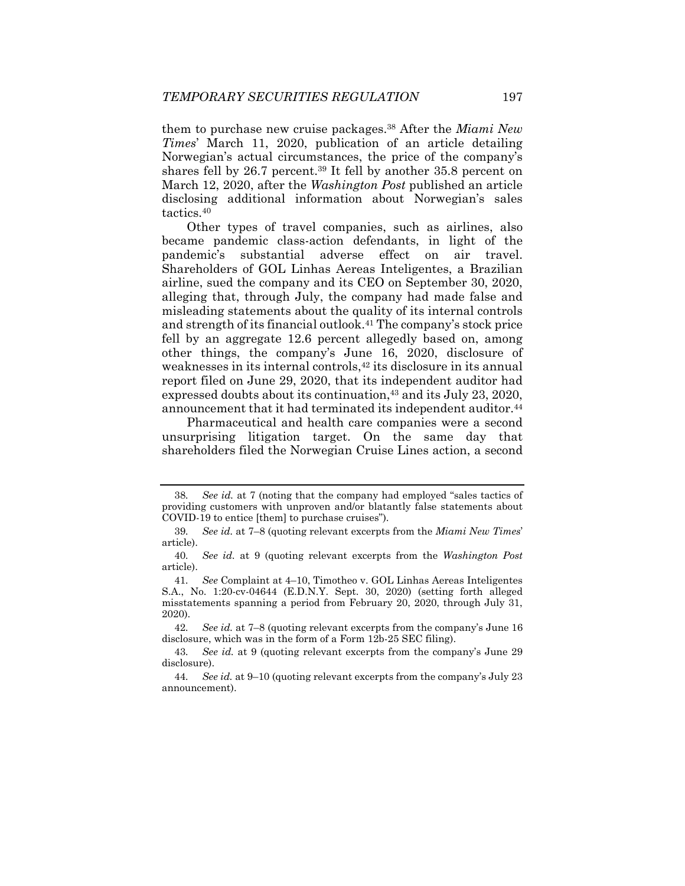them to purchase new cruise packages.38 After the *Miami New Times*' March 11, 2020, publication of an article detailing Norwegian's actual circumstances, the price of the company's shares fell by 26.7 percent.39 It fell by another 35.8 percent on March 12, 2020, after the *Washington Post* published an article disclosing additional information about Norwegian's sales tactics.40

Other types of travel companies, such as airlines, also became pandemic class-action defendants, in light of the pandemic's substantial adverse effect on air travel. Shareholders of GOL Linhas Aereas Inteligentes, a Brazilian airline, sued the company and its CEO on September 30, 2020, alleging that, through July, the company had made false and misleading statements about the quality of its internal controls and strength of its financial outlook.41 The company's stock price fell by an aggregate 12.6 percent allegedly based on, among other things, the company's June 16, 2020, disclosure of weaknesses in its internal controls,<sup>42</sup> its disclosure in its annual report filed on June 29, 2020, that its independent auditor had expressed doubts about its continuation,  $43$  and its July 23, 2020, announcement that it had terminated its independent auditor.<sup>44</sup>

Pharmaceutical and health care companies were a second unsurprising litigation target. On the same day that shareholders filed the Norwegian Cruise Lines action, a second

42*. See id.* at 7–8 (quoting relevant excerpts from the company's June 16 disclosure, which was in the form of a Form 12b-25 SEC filing).

See id. at 7 (noting that the company had employed "sales tactics of providing customers with unproven and/or blatantly false statements about COVID-19 to entice [them] to purchase cruises").

<sup>39</sup>*. See id.* at 7–8 (quoting relevant excerpts from the *Miami New Times*' article).

<sup>40</sup>*. See id.* at 9 (quoting relevant excerpts from the *Washington Post* article).

<sup>41</sup>*. See* Complaint at 4–10, Timotheo v. GOL Linhas Aereas Inteligentes S.A., No. 1:20-cv-04644 (E.D.N.Y. Sept. 30, 2020) (setting forth alleged misstatements spanning a period from February 20, 2020, through July 31, 2020).

<sup>43</sup>*. See id.* at 9 (quoting relevant excerpts from the company's June 29 disclosure).

<sup>44</sup>*. See id.* at 9–10 (quoting relevant excerpts from the company's July 23 announcement).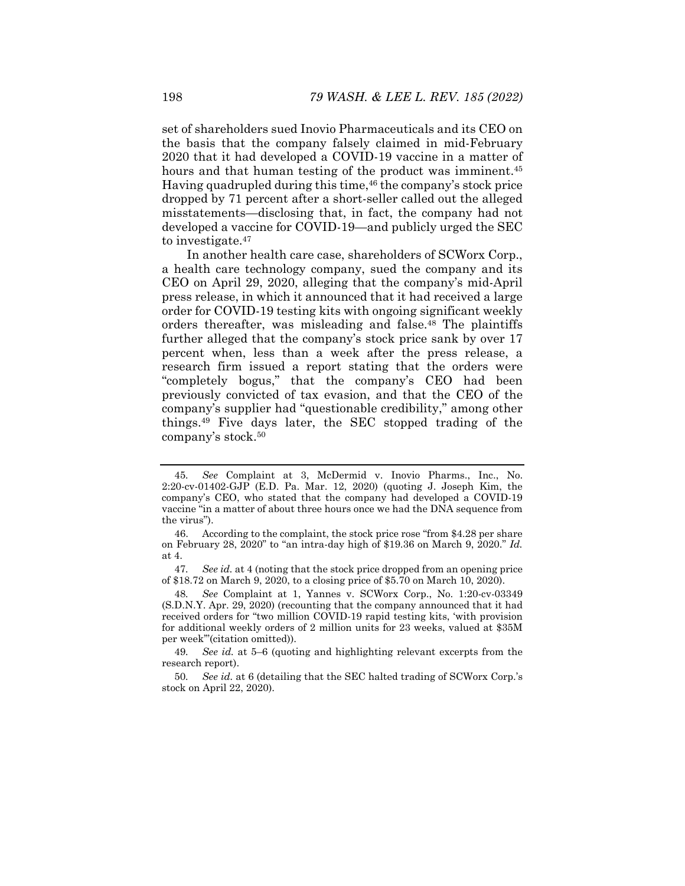set of shareholders sued Inovio Pharmaceuticals and its CEO on the basis that the company falsely claimed in mid-February 2020 that it had developed a COVID-19 vaccine in a matter of hours and that human testing of the product was imminent.<sup>45</sup> Having quadrupled during this time,<sup>46</sup> the company's stock price dropped by 71 percent after a short-seller called out the alleged misstatements—disclosing that, in fact, the company had not developed a vaccine for COVID-19—and publicly urged the SEC to investigate.47

In another health care case, shareholders of SCWorx Corp., a health care technology company, sued the company and its CEO on April 29, 2020, alleging that the company's mid-April press release, in which it announced that it had received a large order for COVID-19 testing kits with ongoing significant weekly orders thereafter, was misleading and false.<sup>48</sup> The plaintiffs further alleged that the company's stock price sank by over 17 percent when, less than a week after the press release, a research firm issued a report stating that the orders were "completely bogus," that the company's CEO had been previously convicted of tax evasion, and that the CEO of the company's supplier had "questionable credibility," among other things.49 Five days later, the SEC stopped trading of the company's stock.50

47*. See id.* at 4 (noting that the stock price dropped from an opening price of \$18.72 on March 9, 2020, to a closing price of \$5.70 on March 10, 2020).

48*. See* Complaint at 1, Yannes v. SCWorx Corp., No. 1:20-cv-03349 (S.D.N.Y. Apr. 29, 2020) (recounting that the company announced that it had received orders for "two million COVID-19 rapid testing kits, 'with provision for additional weekly orders of 2 million units for 23 weeks, valued at \$35M per week'"(citation omitted)).

49*. See id.* at 5–6 (quoting and highlighting relevant excerpts from the research report).

50*. See id.* at 6 (detailing that the SEC halted trading of SCWorx Corp.'s stock on April 22, 2020).

<sup>45</sup>*. See* Complaint at 3, McDermid v. Inovio Pharms., Inc., No. 2:20-cv-01402-GJP (E.D. Pa. Mar. 12, 2020) (quoting J. Joseph Kim, the company's CEO, who stated that the company had developed a COVID-19 vaccine "in a matter of about three hours once we had the DNA sequence from the virus").

 <sup>46.</sup> According to the complaint, the stock price rose "from \$4.28 per share on February 28, 2020" to "an intra-day high of \$19.36 on March 9, 2020." *Id.* at 4.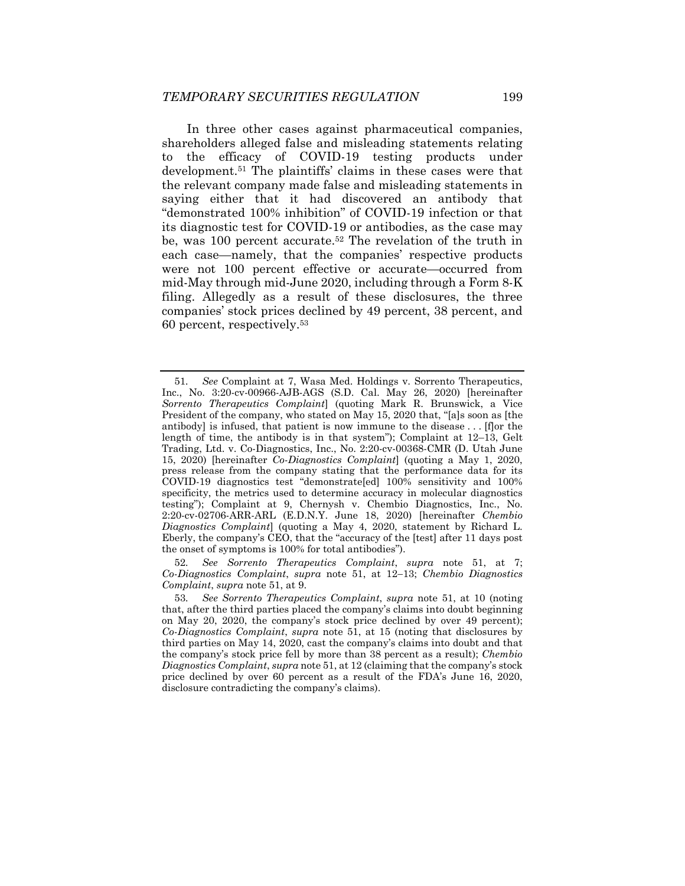In three other cases against pharmaceutical companies, shareholders alleged false and misleading statements relating to the efficacy of COVID-19 testing products under development.51 The plaintiffs' claims in these cases were that the relevant company made false and misleading statements in saying either that it had discovered an antibody that "demonstrated 100% inhibition" of COVID-19 infection or that its diagnostic test for COVID-19 or antibodies, as the case may be, was 100 percent accurate.<sup>52</sup> The revelation of the truth in each case—namely, that the companies' respective products were not 100 percent effective or accurate—occurred from mid-May through mid-June 2020, including through a Form 8-K filing. Allegedly as a result of these disclosures, the three companies' stock prices declined by 49 percent, 38 percent, and 60 percent, respectively.53

52*. See Sorrento Therapeutics Complaint*, *supra* note 51, at 7; *Co-Diagnostics Complaint, supra note 51, at 12-13; Chembio Diagnostics Complaint*, *supra* note 51, at 9.

<sup>51</sup>*. See* Complaint at 7, Wasa Med. Holdings v. Sorrento Therapeutics, Inc., No. 3:20-cv-00966-AJB-AGS (S.D. Cal. May 26, 2020) [hereinafter *Sorrento Therapeutics Complaint*] (quoting Mark R. Brunswick, a Vice President of the company, who stated on May 15, 2020 that, "[a]s soon as [the antibody] is infused, that patient is now immune to the disease . . . [f]or the length of time, the antibody is in that system"); Complaint at 12–13, Gelt Trading, Ltd. v. Co-Diagnostics, Inc., No. 2:20-cv-00368-CMR (D. Utah June 15, 2020) [hereinafter *Co-Diagnostics Complaint*] (quoting a May 1, 2020, press release from the company stating that the performance data for its COVID-19 diagnostics test "demonstrate[ed] 100% sensitivity and 100% specificity, the metrics used to determine accuracy in molecular diagnostics testing"); Complaint at 9, Chernysh v. Chembio Diagnostics, Inc., No. 2:20-cv-02706-ARR-ARL (E.D.N.Y. June 18, 2020) [hereinafter *Chembio Diagnostics Complaint*] (quoting a May 4, 2020, statement by Richard L. Eberly, the company's CEO, that the "accuracy of the [test] after 11 days post the onset of symptoms is 100% for total antibodies").

<sup>53</sup>*. See Sorrento Therapeutics Complaint*, *supra* note 51, at 10 (noting that, after the third parties placed the company's claims into doubt beginning on May 20, 2020, the company's stock price declined by over 49 percent); *Co-Diagnostics Complaint*, *supra* note 51, at 15 (noting that disclosures by third parties on May 14, 2020, cast the company's claims into doubt and that the company's stock price fell by more than 38 percent as a result); *Chembio Diagnostics Complaint*, *supra* note 51, at 12 (claiming that the company's stock price declined by over 60 percent as a result of the FDA's June 16, 2020, disclosure contradicting the company's claims).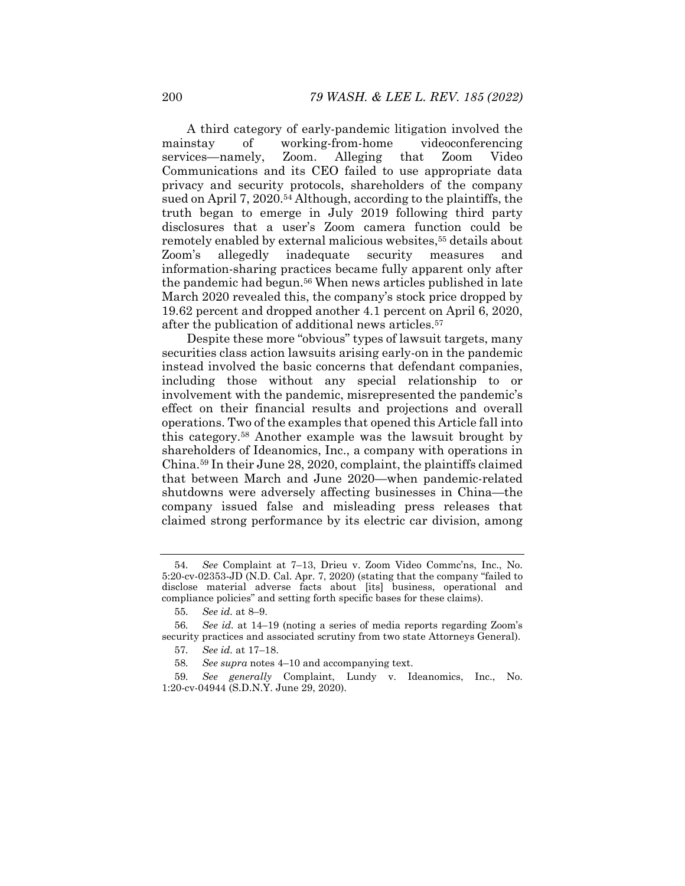A third category of early-pandemic litigation involved the mainstay of working-from-home videoconferencing services—namely, Zoom. Alleging that Zoom Video Communications and its CEO failed to use appropriate data privacy and security protocols, shareholders of the company sued on April 7, 2020.54 Although, according to the plaintiffs, the truth began to emerge in July 2019 following third party disclosures that a user's Zoom camera function could be remotely enabled by external malicious websites,<sup>55</sup> details about Zoom's allegedly inadequate security measures and information-sharing practices became fully apparent only after the pandemic had begun.56 When news articles published in late March 2020 revealed this, the company's stock price dropped by 19.62 percent and dropped another 4.1 percent on April 6, 2020, after the publication of additional news articles.57

Despite these more "obvious" types of lawsuit targets, many securities class action lawsuits arising early-on in the pandemic instead involved the basic concerns that defendant companies, including those without any special relationship to or involvement with the pandemic, misrepresented the pandemic's effect on their financial results and projections and overall operations. Two of the examples that opened this Article fall into this category.58 Another example was the lawsuit brought by shareholders of Ideanomics, Inc., a company with operations in China.59 In their June 28, 2020, complaint, the plaintiffs claimed that between March and June 2020—when pandemic-related shutdowns were adversely affecting businesses in China—the company issued false and misleading press releases that claimed strong performance by its electric car division, among

<sup>54</sup>*. See* Complaint at 7–13, Drieu v. Zoom Video Commc'ns, Inc., No. 5:20-cv-02353-JD (N.D. Cal. Apr. 7, 2020) (stating that the company "failed to disclose material adverse facts about [its] business, operational and compliance policies" and setting forth specific bases for these claims).

<sup>55</sup>*. See id.* at 8–9.

<sup>56</sup>*. See id.* at 14–19 (noting a series of media reports regarding Zoom's security practices and associated scrutiny from two state Attorneys General).

<sup>57</sup>*. See id.* at 17–18.

<sup>58</sup>*. See supra* notes 4–10 and accompanying text.

<sup>59</sup>*. See generally* Complaint, Lundy v. Ideanomics, Inc., No. 1:20-cv-04944 (S.D.N.Y. June 29, 2020).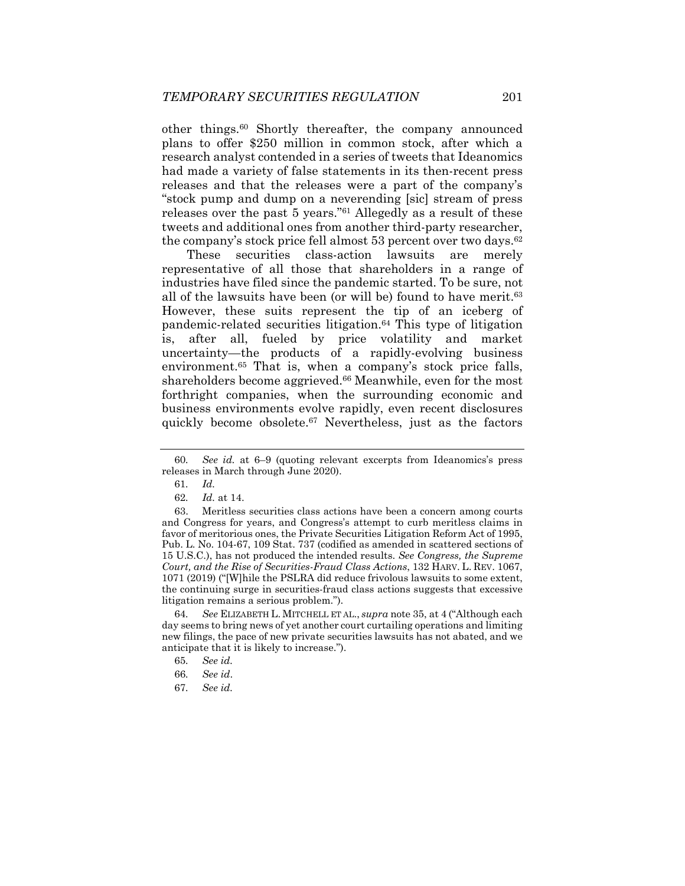other things.60 Shortly thereafter, the company announced plans to offer \$250 million in common stock, after which a research analyst contended in a series of tweets that Ideanomics had made a variety of false statements in its then-recent press releases and that the releases were a part of the company's "stock pump and dump on a neverending [sic] stream of press releases over the past 5 years."61 Allegedly as a result of these tweets and additional ones from another third-party researcher, the company's stock price fell almost 53 percent over two days.<sup>62</sup>

These securities class-action lawsuits are merely representative of all those that shareholders in a range of industries have filed since the pandemic started. To be sure, not all of the lawsuits have been (or will be) found to have merit.<sup>63</sup> However, these suits represent the tip of an iceberg of pandemic-related securities litigation.64 This type of litigation is, after all, fueled by price volatility and market uncertainty—the products of a rapidly-evolving business environment.<sup>65</sup> That is, when a company's stock price falls, shareholders become aggrieved.<sup>66</sup> Meanwhile, even for the most forthright companies, when the surrounding economic and business environments evolve rapidly, even recent disclosures quickly become obsolete.67 Nevertheless, just as the factors

64*. See* ELIZABETH L. MITCHELL ET AL., *supra* note 35, at 4 ("Although each day seems to bring news of yet another court curtailing operations and limiting new filings, the pace of new private securities lawsuits has not abated, and we anticipate that it is likely to increase.").

<sup>60</sup>*. See id.* at 6–9 (quoting relevant excerpts from Ideanomics's press releases in March through June 2020).

<sup>61</sup>*. Id.*

<sup>62</sup>*. Id.* at 14.

 <sup>63.</sup> Meritless securities class actions have been a concern among courts and Congress for years, and Congress's attempt to curb meritless claims in favor of meritorious ones, the Private Securities Litigation Reform Act of 1995, Pub. L. No. 104-67, 109 Stat. 737 (codified as amended in scattered sections of 15 U.S.C.), has not produced the intended results. *See Congress, the Supreme Court, and the Rise of Securities-Fraud Class Actions*, 132 HARV. L. REV. 1067, 1071 (2019) ("[W]hile the PSLRA did reduce frivolous lawsuits to some extent, the continuing surge in securities-fraud class actions suggests that excessive litigation remains a serious problem.").

<sup>65</sup>*. See id.*

<sup>66</sup>*. See id*.

<sup>67</sup>*. See id.*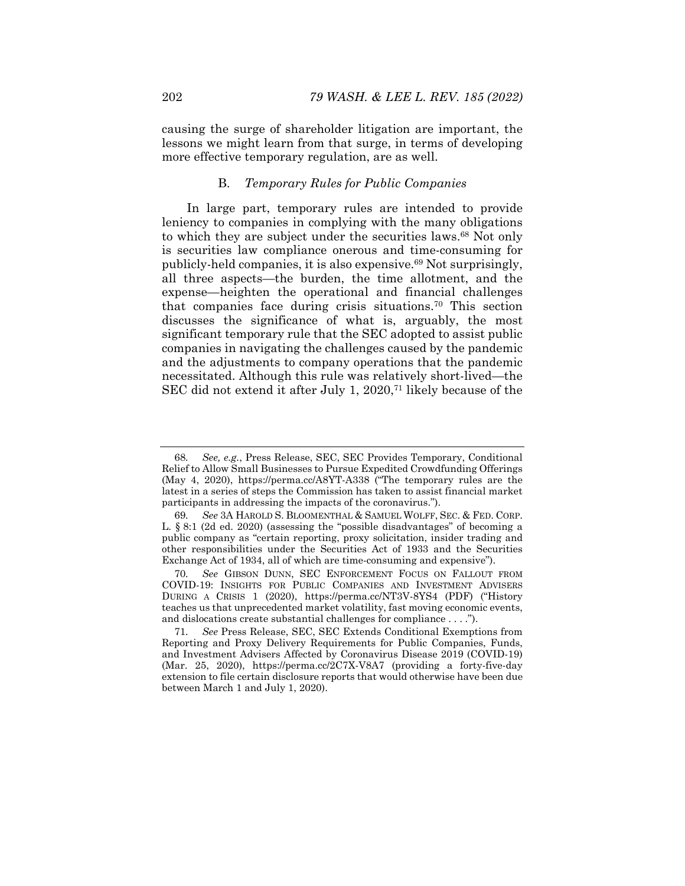causing the surge of shareholder litigation are important, the lessons we might learn from that surge, in terms of developing more effective temporary regulation, are as well.

## B. *Temporary Rules for Public Companies*

In large part, temporary rules are intended to provide leniency to companies in complying with the many obligations to which they are subject under the securities laws.68 Not only is securities law compliance onerous and time-consuming for publicly-held companies, it is also expensive.69 Not surprisingly, all three aspects—the burden, the time allotment, and the expense—heighten the operational and financial challenges that companies face during crisis situations.70 This section discusses the significance of what is, arguably, the most significant temporary rule that the SEC adopted to assist public companies in navigating the challenges caused by the pandemic and the adjustments to company operations that the pandemic necessitated. Although this rule was relatively short-lived—the SEC did not extend it after July 1, 2020,71 likely because of the

<sup>68</sup>*. See, e.g.*, Press Release, SEC, SEC Provides Temporary, Conditional Relief to Allow Small Businesses to Pursue Expedited Crowdfunding Offerings (May 4, 2020), https://perma.cc/A8YT-A338 ("The temporary rules are the latest in a series of steps the Commission has taken to assist financial market participants in addressing the impacts of the coronavirus.").

<sup>69</sup>*. See* 3A HAROLD S. BLOOMENTHAL & SAMUEL WOLFF, SEC. & FED. CORP. L. § 8:1 (2d ed. 2020) (assessing the "possible disadvantages" of becoming a public company as "certain reporting, proxy solicitation, insider trading and other responsibilities under the Securities Act of 1933 and the Securities Exchange Act of 1934, all of which are time-consuming and expensive").

<sup>70</sup>*. See* GIBSON DUNN, SEC ENFORCEMENT FOCUS ON FALLOUT FROM COVID-19: INSIGHTS FOR PUBLIC COMPANIES AND INVESTMENT ADVISERS DURING A CRISIS 1 (2020), https://perma.cc/NT3V-8YS4 (PDF) ("History teaches us that unprecedented market volatility, fast moving economic events, and dislocations create substantial challenges for compliance . . . .").

<sup>71</sup>*. See* Press Release, SEC, SEC Extends Conditional Exemptions from Reporting and Proxy Delivery Requirements for Public Companies, Funds, and Investment Advisers Affected by Coronavirus Disease 2019 (COVID-19) (Mar. 25, 2020), https://perma.cc/2C7X-V8A7 (providing a forty-five-day extension to file certain disclosure reports that would otherwise have been due between March 1 and July 1, 2020).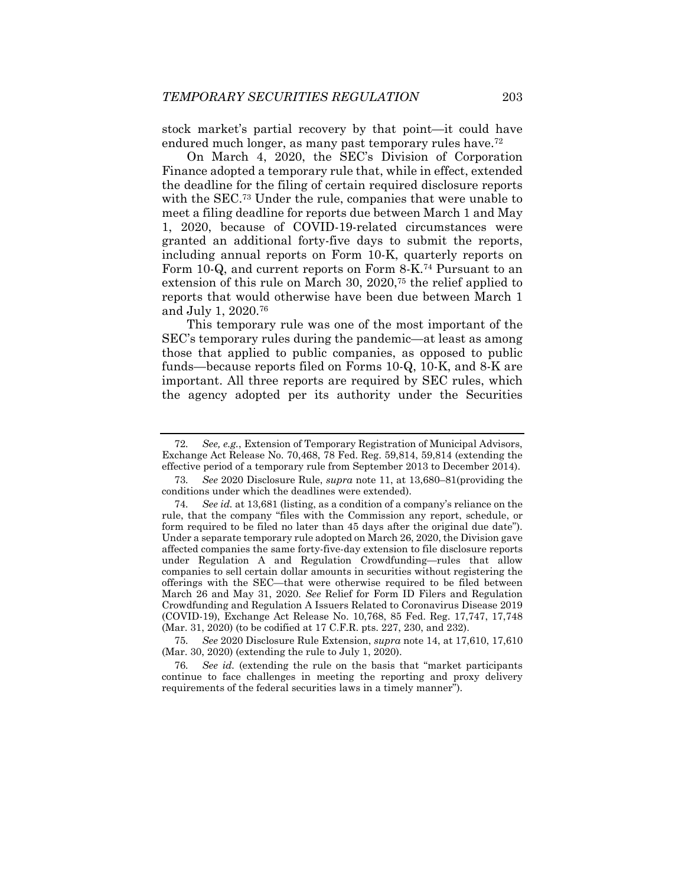stock market's partial recovery by that point—it could have endured much longer, as many past temporary rules have.<sup>72</sup>

On March 4, 2020, the SEC's Division of Corporation Finance adopted a temporary rule that, while in effect, extended the deadline for the filing of certain required disclosure reports with the SEC.73 Under the rule, companies that were unable to meet a filing deadline for reports due between March 1 and May 1, 2020, because of COVID-19-related circumstances were granted an additional forty-five days to submit the reports, including annual reports on Form 10-K, quarterly reports on Form 10-Q, and current reports on Form 8-K.74 Pursuant to an extension of this rule on March 30, 2020,75 the relief applied to reports that would otherwise have been due between March 1 and July 1, 2020.76

This temporary rule was one of the most important of the SEC's temporary rules during the pandemic—at least as among those that applied to public companies, as opposed to public funds—because reports filed on Forms 10-Q, 10-K, and 8-K are important. All three reports are required by SEC rules, which the agency adopted per its authority under the Securities

75*. See* 2020 Disclosure Rule Extension, *supra* note 14, at 17,610, 17,610 (Mar. 30, 2020) (extending the rule to July 1, 2020).

76*. See id.* (extending the rule on the basis that "market participants continue to face challenges in meeting the reporting and proxy delivery requirements of the federal securities laws in a timely manner").

<sup>72</sup>*. See, e.g.*, Extension of Temporary Registration of Municipal Advisors, Exchange Act Release No. 70,468, 78 Fed. Reg. 59,814, 59,814 (extending the effective period of a temporary rule from September 2013 to December 2014).

<sup>73</sup>*. See* 2020 Disclosure Rule, *supra* note 11, at 13,680–81(providing the conditions under which the deadlines were extended).

<sup>74</sup>*. See id.* at 13,681 (listing, as a condition of a company's reliance on the rule, that the company "files with the Commission any report, schedule, or form required to be filed no later than 45 days after the original due date"). Under a separate temporary rule adopted on March 26, 2020, the Division gave affected companies the same forty-five-day extension to file disclosure reports under Regulation A and Regulation Crowdfunding—rules that allow companies to sell certain dollar amounts in securities without registering the offerings with the SEC—that were otherwise required to be filed between March 26 and May 31, 2020. *See* Relief for Form ID Filers and Regulation Crowdfunding and Regulation A Issuers Related to Coronavirus Disease 2019 (COVID-19), Exchange Act Release No. 10,768, 85 Fed. Reg. 17,747, 17,748 (Mar. 31, 2020) (to be codified at 17 C.F.R. pts. 227, 230, and 232).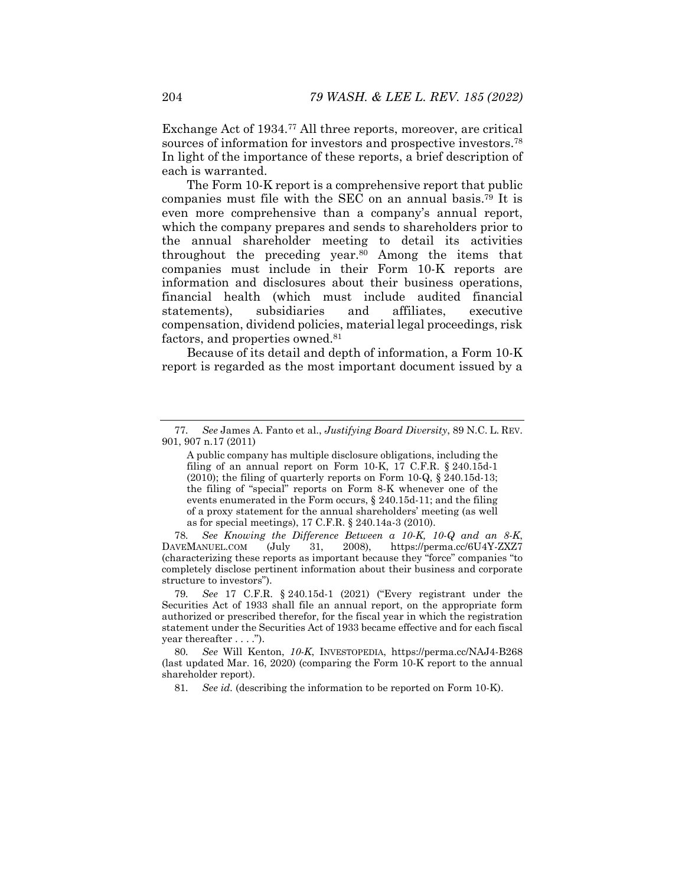Exchange Act of 1934.77 All three reports, moreover, are critical sources of information for investors and prospective investors.78 In light of the importance of these reports, a brief description of each is warranted.

The Form 10-K report is a comprehensive report that public companies must file with the SEC on an annual basis.79 It is even more comprehensive than a company's annual report, which the company prepares and sends to shareholders prior to the annual shareholder meeting to detail its activities throughout the preceding year.80 Among the items that companies must include in their Form 10-K reports are information and disclosures about their business operations, financial health (which must include audited financial statements), subsidiaries and affiliates, executive compensation, dividend policies, material legal proceedings, risk factors, and properties owned.<sup>81</sup>

Because of its detail and depth of information, a Form 10-K report is regarded as the most important document issued by a

78*. See Knowing the Difference Between a 10-K, 10-Q and an 8-K*, DAVEMANUEL.COM (July 31, 2008), https://perma.cc/6U4Y-ZXZ7 (characterizing these reports as important because they "force" companies "to completely disclose pertinent information about their business and corporate structure to investors").

79*. See* 17 C.F.R. § 240.15d-1 (2021) ("Every registrant under the Securities Act of 1933 shall file an annual report, on the appropriate form authorized or prescribed therefor, for the fiscal year in which the registration statement under the Securities Act of 1933 became effective and for each fiscal year thereafter . . . .").

80*. See* Will Kenton, *10-K*, INVESTOPEDIA, https://perma.cc/NAJ4-B268 (last updated Mar. 16, 2020) (comparing the Form 10-K report to the annual shareholder report).

81*. See id.* (describing the information to be reported on Form 10-K).

<sup>77</sup>*. See* James A. Fanto et al., *Justifying Board Diversity*, 89 N.C. L. REV. 901, 907 n.17 (2011)

A public company has multiple disclosure obligations, including the filing of an annual report on Form 10-K, 17 C.F.R. § 240.15d-1 (2010); the filing of quarterly reports on Form 10-Q, § 240.15d-13; the filing of "special" reports on Form 8-K whenever one of the events enumerated in the Form occurs, § 240.15d-11; and the filing of a proxy statement for the annual shareholders' meeting (as well as for special meetings), 17 C.F.R. § 240.14a-3 (2010).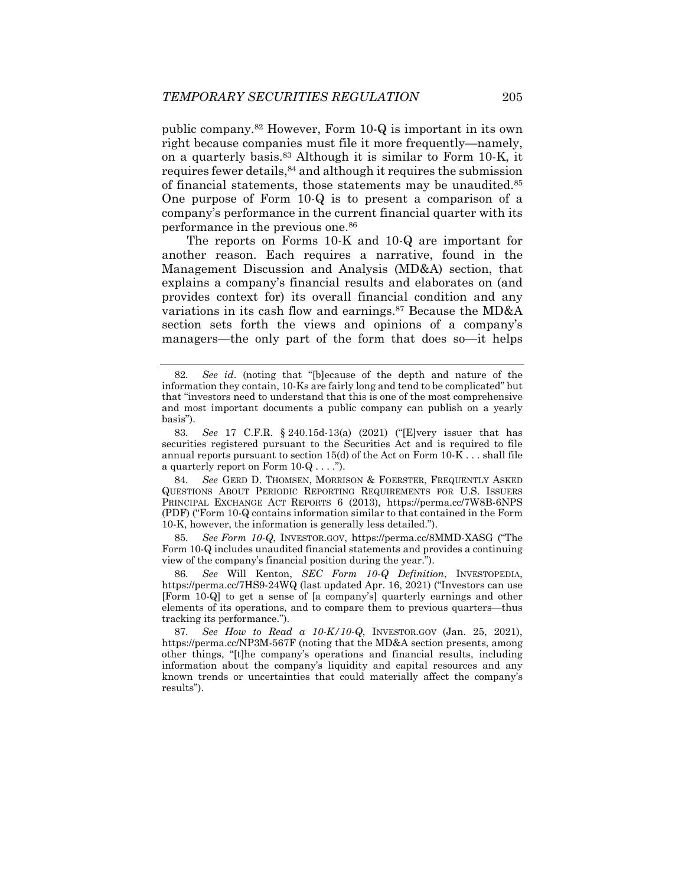public company.82 However, Form 10-Q is important in its own right because companies must file it more frequently—namely, on a quarterly basis.83 Although it is similar to Form 10-K, it requires fewer details,84 and although it requires the submission of financial statements, those statements may be unaudited.<sup>85</sup> One purpose of Form 10-Q is to present a comparison of a company's performance in the current financial quarter with its performance in the previous one.86

The reports on Forms 10-K and 10-Q are important for another reason. Each requires a narrative, found in the Management Discussion and Analysis (MD&A) section, that explains a company's financial results and elaborates on (and provides context for) its overall financial condition and any variations in its cash flow and earnings.<sup>87</sup> Because the MD&A section sets forth the views and opinions of a company's managers—the only part of the form that does so—it helps

84*. See* GERD D. THOMSEN, MORRISON & FOERSTER, FREQUENTLY ASKED QUESTIONS ABOUT PERIODIC REPORTING REQUIREMENTS FOR U.S. ISSUERS PRINCIPAL EXCHANGE ACT REPORTS 6 (2013), https://perma.cc/7W8B-6NPS (PDF) ("Form 10-Q contains information similar to that contained in the Form 10-K, however, the information is generally less detailed.").

85*. See Form 10-Q*, INVESTOR.GOV, https://perma.cc/8MMD-XASG ("The Form 10-Q includes unaudited financial statements and provides a continuing view of the company's financial position during the year.").

86*. See* Will Kenton, *SEC Form 10-Q Definition*, INVESTOPEDIA, https://perma.cc/7HS9-24WQ (last updated Apr. 16, 2021) ("Investors can use [Form 10-Q] to get a sense of [a company's] quarterly earnings and other elements of its operations, and to compare them to previous quarters—thus tracking its performance.").

87*. See How to Read a 10-K/10-Q*, INVESTOR.GOV (Jan. 25, 2021), https://perma.cc/NP3M-567F (noting that the MD&A section presents, among other things, "[t]he company's operations and financial results, including information about the company's liquidity and capital resources and any known trends or uncertainties that could materially affect the company's results").

<sup>82</sup>*. See id*. (noting that "[b]ecause of the depth and nature of the information they contain, 10-Ks are fairly long and tend to be complicated" but that "investors need to understand that this is one of the most comprehensive and most important documents a public company can publish on a yearly basis").

<sup>83</sup>*. See* 17 C.F.R. § 240.15d-13(a) (2021) ("[E]very issuer that has securities registered pursuant to the Securities Act and is required to file annual reports pursuant to section 15(d) of the Act on Form 10-K . . . shall file a quarterly report on Form  $10 \cdot Q \ldots$ .").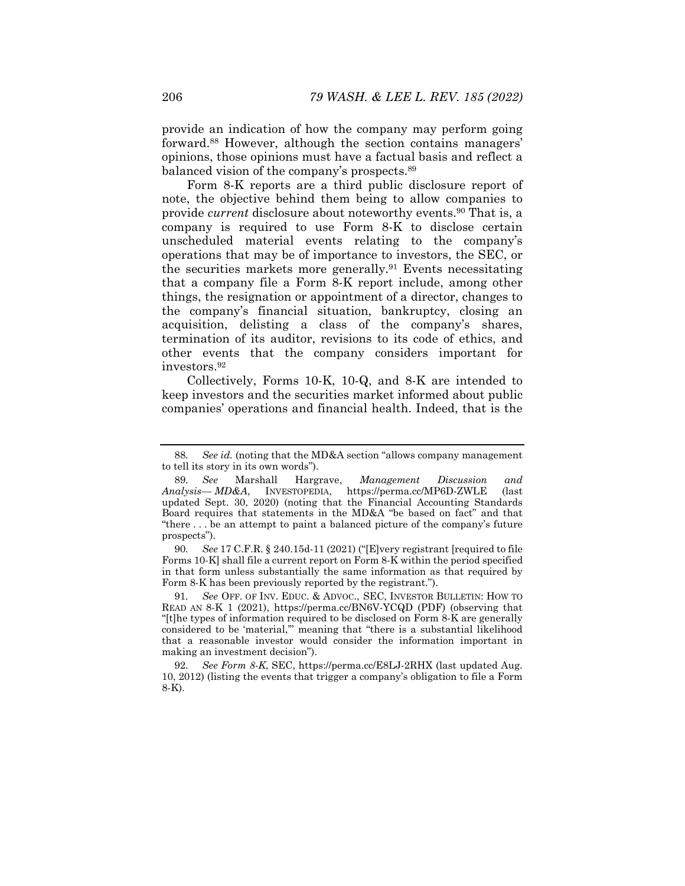provide an indication of how the company may perform going forward.88 However, although the section contains managers' opinions, those opinions must have a factual basis and reflect a balanced vision of the company's prospects.89

Form 8-K reports are a third public disclosure report of note, the objective behind them being to allow companies to provide *current* disclosure about noteworthy events.90 That is, a company is required to use Form 8-K to disclose certain unscheduled material events relating to the company's operations that may be of importance to investors, the SEC, or the securities markets more generally.91 Events necessitating that a company file a Form 8-K report include, among other things, the resignation or appointment of a director, changes to the company's financial situation, bankruptcy, closing an acquisition, delisting a class of the company's shares, termination of its auditor, revisions to its code of ethics, and other events that the company considers important for investors.92

Collectively, Forms 10-K, 10-Q, and 8-K are intended to keep investors and the securities market informed about public companies' operations and financial health. Indeed, that is the

90*. See* 17 C.F.R. § 240.15d-11 (2021) ("[E]very registrant [required to file Forms 10-K] shall file a current report on Form 8-K within the period specified in that form unless substantially the same information as that required by Form 8-K has been previously reported by the registrant.").

91*. See* OFF. OF INV. EDUC. & ADVOC., SEC, INVESTOR BULLETIN: HOW TO READ AN 8-K 1 (2021), https://perma.cc/BN6V-YCQD (PDF) (observing that "[t]he types of information required to be disclosed on Form 8-K are generally considered to be 'material,'" meaning that "there is a substantial likelihood that a reasonable investor would consider the information important in making an investment decision").

92*. See Form 8-K*, SEC, https://perma.cc/E8LJ-2RHX (last updated Aug. 10, 2012) (listing the events that trigger a company's obligation to file a Form 8-K).

<sup>88</sup>*. See id.* (noting that the MD&A section "allows company management to tell its story in its own words").

<sup>89</sup>*. See* Marshall Hargrave, *Management Discussion and*   $Analysis-MD&A$ , INVESTOPEDIA, updated Sept. 30, 2020) (noting that the Financial Accounting Standards Board requires that statements in the MD&A "be based on fact" and that "there . . . be an attempt to paint a balanced picture of the company's future prospects").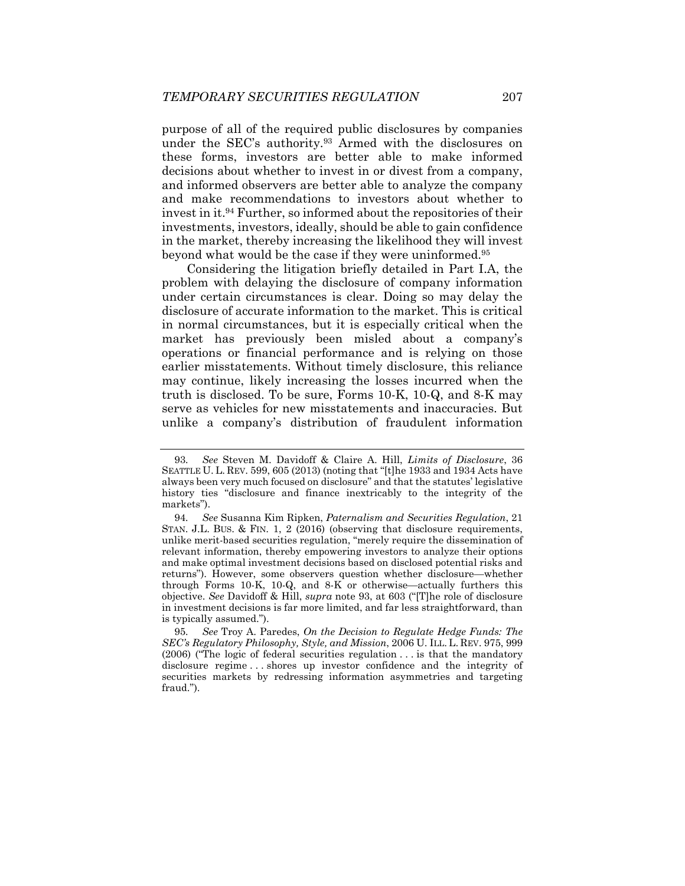purpose of all of the required public disclosures by companies under the SEC's authority.93 Armed with the disclosures on these forms, investors are better able to make informed decisions about whether to invest in or divest from a company, and informed observers are better able to analyze the company and make recommendations to investors about whether to invest in it.94 Further, so informed about the repositories of their investments, investors, ideally, should be able to gain confidence in the market, thereby increasing the likelihood they will invest beyond what would be the case if they were uninformed.95

Considering the litigation briefly detailed in Part I.A, the problem with delaying the disclosure of company information under certain circumstances is clear. Doing so may delay the disclosure of accurate information to the market. This is critical in normal circumstances, but it is especially critical when the market has previously been misled about a company's operations or financial performance and is relying on those earlier misstatements. Without timely disclosure, this reliance may continue, likely increasing the losses incurred when the truth is disclosed. To be sure, Forms 10-K, 10-Q, and 8-K may serve as vehicles for new misstatements and inaccuracies. But unlike a company's distribution of fraudulent information

<sup>93</sup>*. See* Steven M. Davidoff & Claire A. Hill, *Limits of Disclosure*, 36 SEATTLE U. L. REV. 599, 605 (2013) (noting that "[t]he 1933 and 1934 Acts have always been very much focused on disclosure" and that the statutes' legislative history ties "disclosure and finance inextricably to the integrity of the markets").

<sup>94</sup>*. See* Susanna Kim Ripken, *Paternalism and Securities Regulation*, 21 STAN. J.L. BUS. & FIN. 1, 2 (2016) (observing that disclosure requirements, unlike merit-based securities regulation, "merely require the dissemination of relevant information, thereby empowering investors to analyze their options and make optimal investment decisions based on disclosed potential risks and returns"). However, some observers question whether disclosure—whether through Forms 10-K, 10-Q, and  $8-K$  or otherwise—actually furthers this objective. *See* Davidoff & Hill, *supra* note 93, at 603 ("[T]he role of disclosure in investment decisions is far more limited, and far less straightforward, than is typically assumed.").

<sup>95</sup>*. See* Troy A. Paredes, *On the Decision to Regulate Hedge Funds: The SEC's Regulatory Philosophy, Style, and Mission*, 2006 U. ILL. L. REV. 975, 999 (2006) ("The logic of federal securities regulation . . . is that the mandatory disclosure regime . . . shores up investor confidence and the integrity of securities markets by redressing information asymmetries and targeting fraud.").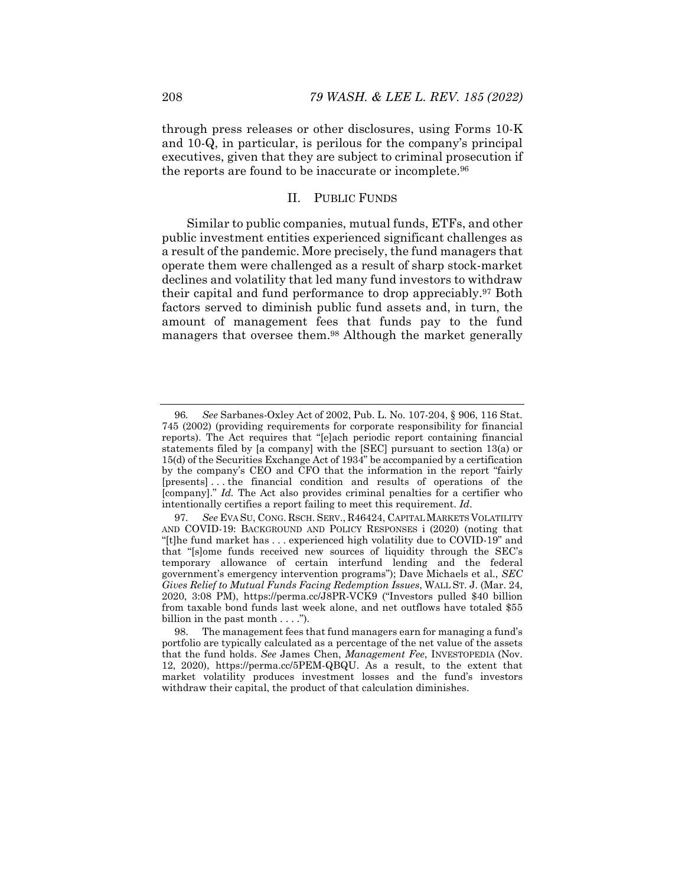through press releases or other disclosures, using Forms 10-K and 10-Q, in particular, is perilous for the company's principal executives, given that they are subject to criminal prosecution if the reports are found to be inaccurate or incomplete.96

# II. PUBLIC FUNDS

Similar to public companies, mutual funds, ETFs, and other public investment entities experienced significant challenges as a result of the pandemic. More precisely, the fund managers that operate them were challenged as a result of sharp stock-market declines and volatility that led many fund investors to withdraw their capital and fund performance to drop appreciably.<sup>97</sup> Both factors served to diminish public fund assets and, in turn, the amount of management fees that funds pay to the fund managers that oversee them.98 Although the market generally

<sup>96</sup>*. See* Sarbanes-Oxley Act of 2002, Pub. L. No. 107-204, § 906, 116 Stat. 745 (2002) (providing requirements for corporate responsibility for financial reports). The Act requires that "[e]ach periodic report containing financial statements filed by [a company] with the [SEC] pursuant to section 13(a) or 15(d) of the Securities Exchange Act of 1934" be accompanied by a certification by the company's CEO and CFO that the information in the report "fairly [presents] . . . the financial condition and results of operations of the [company]." *Id.* The Act also provides criminal penalties for a certifier who intentionally certifies a report failing to meet this requirement. *Id*.

<sup>97</sup>*. See* EVA SU, CONG. RSCH. SERV., R46424, CAPITAL MARKETS VOLATILITY AND COVID-19: BACKGROUND AND POLICY RESPONSES i (2020) (noting that "[t]he fund market has . . . experienced high volatility due to COVID-19" and that "[s]ome funds received new sources of liquidity through the SEC's temporary allowance of certain interfund lending and the federal government's emergency intervention programs"); Dave Michaels et al., *SEC Gives Relief to Mutual Funds Facing Redemption Issues*, WALL ST. J. (Mar. 24, 2020, 3:08 PM), https://perma.cc/J8PR-VCK9 ("Investors pulled \$40 billion from taxable bond funds last week alone, and net outflows have totaled \$55 billion in the past month  $\dots$ .").

 <sup>98.</sup> The management fees that fund managers earn for managing a fund's portfolio are typically calculated as a percentage of the net value of the assets that the fund holds. *See* James Chen, *Management Fee*, INVESTOPEDIA (Nov. 12, 2020), https://perma.cc/5PEM-QBQU. As a result, to the extent that market volatility produces investment losses and the fund's investors withdraw their capital, the product of that calculation diminishes.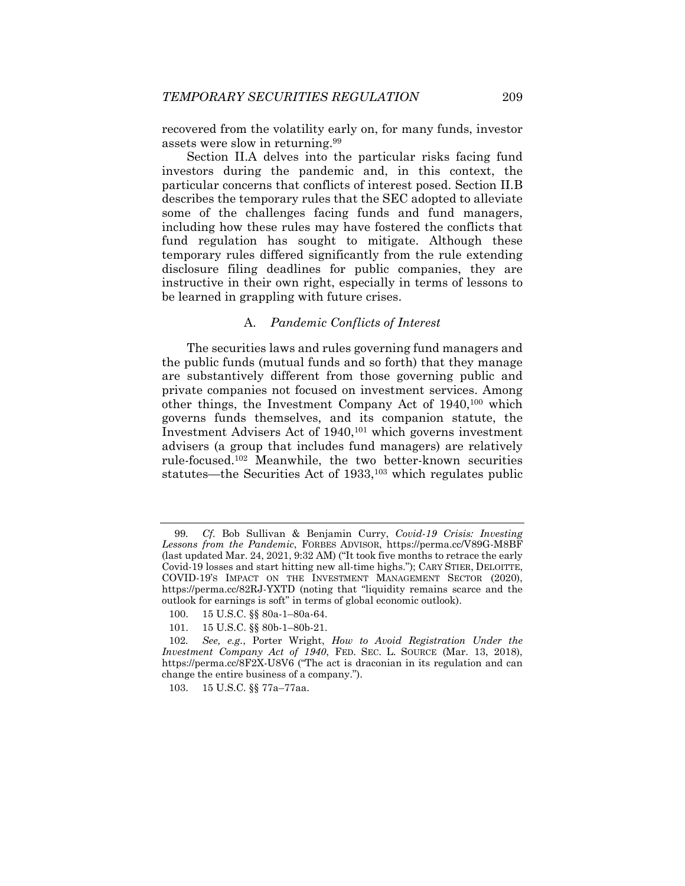recovered from the volatility early on, for many funds, investor assets were slow in returning.99

Section II.A delves into the particular risks facing fund investors during the pandemic and, in this context, the particular concerns that conflicts of interest posed. Section II.B describes the temporary rules that the SEC adopted to alleviate some of the challenges facing funds and fund managers, including how these rules may have fostered the conflicts that fund regulation has sought to mitigate. Although these temporary rules differed significantly from the rule extending disclosure filing deadlines for public companies, they are instructive in their own right, especially in terms of lessons to be learned in grappling with future crises.

## A. *Pandemic Conflicts of Interest*

The securities laws and rules governing fund managers and the public funds (mutual funds and so forth) that they manage are substantively different from those governing public and private companies not focused on investment services. Among other things, the Investment Company Act of 1940,100 which governs funds themselves, and its companion statute, the Investment Advisers Act of 1940,101 which governs investment advisers (a group that includes fund managers) are relatively rule-focused.102 Meanwhile, the two better-known securities statutes—the Securities Act of 1933,103 which regulates public

<sup>99</sup>*. Cf.* Bob Sullivan & Benjamin Curry, *Covid-19 Crisis: Investing Lessons from the Pandemic*, FORBES ADVISOR, https://perma.cc/V89G-M8BF (last updated Mar. 24, 2021, 9:32 AM) ("It took five months to retrace the early Covid-19 losses and start hitting new all-time highs."); CARY STIER, DELOITTE, COVID-19'S IMPACT ON THE INVESTMENT MANAGEMENT SECTOR (2020), https://perma.cc/82RJ-YXTD (noting that "liquidity remains scarce and the outlook for earnings is soft" in terms of global economic outlook).

 <sup>100. 15</sup> U.S.C. §§ 80a-1–80a-64.

 <sup>101. 15</sup> U.S.C. §§ 80b-1–80b-21.

<sup>102</sup>*. See, e.g.*, Porter Wright, *How to Avoid Registration Under the Investment Company Act of 1940*, FED. SEC. L. SOURCE (Mar. 13, 2018), https://perma.cc/8F2X-U8V6 ("The act is draconian in its regulation and can change the entire business of a company.").

 <sup>103. 15</sup> U.S.C. §§ 77a–77aa.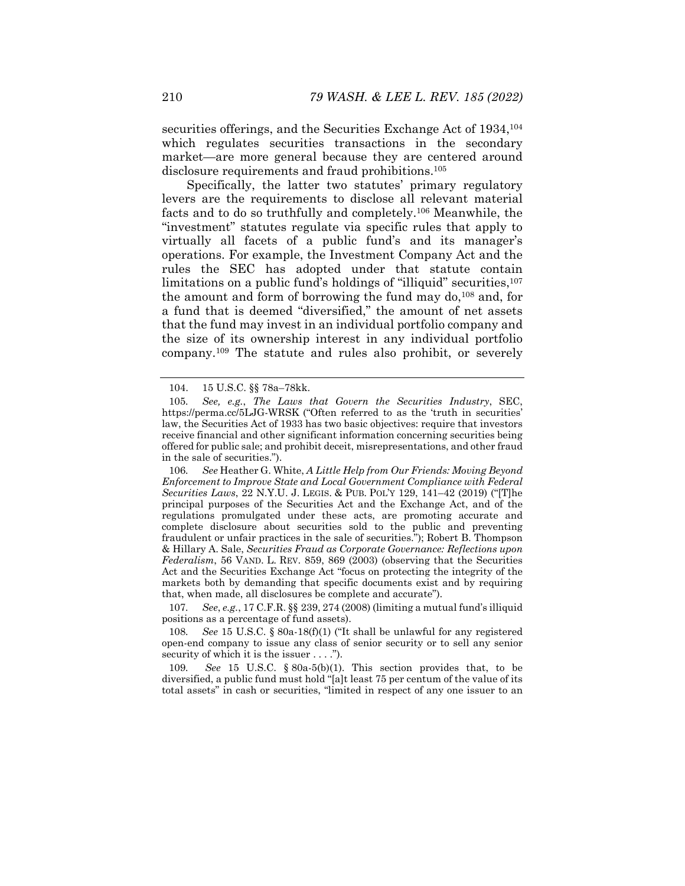securities offerings, and the Securities Exchange Act of 1934, <sup>104</sup> which regulates securities transactions in the secondary market—are more general because they are centered around disclosure requirements and fraud prohibitions.105

Specifically, the latter two statutes' primary regulatory levers are the requirements to disclose all relevant material facts and to do so truthfully and completely.106 Meanwhile, the "investment" statutes regulate via specific rules that apply to virtually all facets of a public fund's and its manager's operations. For example, the Investment Company Act and the rules the SEC has adopted under that statute contain limitations on a public fund's holdings of "illiquid" securities,<sup>107</sup> the amount and form of borrowing the fund may do,108 and, for a fund that is deemed "diversified," the amount of net assets that the fund may invest in an individual portfolio company and the size of its ownership interest in any individual portfolio company.109 The statute and rules also prohibit, or severely

107*. See*, *e.g.*, 17 C.F.R. §§ 239, 274 (2008) (limiting a mutual fund's illiquid positions as a percentage of fund assets).

See 15 U.S.C. § 80a-18(f)(1) ("It shall be unlawful for any registered open-end company to issue any class of senior security or to sell any senior security of which it is the issuer . . . .").

109*. See* 15 U.S.C. § 80a-5(b)(1). This section provides that, to be diversified, a public fund must hold "[a]t least 75 per centum of the value of its total assets" in cash or securities, "limited in respect of any one issuer to an

 <sup>104. 15</sup> U.S.C. §§ 78a–78kk.

<sup>105</sup>*. See, e.g.*, *The Laws that Govern the Securities Industry*, SEC, https://perma.cc/5LJG-WRSK ("Often referred to as the 'truth in securities' law, the Securities Act of 1933 has two basic objectives: require that investors receive financial and other significant information concerning securities being offered for public sale; and prohibit deceit, misrepresentations, and other fraud in the sale of securities.").

<sup>106</sup>*. See* Heather G. White, *A Little Help from Our Friends: Moving Beyond Enforcement to Improve State and Local Government Compliance with Federal Securities Laws*, 22 N.Y.U. J. LEGIS. & PUB. POL'Y 129, 141–42 (2019) ("[T]he principal purposes of the Securities Act and the Exchange Act, and of the regulations promulgated under these acts, are promoting accurate and complete disclosure about securities sold to the public and preventing fraudulent or unfair practices in the sale of securities."); Robert B. Thompson & Hillary A. Sale, *Securities Fraud as Corporate Governance: Reflections upon Federalism*, 56 VAND. L. REV. 859, 869 (2003) (observing that the Securities Act and the Securities Exchange Act "focus on protecting the integrity of the markets both by demanding that specific documents exist and by requiring that, when made, all disclosures be complete and accurate").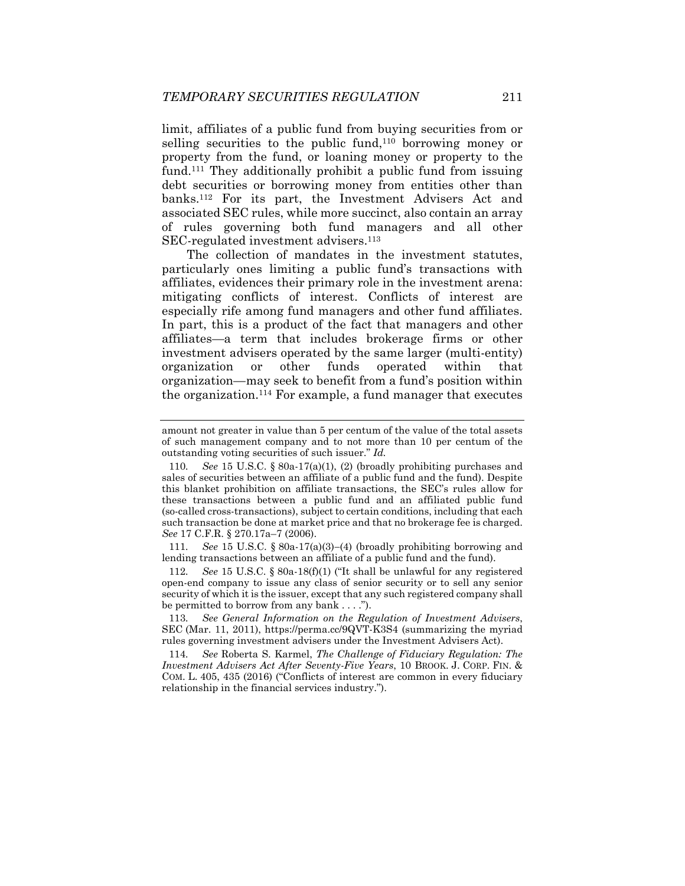limit, affiliates of a public fund from buying securities from or selling securities to the public fund,110 borrowing money or property from the fund, or loaning money or property to the fund.111 They additionally prohibit a public fund from issuing debt securities or borrowing money from entities other than banks.112 For its part, the Investment Advisers Act and associated SEC rules, while more succinct, also contain an array of rules governing both fund managers and all other SEC-regulated investment advisers.<sup>113</sup>

The collection of mandates in the investment statutes, particularly ones limiting a public fund's transactions with affiliates, evidences their primary role in the investment arena: mitigating conflicts of interest. Conflicts of interest are especially rife among fund managers and other fund affiliates. In part, this is a product of the fact that managers and other affiliates—a term that includes brokerage firms or other investment advisers operated by the same larger (multi-entity) organization or other funds operated within that organization—may seek to benefit from a fund's position within the organization.114 For example, a fund manager that executes

111. See 15 U.S.C.  $\S$  80a-17(a)(3)–(4) (broadly prohibiting borrowing and lending transactions between an affiliate of a public fund and the fund).

112*. See* 15 U.S.C. § 80a-18(f)(1) ("It shall be unlawful for any registered open-end company to issue any class of senior security or to sell any senior security of which it is the issuer, except that any such registered company shall be permitted to borrow from any bank . . . .").

113*. See General Information on the Regulation of Investment Advisers*, SEC (Mar. 11, 2011), https://perma.cc/9QVT-K3S4 (summarizing the myriad rules governing investment advisers under the Investment Advisers Act).

114*. See* Roberta S. Karmel, *The Challenge of Fiduciary Regulation: The Investment Advisers Act After Seventy-Five Years*, 10 BROOK. J. CORP. FIN. & COM. L. 405, 435 (2016) ("Conflicts of interest are common in every fiduciary relationship in the financial services industry.").

amount not greater in value than 5 per centum of the value of the total assets of such management company and to not more than 10 per centum of the outstanding voting securities of such issuer." *Id.*

<sup>110</sup>*. See* 15 U.S.C. § 80a-17(a)(1), (2) (broadly prohibiting purchases and sales of securities between an affiliate of a public fund and the fund). Despite this blanket prohibition on affiliate transactions, the SEC's rules allow for these transactions between a public fund and an affiliated public fund (so-called cross-transactions), subject to certain conditions, including that each such transaction be done at market price and that no brokerage fee is charged. *See* 17 C.F.R. § 270.17a–7 (2006).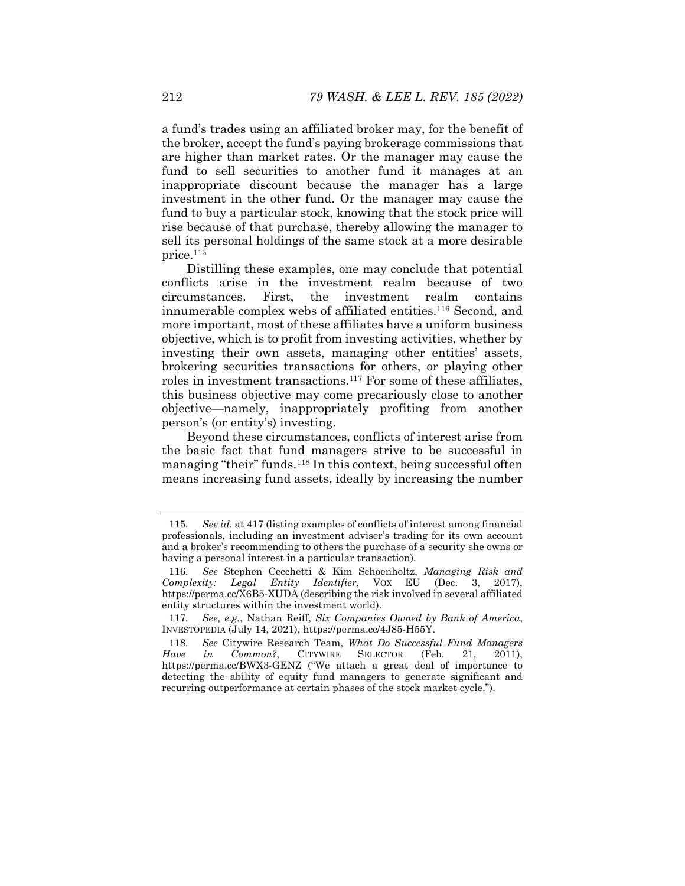a fund's trades using an affiliated broker may, for the benefit of the broker, accept the fund's paying brokerage commissions that are higher than market rates. Or the manager may cause the fund to sell securities to another fund it manages at an inappropriate discount because the manager has a large investment in the other fund. Or the manager may cause the fund to buy a particular stock, knowing that the stock price will rise because of that purchase, thereby allowing the manager to sell its personal holdings of the same stock at a more desirable price.115

Distilling these examples, one may conclude that potential conflicts arise in the investment realm because of two circumstances. First, the investment realm contains innumerable complex webs of affiliated entities.116 Second, and more important, most of these affiliates have a uniform business objective, which is to profit from investing activities, whether by investing their own assets, managing other entities' assets, brokering securities transactions for others, or playing other roles in investment transactions.117 For some of these affiliates, this business objective may come precariously close to another objective—namely, inappropriately profiting from another person's (or entity's) investing.

Beyond these circumstances, conflicts of interest arise from the basic fact that fund managers strive to be successful in managing "their" funds.<sup>118</sup> In this context, being successful often means increasing fund assets, ideally by increasing the number

<sup>115</sup>*. See id.* at 417 (listing examples of conflicts of interest among financial professionals, including an investment adviser's trading for its own account and a broker's recommending to others the purchase of a security she owns or having a personal interest in a particular transaction).

<sup>116</sup>*. See* Stephen Cecchetti & Kim Schoenholtz, *Managing Risk and Complexity: Legal Entity Identifier*, VOX EU (Dec. 3, 2017), https://perma.cc/X6B5-XUDA (describing the risk involved in several affiliated entity structures within the investment world).

<sup>117</sup>*. See, e.g.*, Nathan Reiff, *Six Companies Owned by Bank of America*, INVESTOPEDIA (July 14, 2021), https://perma.cc/4J85-H55Y.

<sup>118</sup>*. See* Citywire Research Team, *What Do Successful Fund Managers Have in Common?*, CITYWIRE SELECTOR (Feb. 21, 2011), https://perma.cc/BWX3-GENZ ("We attach a great deal of importance to detecting the ability of equity fund managers to generate significant and recurring outperformance at certain phases of the stock market cycle.").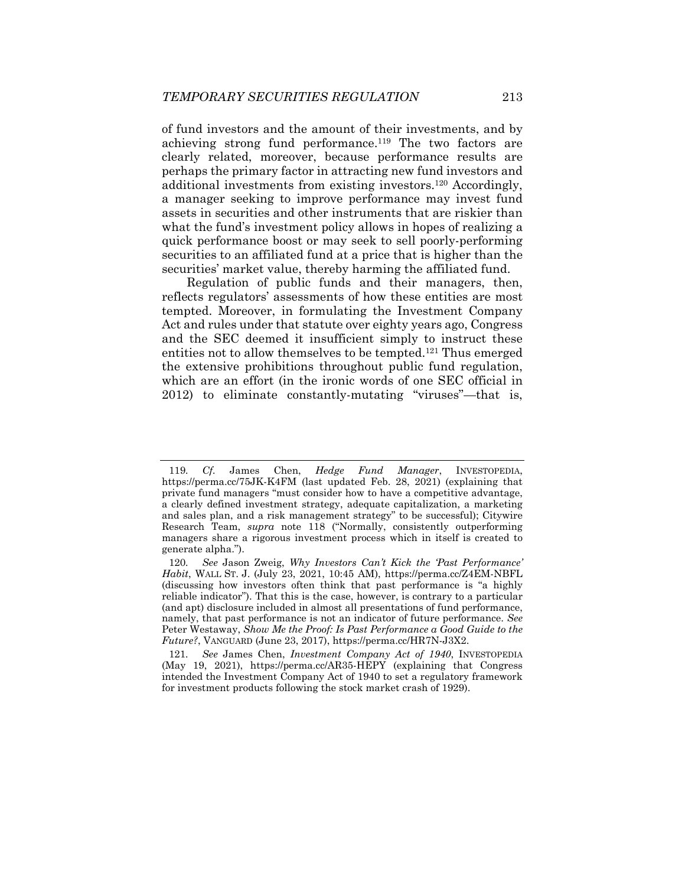of fund investors and the amount of their investments, and by achieving strong fund performance.119 The two factors are clearly related, moreover, because performance results are perhaps the primary factor in attracting new fund investors and additional investments from existing investors.120 Accordingly, a manager seeking to improve performance may invest fund assets in securities and other instruments that are riskier than what the fund's investment policy allows in hopes of realizing a quick performance boost or may seek to sell poorly-performing securities to an affiliated fund at a price that is higher than the securities' market value, thereby harming the affiliated fund.

Regulation of public funds and their managers, then, reflects regulators' assessments of how these entities are most tempted. Moreover, in formulating the Investment Company Act and rules under that statute over eighty years ago, Congress and the SEC deemed it insufficient simply to instruct these entities not to allow themselves to be tempted.121 Thus emerged the extensive prohibitions throughout public fund regulation, which are an effort (in the ironic words of one SEC official in 2012) to eliminate constantly-mutating "viruses"—that is,

<sup>119</sup>*. Cf.* James Chen, *Hedge Fund Manager*, INVESTOPEDIA, https://perma.cc/75JK-K4FM (last updated Feb. 28, 2021) (explaining that private fund managers "must consider how to have a competitive advantage, a clearly defined investment strategy, adequate capitalization, a marketing and sales plan, and a risk management strategy" to be successful); Citywire Research Team, *supra* note 118 ("Normally, consistently outperforming managers share a rigorous investment process which in itself is created to generate alpha.").

<sup>120</sup>*. See* Jason Zweig, *Why Investors Can't Kick the 'Past Performance' Habit*, WALL ST. J. (July 23, 2021, 10:45 AM), https://perma.cc/Z4EM-NBFL (discussing how investors often think that past performance is "a highly reliable indicator"). That this is the case, however, is contrary to a particular (and apt) disclosure included in almost all presentations of fund performance, namely, that past performance is not an indicator of future performance. *See*  Peter Westaway, *Show Me the Proof: Is Past Performance a Good Guide to the Future?*, VANGUARD (June 23, 2017), https://perma.cc/HR7N-J3X2.

<sup>121</sup>*. See* James Chen, *Investment Company Act of 1940*, INVESTOPEDIA (May 19, 2021), https://perma.cc/AR35-HEPY (explaining that Congress intended the Investment Company Act of 1940 to set a regulatory framework for investment products following the stock market crash of 1929).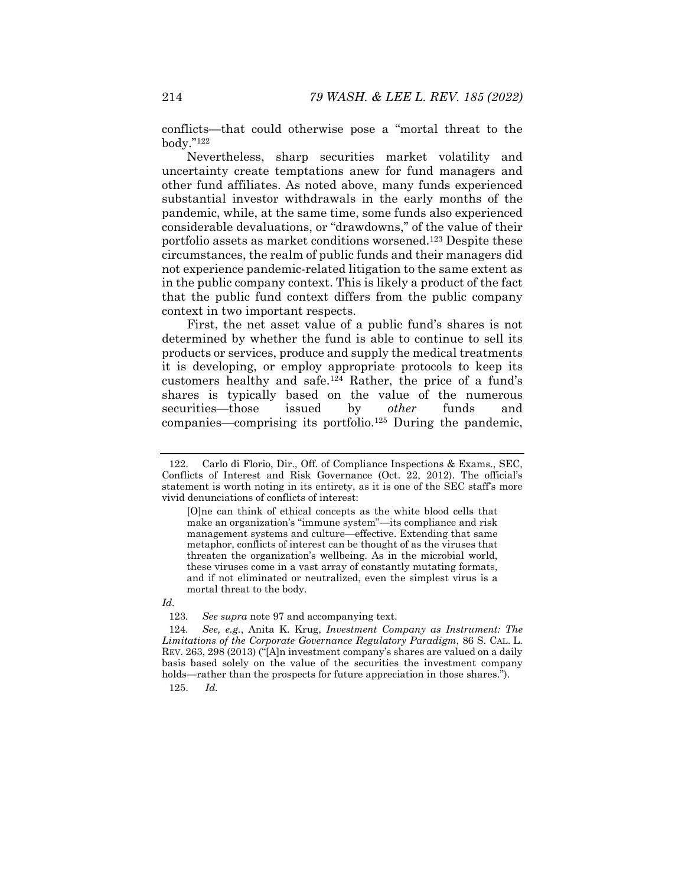conflicts—that could otherwise pose a "mortal threat to the body."122

Nevertheless, sharp securities market volatility and uncertainty create temptations anew for fund managers and other fund affiliates. As noted above, many funds experienced substantial investor withdrawals in the early months of the pandemic, while, at the same time, some funds also experienced considerable devaluations, or "drawdowns," of the value of their portfolio assets as market conditions worsened.123 Despite these circumstances, the realm of public funds and their managers did not experience pandemic-related litigation to the same extent as in the public company context. This is likely a product of the fact that the public fund context differs from the public company context in two important respects.

First, the net asset value of a public fund's shares is not determined by whether the fund is able to continue to sell its products or services, produce and supply the medical treatments it is developing, or employ appropriate protocols to keep its customers healthy and safe.124 Rather, the price of a fund's shares is typically based on the value of the numerous securities—those issued by *other* funds and companies—comprising its portfolio.125 During the pandemic,

#### *Id.*

123*. See supra* note 97 and accompanying text.

125. *Id.*

 <sup>122.</sup> Carlo di Florio, Dir., Off. of Compliance Inspections & Exams., SEC, Conflicts of Interest and Risk Governance (Oct. 22, 2012). The official's statement is worth noting in its entirety, as it is one of the SEC staff's more vivid denunciations of conflicts of interest:

<sup>[</sup>O]ne can think of ethical concepts as the white blood cells that make an organization's "immune system"—its compliance and risk management systems and culture—effective. Extending that same metaphor, conflicts of interest can be thought of as the viruses that threaten the organization's wellbeing. As in the microbial world, these viruses come in a vast array of constantly mutating formats, and if not eliminated or neutralized, even the simplest virus is a mortal threat to the body.

<sup>124</sup>*. See, e.g.*, Anita K. Krug, *Investment Company as Instrument: The Limitations of the Corporate Governance Regulatory Paradigm*, 86 S. CAL. L. REV. 263, 298 (2013) ("[A]n investment company's shares are valued on a daily basis based solely on the value of the securities the investment company holds—rather than the prospects for future appreciation in those shares.").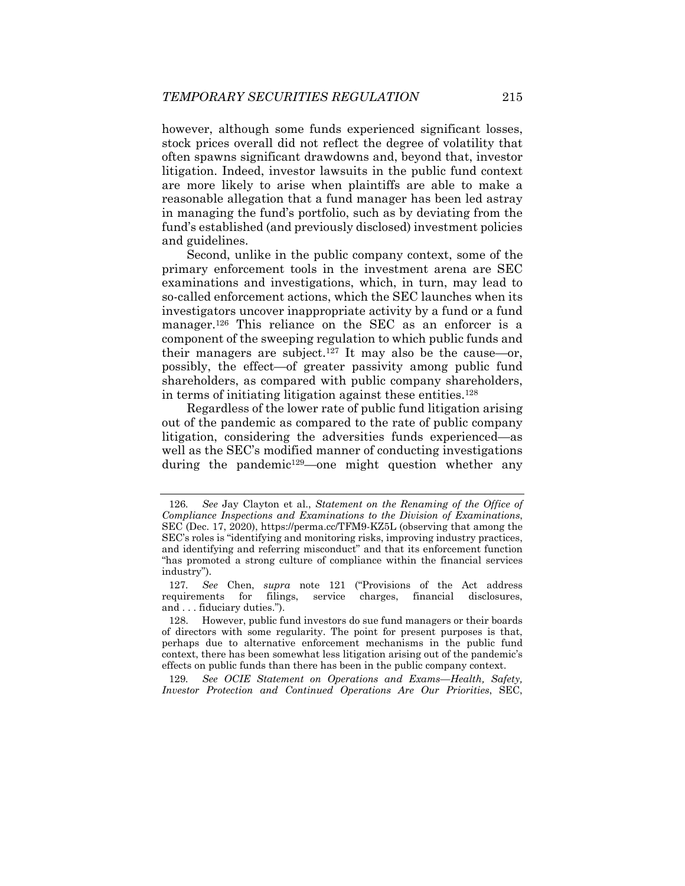however, although some funds experienced significant losses, stock prices overall did not reflect the degree of volatility that often spawns significant drawdowns and, beyond that, investor litigation. Indeed, investor lawsuits in the public fund context are more likely to arise when plaintiffs are able to make a reasonable allegation that a fund manager has been led astray in managing the fund's portfolio, such as by deviating from the fund's established (and previously disclosed) investment policies and guidelines.

Second, unlike in the public company context, some of the primary enforcement tools in the investment arena are SEC examinations and investigations, which, in turn, may lead to so-called enforcement actions, which the SEC launches when its investigators uncover inappropriate activity by a fund or a fund manager.<sup>126</sup> This reliance on the SEC as an enforcer is a component of the sweeping regulation to which public funds and their managers are subject.<sup>127</sup> It may also be the cause—or, possibly, the effect—of greater passivity among public fund shareholders, as compared with public company shareholders, in terms of initiating litigation against these entities.128

Regardless of the lower rate of public fund litigation arising out of the pandemic as compared to the rate of public company litigation, considering the adversities funds experienced—as well as the SEC's modified manner of conducting investigations during the pandemic<sup>129</sup>—one might question whether any

129*. See OCIE Statement on Operations and Exams—Health, Safety, Investor Protection and Continued Operations Are Our Priorities*, SEC,

<sup>126</sup>*. See* Jay Clayton et al., *Statement on the Renaming of the Office of Compliance Inspections and Examinations to the Division of Examinations*, SEC (Dec. 17, 2020), https://perma.cc/TFM9-KZ5L (observing that among the SEC's roles is "identifying and monitoring risks, improving industry practices, and identifying and referring misconduct" and that its enforcement function "has promoted a strong culture of compliance within the financial services industry").

<sup>127</sup>*. See* Chen, *supra* note 121 ("Provisions of the Act address requirements for filings, service charges, financial disclosures, and . . . fiduciary duties.").

 <sup>128.</sup> However, public fund investors do sue fund managers or their boards of directors with some regularity. The point for present purposes is that, perhaps due to alternative enforcement mechanisms in the public fund context, there has been somewhat less litigation arising out of the pandemic's effects on public funds than there has been in the public company context.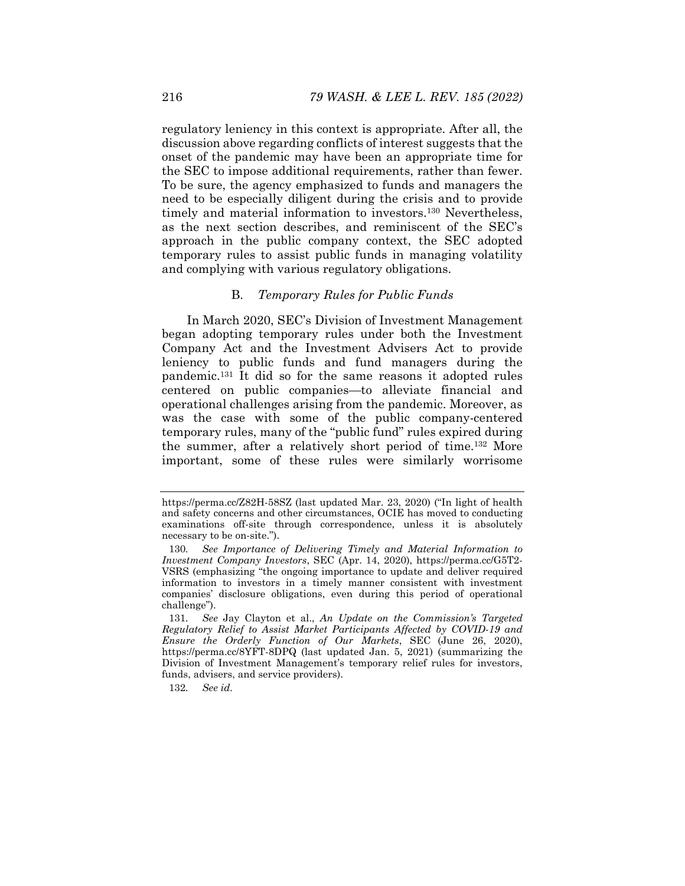regulatory leniency in this context is appropriate. After all, the discussion above regarding conflicts of interest suggests that the onset of the pandemic may have been an appropriate time for the SEC to impose additional requirements, rather than fewer. To be sure, the agency emphasized to funds and managers the need to be especially diligent during the crisis and to provide timely and material information to investors.130 Nevertheless, as the next section describes, and reminiscent of the SEC's approach in the public company context, the SEC adopted temporary rules to assist public funds in managing volatility and complying with various regulatory obligations.

## B. *Temporary Rules for Public Funds*

In March 2020, SEC's Division of Investment Management began adopting temporary rules under both the Investment Company Act and the Investment Advisers Act to provide leniency to public funds and fund managers during the pandemic.131 It did so for the same reasons it adopted rules centered on public companies—to alleviate financial and operational challenges arising from the pandemic. Moreover, as was the case with some of the public company-centered temporary rules, many of the "public fund" rules expired during the summer, after a relatively short period of time.132 More important, some of these rules were similarly worrisome

https://perma.cc/Z82H-58SZ (last updated Mar. 23, 2020) ("In light of health and safety concerns and other circumstances, OCIE has moved to conducting examinations off-site through correspondence, unless it is absolutely necessary to be on-site.").

<sup>130</sup>*. See Importance of Delivering Timely and Material Information to Investment Company Investors*, SEC (Apr. 14, 2020), https://perma.cc/G5T2- VSRS (emphasizing "the ongoing importance to update and deliver required information to investors in a timely manner consistent with investment companies' disclosure obligations, even during this period of operational challenge").

<sup>131</sup>*. See* Jay Clayton et al., *An Update on the Commission's Targeted Regulatory Relief to Assist Market Participants Affected by COVID-19 and Ensure the Orderly Function of Our Markets*, SEC (June 26, 2020), https://perma.cc/8YFT-8DPQ (last updated Jan. 5, 2021) (summarizing the Division of Investment Management's temporary relief rules for investors, funds, advisers, and service providers).

<sup>132</sup>*. See id.*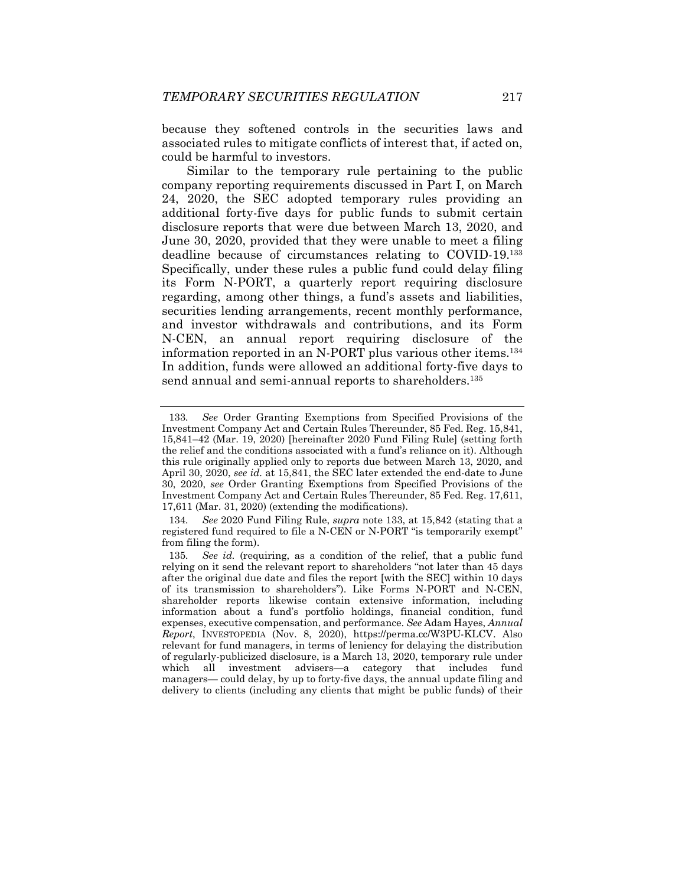because they softened controls in the securities laws and associated rules to mitigate conflicts of interest that, if acted on, could be harmful to investors.

Similar to the temporary rule pertaining to the public company reporting requirements discussed in Part I, on March 24, 2020, the SEC adopted temporary rules providing an additional forty-five days for public funds to submit certain disclosure reports that were due between March 13, 2020, and June 30, 2020, provided that they were unable to meet a filing deadline because of circumstances relating to COVID-19.133 Specifically, under these rules a public fund could delay filing its Form N-PORT, a quarterly report requiring disclosure regarding, among other things, a fund's assets and liabilities, securities lending arrangements, recent monthly performance, and investor withdrawals and contributions, and its Form N-CEN, an annual report requiring disclosure of the information reported in an N-PORT plus various other items.134 In addition, funds were allowed an additional forty-five days to send annual and semi-annual reports to shareholders.<sup>135</sup>

<sup>133</sup>*. See* Order Granting Exemptions from Specified Provisions of the Investment Company Act and Certain Rules Thereunder, 85 Fed. Reg. 15,841, 15,841–42 (Mar. 19, 2020) [hereinafter 2020 Fund Filing Rule] (setting forth the relief and the conditions associated with a fund's reliance on it). Although this rule originally applied only to reports due between March 13, 2020, and April 30, 2020, *see id.* at 15,841, the SEC later extended the end-date to June 30, 2020, *see* Order Granting Exemptions from Specified Provisions of the Investment Company Act and Certain Rules Thereunder, 85 Fed. Reg. 17,611, 17,611 (Mar. 31, 2020) (extending the modifications).

<sup>134</sup>*. See* 2020 Fund Filing Rule, *supra* note 133, at 15,842 (stating that a registered fund required to file a N-CEN or N-PORT "is temporarily exempt" from filing the form).

<sup>135</sup>*. See id.* (requiring, as a condition of the relief, that a public fund relying on it send the relevant report to shareholders "not later than 45 days after the original due date and files the report [with the SEC] within 10 days of its transmission to shareholders"). Like Forms N-PORT and N-CEN, shareholder reports likewise contain extensive information, including information about a fund's portfolio holdings, financial condition, fund expenses, executive compensation, and performance. *See* Adam Hayes, *Annual Report*, INVESTOPEDIA (Nov. 8, 2020), https://perma.cc/W3PU-KLCV. Also relevant for fund managers, in terms of leniency for delaying the distribution of regularly-publicized disclosure, is a March 13, 2020, temporary rule under which all investment advisers—a category that includes fund managers— could delay, by up to forty-five days, the annual update filing and delivery to clients (including any clients that might be public funds) of their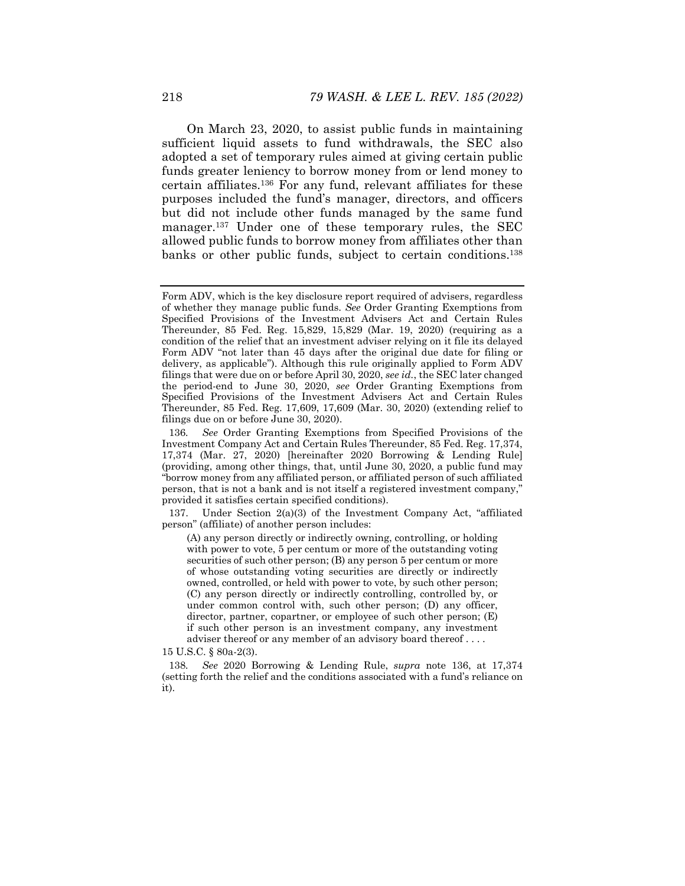On March 23, 2020, to assist public funds in maintaining sufficient liquid assets to fund withdrawals, the SEC also adopted a set of temporary rules aimed at giving certain public funds greater leniency to borrow money from or lend money to certain affiliates.136 For any fund, relevant affiliates for these purposes included the fund's manager, directors, and officers but did not include other funds managed by the same fund manager.137 Under one of these temporary rules, the SEC allowed public funds to borrow money from affiliates other than banks or other public funds, subject to certain conditions.138

 137. Under Section 2(a)(3) of the Investment Company Act, "affiliated person" (affiliate) of another person includes:

(A) any person directly or indirectly owning, controlling, or holding with power to vote, 5 per centum or more of the outstanding voting securities of such other person; (B) any person 5 per centum or more of whose outstanding voting securities are directly or indirectly owned, controlled, or held with power to vote, by such other person; (C) any person directly or indirectly controlling, controlled by, or under common control with, such other person; (D) any officer, director, partner, copartner, or employee of such other person; (E) if such other person is an investment company, any investment adviser thereof or any member of an advisory board thereof . . . .

15 U.S.C. § 80a-2(3).

138*. See* 2020 Borrowing & Lending Rule, *supra* note 136, at 17,374 (setting forth the relief and the conditions associated with a fund's reliance on it).

Form ADV, which is the key disclosure report required of advisers, regardless of whether they manage public funds. *See* Order Granting Exemptions from Specified Provisions of the Investment Advisers Act and Certain Rules Thereunder, 85 Fed. Reg. 15,829, 15,829 (Mar. 19, 2020) (requiring as a condition of the relief that an investment adviser relying on it file its delayed Form ADV "not later than 45 days after the original due date for filing or delivery, as applicable"). Although this rule originally applied to Form ADV filings that were due on or before April 30, 2020, *see id.*, the SEC later changed the period-end to June 30, 2020, *see* Order Granting Exemptions from Specified Provisions of the Investment Advisers Act and Certain Rules Thereunder, 85 Fed. Reg. 17,609, 17,609 (Mar. 30, 2020) (extending relief to filings due on or before June 30, 2020).

<sup>136</sup>*. See* Order Granting Exemptions from Specified Provisions of the Investment Company Act and Certain Rules Thereunder, 85 Fed. Reg. 17,374, 17,374 (Mar. 27, 2020) [hereinafter 2020 Borrowing & Lending Rule] (providing, among other things, that, until June 30, 2020, a public fund may "borrow money from any affiliated person, or affiliated person of such affiliated person, that is not a bank and is not itself a registered investment company," provided it satisfies certain specified conditions).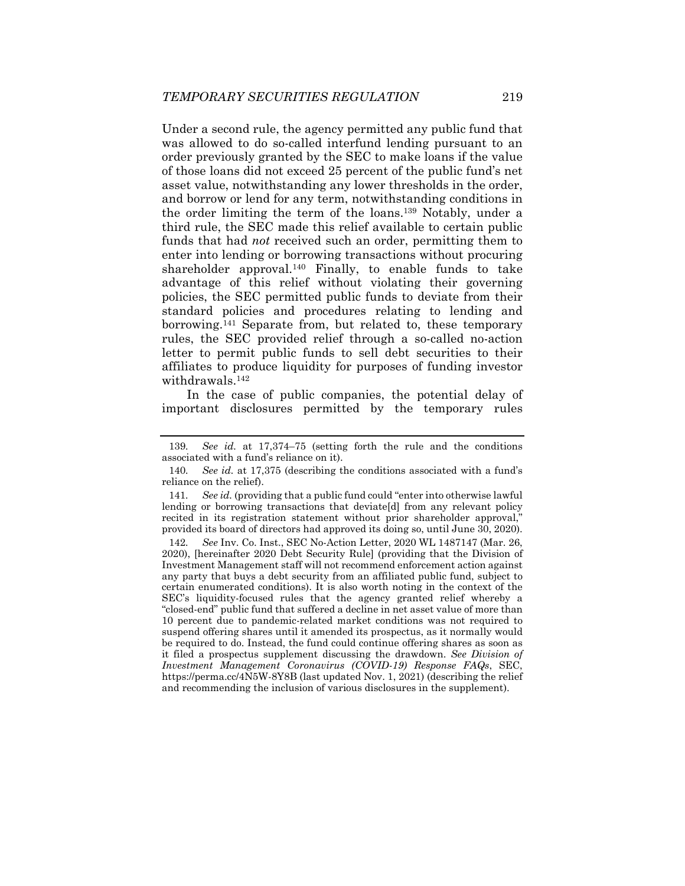Under a second rule, the agency permitted any public fund that was allowed to do so-called interfund lending pursuant to an order previously granted by the SEC to make loans if the value of those loans did not exceed 25 percent of the public fund's net asset value, notwithstanding any lower thresholds in the order, and borrow or lend for any term, notwithstanding conditions in the order limiting the term of the loans.139 Notably, under a third rule, the SEC made this relief available to certain public funds that had *not* received such an order, permitting them to enter into lending or borrowing transactions without procuring shareholder approval.<sup>140</sup> Finally, to enable funds to take advantage of this relief without violating their governing policies, the SEC permitted public funds to deviate from their standard policies and procedures relating to lending and borrowing.141 Separate from, but related to, these temporary rules, the SEC provided relief through a so-called no-action letter to permit public funds to sell debt securities to their affiliates to produce liquidity for purposes of funding investor withdrawals.142

In the case of public companies, the potential delay of important disclosures permitted by the temporary rules

<sup>139</sup>*. See id.* at 17,374–75 (setting forth the rule and the conditions associated with a fund's reliance on it).

<sup>140</sup>*. See id.* at 17,375 (describing the conditions associated with a fund's reliance on the relief).

<sup>141</sup>*. See id.* (providing that a public fund could "enter into otherwise lawful lending or borrowing transactions that deviate[d] from any relevant policy recited in its registration statement without prior shareholder approval," provided its board of directors had approved its doing so, until June 30, 2020).

<sup>142</sup>*. See* Inv. Co. Inst., SEC No-Action Letter, 2020 WL 1487147 (Mar. 26, 2020), [hereinafter 2020 Debt Security Rule] (providing that the Division of Investment Management staff will not recommend enforcement action against any party that buys a debt security from an affiliated public fund, subject to certain enumerated conditions). It is also worth noting in the context of the SEC's liquidity-focused rules that the agency granted relief whereby a "closed-end" public fund that suffered a decline in net asset value of more than 10 percent due to pandemic-related market conditions was not required to suspend offering shares until it amended its prospectus, as it normally would be required to do. Instead, the fund could continue offering shares as soon as it filed a prospectus supplement discussing the drawdown. *See Division of Investment Management Coronavirus (COVID-19) Response FAQs*, SEC, https://perma.cc/4N5W-8Y8B (last updated Nov. 1, 2021) (describing the relief and recommending the inclusion of various disclosures in the supplement).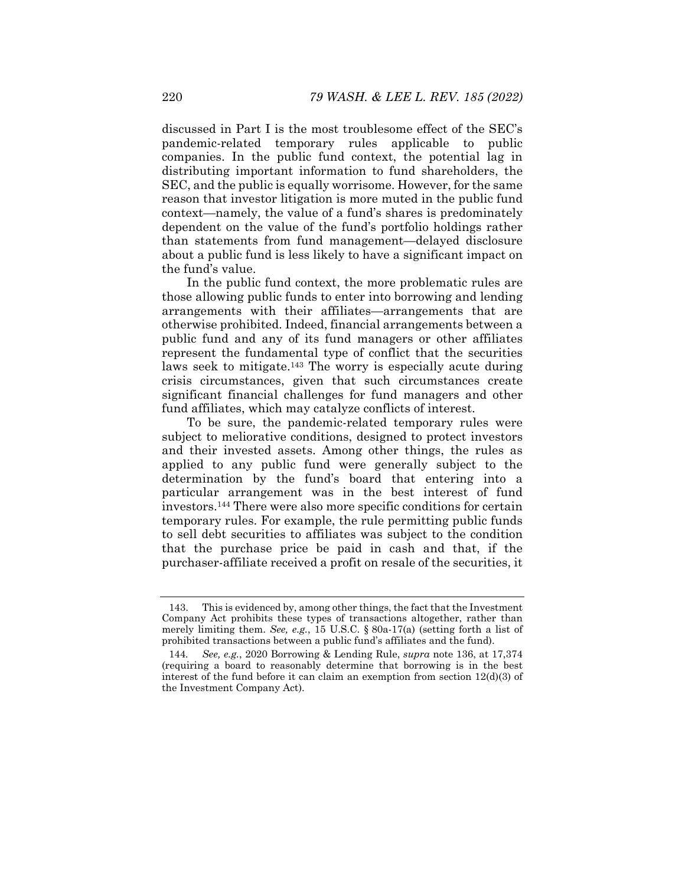discussed in Part I is the most troublesome effect of the SEC's pandemic-related temporary rules applicable to public companies. In the public fund context, the potential lag in distributing important information to fund shareholders, the SEC, and the public is equally worrisome. However, for the same reason that investor litigation is more muted in the public fund context—namely, the value of a fund's shares is predominately dependent on the value of the fund's portfolio holdings rather than statements from fund management—delayed disclosure about a public fund is less likely to have a significant impact on the fund's value.

In the public fund context, the more problematic rules are those allowing public funds to enter into borrowing and lending arrangements with their affiliates—arrangements that are otherwise prohibited. Indeed, financial arrangements between a public fund and any of its fund managers or other affiliates represent the fundamental type of conflict that the securities laws seek to mitigate.<sup>143</sup> The worry is especially acute during crisis circumstances, given that such circumstances create significant financial challenges for fund managers and other fund affiliates, which may catalyze conflicts of interest.

To be sure, the pandemic-related temporary rules were subject to meliorative conditions, designed to protect investors and their invested assets. Among other things, the rules as applied to any public fund were generally subject to the determination by the fund's board that entering into a particular arrangement was in the best interest of fund investors.144 There were also more specific conditions for certain temporary rules. For example, the rule permitting public funds to sell debt securities to affiliates was subject to the condition that the purchase price be paid in cash and that, if the purchaser-affiliate received a profit on resale of the securities, it

 <sup>143.</sup> This is evidenced by, among other things, the fact that the Investment Company Act prohibits these types of transactions altogether, rather than merely limiting them. *See, e.g.*, 15 U.S.C. § 80a-17(a) (setting forth a list of prohibited transactions between a public fund's affiliates and the fund).

<sup>144</sup>*. See, e.g.*, 2020 Borrowing & Lending Rule, *supra* note 136, at 17,374 (requiring a board to reasonably determine that borrowing is in the best interest of the fund before it can claim an exemption from section 12(d)(3) of the Investment Company Act).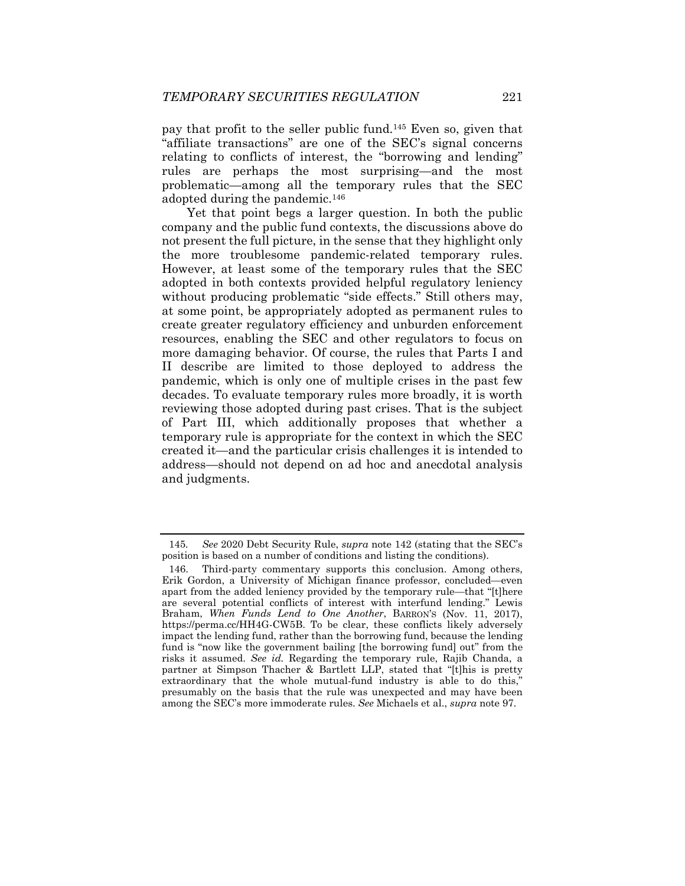pay that profit to the seller public fund.145 Even so, given that "affiliate transactions" are one of the SEC's signal concerns relating to conflicts of interest, the "borrowing and lending" rules are perhaps the most surprising—and the most problematic—among all the temporary rules that the SEC adopted during the pandemic.146

Yet that point begs a larger question. In both the public company and the public fund contexts, the discussions above do not present the full picture, in the sense that they highlight only the more troublesome pandemic-related temporary rules. However, at least some of the temporary rules that the SEC adopted in both contexts provided helpful regulatory leniency without producing problematic "side effects." Still others may, at some point, be appropriately adopted as permanent rules to create greater regulatory efficiency and unburden enforcement resources, enabling the SEC and other regulators to focus on more damaging behavior. Of course, the rules that Parts I and II describe are limited to those deployed to address the pandemic, which is only one of multiple crises in the past few decades. To evaluate temporary rules more broadly, it is worth reviewing those adopted during past crises. That is the subject of Part III, which additionally proposes that whether a temporary rule is appropriate for the context in which the SEC created it—and the particular crisis challenges it is intended to address—should not depend on ad hoc and anecdotal analysis and judgments.

<sup>145</sup>*. See* 2020 Debt Security Rule, *supra* note 142 (stating that the SEC's position is based on a number of conditions and listing the conditions).

 <sup>146.</sup> Third-party commentary supports this conclusion. Among others, Erik Gordon, a University of Michigan finance professor, concluded—even apart from the added leniency provided by the temporary rule—that "[t]here are several potential conflicts of interest with interfund lending." Lewis Braham, *When Funds Lend to One Another*, BARRON'S (Nov. 11, 2017), https://perma.cc/HH4G-CW5B. To be clear, these conflicts likely adversely impact the lending fund, rather than the borrowing fund, because the lending fund is "now like the government bailing [the borrowing fund] out" from the risks it assumed. *See id.* Regarding the temporary rule, Rajib Chanda, a partner at Simpson Thacher & Bartlett LLP, stated that "[t]his is pretty extraordinary that the whole mutual-fund industry is able to do this," presumably on the basis that the rule was unexpected and may have been among the SEC's more immoderate rules. *See* Michaels et al., *supra* note 97.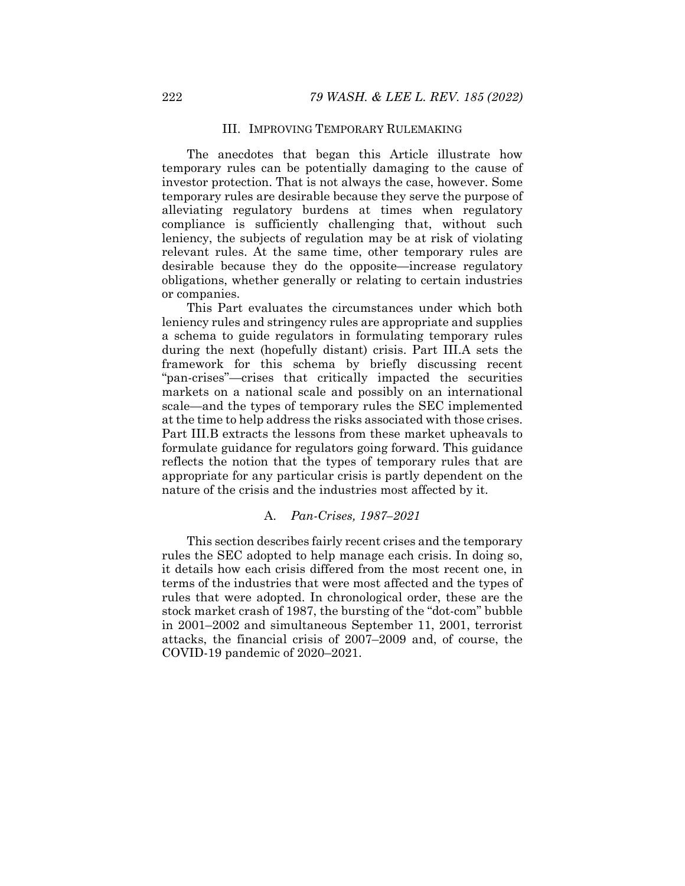# III. IMPROVING TEMPORARY RULEMAKING

The anecdotes that began this Article illustrate how temporary rules can be potentially damaging to the cause of investor protection. That is not always the case, however. Some temporary rules are desirable because they serve the purpose of alleviating regulatory burdens at times when regulatory compliance is sufficiently challenging that, without such leniency, the subjects of regulation may be at risk of violating relevant rules. At the same time, other temporary rules are desirable because they do the opposite—increase regulatory obligations, whether generally or relating to certain industries or companies.

This Part evaluates the circumstances under which both leniency rules and stringency rules are appropriate and supplies a schema to guide regulators in formulating temporary rules during the next (hopefully distant) crisis. Part III.A sets the framework for this schema by briefly discussing recent "pan-crises"—crises that critically impacted the securities markets on a national scale and possibly on an international scale—and the types of temporary rules the SEC implemented at the time to help address the risks associated with those crises. Part III.B extracts the lessons from these market upheavals to formulate guidance for regulators going forward. This guidance reflects the notion that the types of temporary rules that are appropriate for any particular crisis is partly dependent on the nature of the crisis and the industries most affected by it.

# A. *Pan-Crises, 1987–2021*

This section describes fairly recent crises and the temporary rules the SEC adopted to help manage each crisis. In doing so, it details how each crisis differed from the most recent one, in terms of the industries that were most affected and the types of rules that were adopted. In chronological order, these are the stock market crash of 1987, the bursting of the "dot-com" bubble in 2001–2002 and simultaneous September 11, 2001, terrorist attacks, the financial crisis of 2007–2009 and, of course, the COVID-19 pandemic of 2020–2021.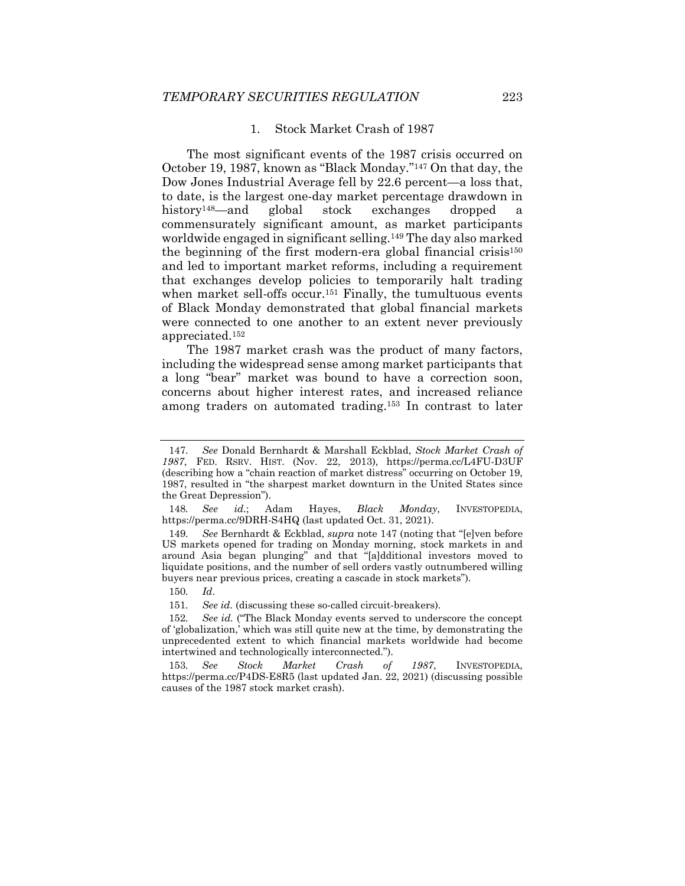# 1. Stock Market Crash of 1987

The most significant events of the 1987 crisis occurred on October 19, 1987, known as "Black Monday."147 On that day, the Dow Jones Industrial Average fell by 22.6 percent—a loss that, to date, is the largest one-day market percentage drawdown in history148—and global stock exchanges dropped a commensurately significant amount, as market participants worldwide engaged in significant selling.149 The day also marked the beginning of the first modern-era global financial crisis<sup>150</sup> and led to important market reforms, including a requirement that exchanges develop policies to temporarily halt trading when market sell-offs occur.<sup>151</sup> Finally, the tumultuous events of Black Monday demonstrated that global financial markets were connected to one another to an extent never previously appreciated.152

The 1987 market crash was the product of many factors, including the widespread sense among market participants that a long "bear" market was bound to have a correction soon, concerns about higher interest rates, and increased reliance among traders on automated trading.153 In contrast to later

<sup>147</sup>*. See* Donald Bernhardt & Marshall Eckblad, *Stock Market Crash of 1987*, FED. RSRV. HIST. (Nov. 22, 2013), https://perma.cc/L4FU-D3UF (describing how a "chain reaction of market distress" occurring on October 19, 1987, resulted in "the sharpest market downturn in the United States since the Great Depression").

<sup>148</sup>*. See id.*; Adam Hayes, *Black Monday*, INVESTOPEDIA, https://perma.cc/9DRH-S4HQ (last updated Oct. 31, 2021).

<sup>149</sup>*. See* Bernhardt & Eckblad, *supra* note 147 (noting that "[e]ven before US markets opened for trading on Monday morning, stock markets in and around Asia began plunging" and that "[a]dditional investors moved to liquidate positions, and the number of sell orders vastly outnumbered willing buyers near previous prices, creating a cascade in stock markets").

<sup>150</sup>*. Id*.

<sup>151</sup>*. See id.* (discussing these so-called circuit-breakers).

<sup>152</sup>*. See id.* ("The Black Monday events served to underscore the concept of 'globalization,' which was still quite new at the time, by demonstrating the unprecedented extent to which financial markets worldwide had become intertwined and technologically interconnected.").

<sup>153</sup>*. See Stock Market Crash of 1987*, INVESTOPEDIA, https://perma.cc/P4DS-E8R5 (last updated Jan. 22, 2021) (discussing possible causes of the 1987 stock market crash).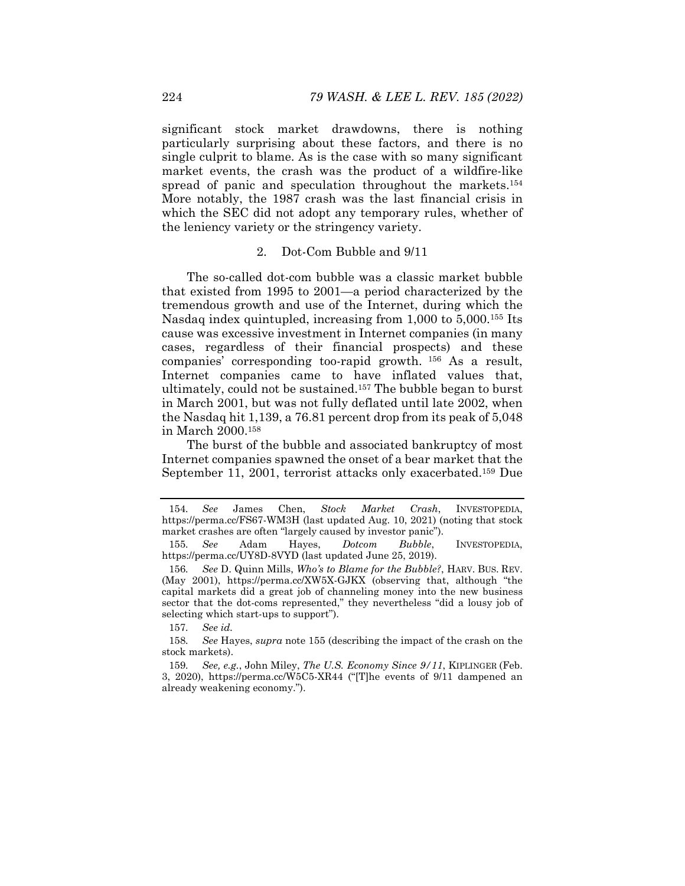significant stock market drawdowns, there is nothing particularly surprising about these factors, and there is no single culprit to blame. As is the case with so many significant market events, the crash was the product of a wildfire-like spread of panic and speculation throughout the markets.<sup>154</sup> More notably, the 1987 crash was the last financial crisis in which the SEC did not adopt any temporary rules, whether of the leniency variety or the stringency variety.

# 2. Dot-Com Bubble and 9/11

The so-called dot-com bubble was a classic market bubble that existed from 1995 to 2001—a period characterized by the tremendous growth and use of the Internet, during which the Nasdaq index quintupled, increasing from 1,000 to 5,000.155 Its cause was excessive investment in Internet companies (in many cases, regardless of their financial prospects) and these companies' corresponding too-rapid growth. 156 As a result, Internet companies came to have inflated values that, ultimately, could not be sustained.157 The bubble began to burst in March 2001, but was not fully deflated until late 2002, when the Nasdaq hit 1,139, a 76.81 percent drop from its peak of 5,048 in March 2000.158

The burst of the bubble and associated bankruptcy of most Internet companies spawned the onset of a bear market that the September 11, 2001, terrorist attacks only exacerbated.<sup>159</sup> Due

<sup>154</sup>*. See* James Chen, *Stock Market Crash*, INVESTOPEDIA, https://perma.cc/FS67-WM3H (last updated Aug. 10, 2021) (noting that stock market crashes are often "largely caused by investor panic").

<sup>155</sup>*. See* Adam Hayes, *Dotcom Bubble*, INVESTOPEDIA, https://perma.cc/UY8D-8VYD (last updated June 25, 2019).

<sup>156</sup>*. See* D. Quinn Mills, *Who's to Blame for the Bubble?*, HARV. BUS. REV. (May 2001), https://perma.cc/XW5X-GJKX (observing that, although "the capital markets did a great job of channeling money into the new business sector that the dot-coms represented," they nevertheless "did a lousy job of selecting which start-ups to support").

<sup>157</sup>*. See id.*

<sup>158</sup>*. See* Hayes, *supra* note 155 (describing the impact of the crash on the stock markets).

<sup>159</sup>*. See, e.g.*, John Miley, *The U.S. Economy Since 9/11*, KIPLINGER (Feb. 3, 2020), https://perma.cc/W5C5-XR44 ("[T]he events of 9/11 dampened an already weakening economy.").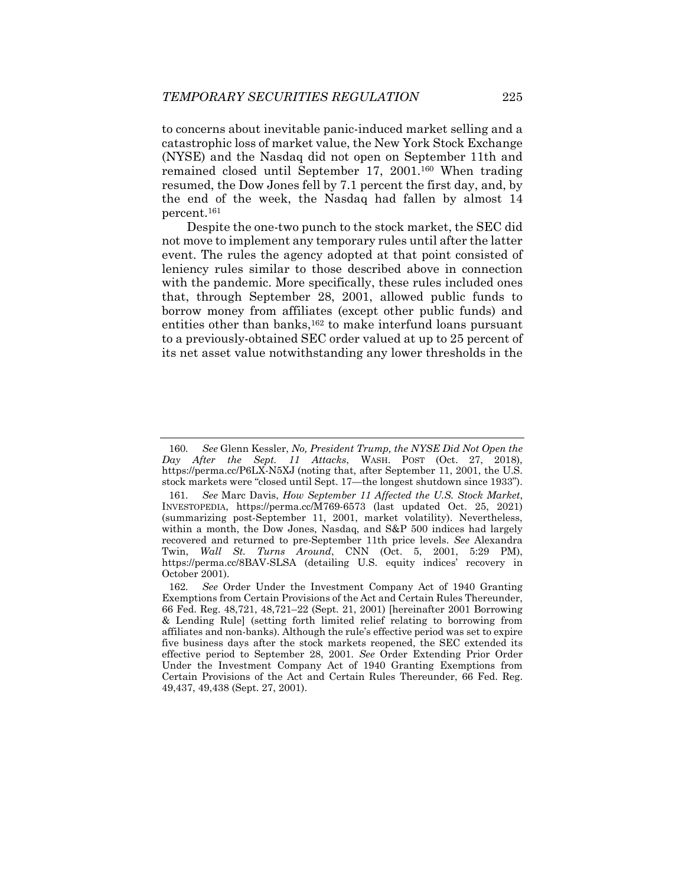to concerns about inevitable panic-induced market selling and a catastrophic loss of market value, the New York Stock Exchange (NYSE) and the Nasdaq did not open on September 11th and remained closed until September 17, 2001.160 When trading resumed, the Dow Jones fell by 7.1 percent the first day, and, by the end of the week, the Nasdaq had fallen by almost 14 percent.161

Despite the one-two punch to the stock market, the SEC did not move to implement any temporary rules until after the latter event. The rules the agency adopted at that point consisted of leniency rules similar to those described above in connection with the pandemic. More specifically, these rules included ones that, through September 28, 2001, allowed public funds to borrow money from affiliates (except other public funds) and entities other than banks,<sup>162</sup> to make interfund loans pursuant to a previously-obtained SEC order valued at up to 25 percent of its net asset value notwithstanding any lower thresholds in the

<sup>160</sup>*. See* Glenn Kessler, *No, President Trump, the NYSE Did Not Open the Day After the Sept. 11 Attacks*, WASH. POST (Oct. 27, 2018), https://perma.cc/P6LX-N5XJ (noting that, after September 11, 2001, the U.S. stock markets were "closed until Sept. 17—the longest shutdown since 1933").

<sup>161</sup>*. See* Marc Davis, *How September 11 Affected the U.S. Stock Market*, INVESTOPEDIA, https://perma.cc/M769-6573 (last updated Oct. 25, 2021) (summarizing post-September 11, 2001, market volatility). Nevertheless, within a month, the Dow Jones, Nasdaq, and S&P 500 indices had largely recovered and returned to pre-September 11th price levels. *See* Alexandra Twin, *Wall St. Turns Around*, CNN (Oct. 5, 2001, 5:29 PM), https://perma.cc/8BAV-SLSA (detailing U.S. equity indices' recovery in October 2001).

<sup>162</sup>*. See* Order Under the Investment Company Act of 1940 Granting Exemptions from Certain Provisions of the Act and Certain Rules Thereunder, 66 Fed. Reg. 48,721, 48,721–22 (Sept. 21, 2001) [hereinafter 2001 Borrowing & Lending Rule] (setting forth limited relief relating to borrowing from affiliates and non-banks). Although the rule's effective period was set to expire five business days after the stock markets reopened, the SEC extended its effective period to September 28, 2001. *See* Order Extending Prior Order Under the Investment Company Act of 1940 Granting Exemptions from Certain Provisions of the Act and Certain Rules Thereunder, 66 Fed. Reg. 49,437, 49,438 (Sept. 27, 2001).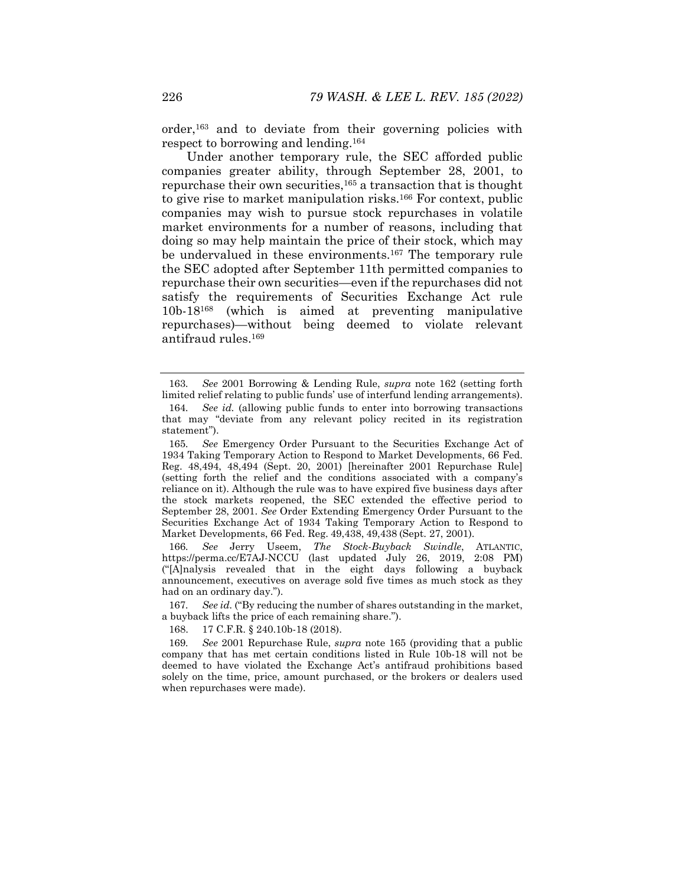order,163 and to deviate from their governing policies with respect to borrowing and lending.164

Under another temporary rule, the SEC afforded public companies greater ability, through September 28, 2001, to repurchase their own securities,  $165$  a transaction that is thought to give rise to market manipulation risks.166 For context, public companies may wish to pursue stock repurchases in volatile market environments for a number of reasons, including that doing so may help maintain the price of their stock, which may be undervalued in these environments.<sup>167</sup> The temporary rule the SEC adopted after September 11th permitted companies to repurchase their own securities—even if the repurchases did not satisfy the requirements of Securities Exchange Act rule 10b-18168 (which is aimed at preventing manipulative repurchases)—without being deemed to violate relevant antifraud rules.169

166*. See* Jerry Useem, *The Stock-Buyback Swindle*, ATLANTIC, https://perma.cc/E7AJ-NCCU (last updated July 26, 2019, 2:08 PM) ("[A]nalysis revealed that in the eight days following a buyback announcement, executives on average sold five times as much stock as they had on an ordinary day.").

167*. See id.* ("By reducing the number of shares outstanding in the market, a buyback lifts the price of each remaining share.").

168. 17 C.F.R. § 240.10b-18 (2018).

169*. See* 2001 Repurchase Rule, *supra* note 165 (providing that a public company that has met certain conditions listed in Rule 10b-18 will not be deemed to have violated the Exchange Act's antifraud prohibitions based solely on the time, price, amount purchased, or the brokers or dealers used when repurchases were made).

<sup>163</sup>*. See* 2001 Borrowing & Lending Rule, *supra* note 162 (setting forth limited relief relating to public funds' use of interfund lending arrangements).

<sup>164</sup>*. See id.* (allowing public funds to enter into borrowing transactions that may "deviate from any relevant policy recited in its registration statement").

<sup>165</sup>*. See* Emergency Order Pursuant to the Securities Exchange Act of 1934 Taking Temporary Action to Respond to Market Developments, 66 Fed. Reg. 48,494, 48,494 (Sept. 20, 2001) [hereinafter 2001 Repurchase Rule] (setting forth the relief and the conditions associated with a company's reliance on it). Although the rule was to have expired five business days after the stock markets reopened, the SEC extended the effective period to September 28, 2001. *See* Order Extending Emergency Order Pursuant to the Securities Exchange Act of 1934 Taking Temporary Action to Respond to Market Developments, 66 Fed. Reg. 49,438, 49,438 (Sept. 27, 2001).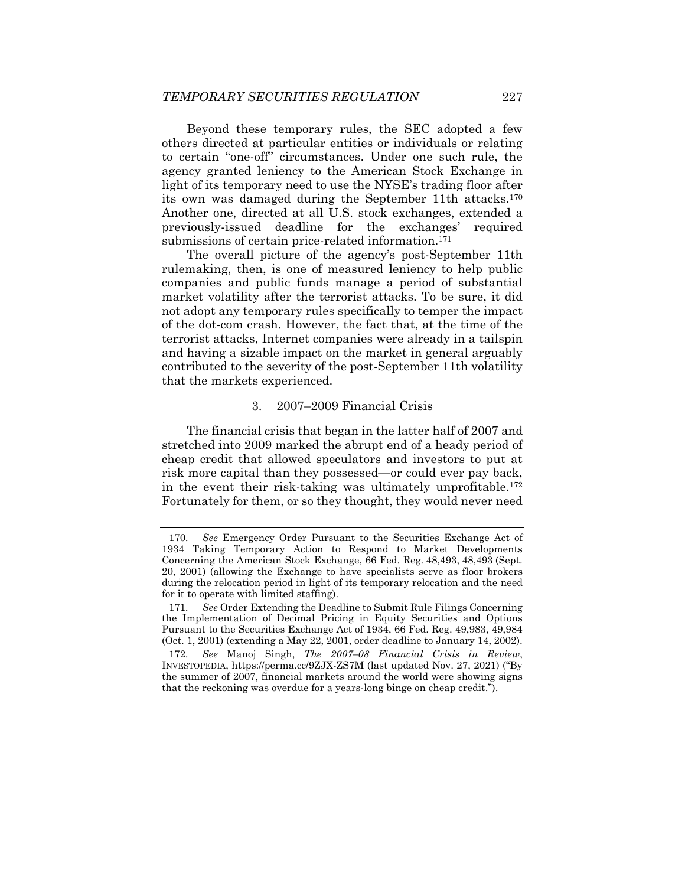Beyond these temporary rules, the SEC adopted a few others directed at particular entities or individuals or relating to certain "one-off" circumstances. Under one such rule, the agency granted leniency to the American Stock Exchange in light of its temporary need to use the NYSE's trading floor after its own was damaged during the September 11th attacks.170 Another one, directed at all U.S. stock exchanges, extended a previously-issued deadline for the exchanges' required submissions of certain price-related information.<sup>171</sup>

The overall picture of the agency's post-September 11th rulemaking, then, is one of measured leniency to help public companies and public funds manage a period of substantial market volatility after the terrorist attacks. To be sure, it did not adopt any temporary rules specifically to temper the impact of the dot-com crash. However, the fact that, at the time of the terrorist attacks, Internet companies were already in a tailspin and having a sizable impact on the market in general arguably contributed to the severity of the post-September 11th volatility that the markets experienced.

# 3. 2007–2009 Financial Crisis

The financial crisis that began in the latter half of 2007 and stretched into 2009 marked the abrupt end of a heady period of cheap credit that allowed speculators and investors to put at risk more capital than they possessed—or could ever pay back, in the event their risk-taking was ultimately unprofitable.172 Fortunately for them, or so they thought, they would never need

<sup>170</sup>*. See* Emergency Order Pursuant to the Securities Exchange Act of 1934 Taking Temporary Action to Respond to Market Developments Concerning the American Stock Exchange, 66 Fed. Reg. 48,493, 48,493 (Sept. 20, 2001) (allowing the Exchange to have specialists serve as floor brokers during the relocation period in light of its temporary relocation and the need for it to operate with limited staffing).

<sup>171</sup>*. See* Order Extending the Deadline to Submit Rule Filings Concerning the Implementation of Decimal Pricing in Equity Securities and Options Pursuant to the Securities Exchange Act of 1934, 66 Fed. Reg. 49,983, 49,984 (Oct. 1, 2001) (extending a May 22, 2001, order deadline to January 14, 2002).

<sup>172</sup>*. See* Manoj Singh, *The 2007–08 Financial Crisis in Review*, INVESTOPEDIA, https://perma.cc/9ZJX-ZS7M (last updated Nov. 27, 2021) ("By the summer of 2007, financial markets around the world were showing signs that the reckoning was overdue for a years-long binge on cheap credit.").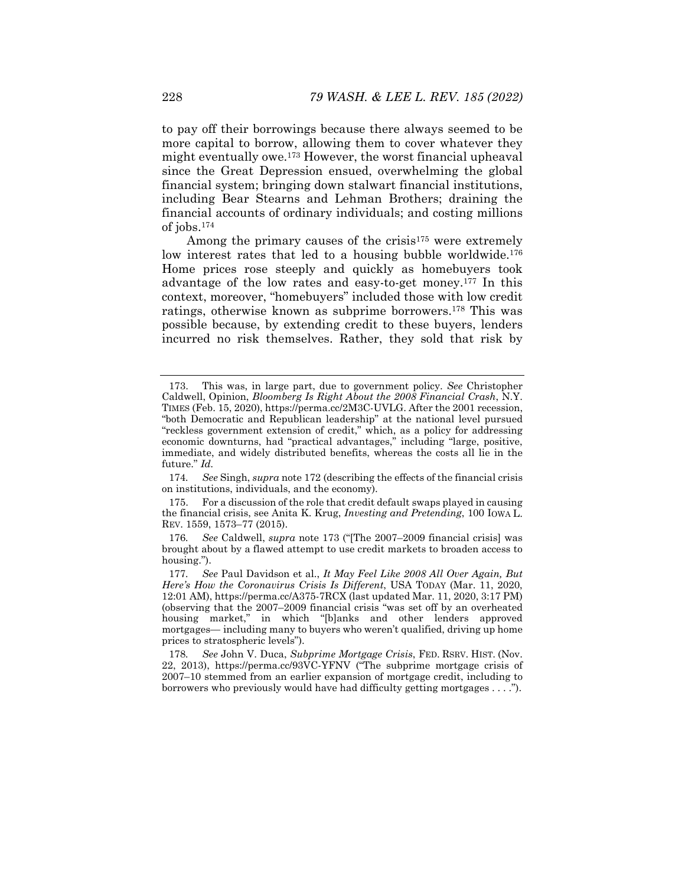to pay off their borrowings because there always seemed to be more capital to borrow, allowing them to cover whatever they might eventually owe.173 However, the worst financial upheaval since the Great Depression ensued, overwhelming the global financial system; bringing down stalwart financial institutions, including Bear Stearns and Lehman Brothers; draining the financial accounts of ordinary individuals; and costing millions of jobs.174

Among the primary causes of the crisis<sup>175</sup> were extremely low interest rates that led to a housing bubble worldwide.<sup>176</sup> Home prices rose steeply and quickly as homebuyers took advantage of the low rates and easy-to-get money.177 In this context, moreover, "homebuyers" included those with low credit ratings, otherwise known as subprime borrowers.178 This was possible because, by extending credit to these buyers, lenders incurred no risk themselves. Rather, they sold that risk by

174*. See* Singh, *supra* note 172 (describing the effects of the financial crisis on institutions, individuals, and the economy).

 175. For a discussion of the role that credit default swaps played in causing the financial crisis, see Anita K. Krug, *Investing and Pretending*, 100 IOWA L. REV. 1559, 1573–77 (2015).

 <sup>173.</sup> This was, in large part, due to government policy. *See* Christopher Caldwell, Opinion, *Bloomberg Is Right About the 2008 Financial Crash*, N.Y. TIMES (Feb. 15, 2020), https://perma.cc/2M3C-UVLG. After the 2001 recession, "both Democratic and Republican leadership" at the national level pursued "reckless government extension of credit," which, as a policy for addressing economic downturns, had "practical advantages," including "large, positive, immediate, and widely distributed benefits, whereas the costs all lie in the future." *Id.* 

<sup>176</sup>*. See* Caldwell, *supra* note 173 ("[The 2007–2009 financial crisis] was brought about by a flawed attempt to use credit markets to broaden access to housing.").

<sup>177</sup>*. See* Paul Davidson et al., *It May Feel Like 2008 All Over Again, But Here's How the Coronavirus Crisis Is Different*, USA TODAY (Mar. 11, 2020, 12:01 AM), https://perma.cc/A375-7RCX (last updated Mar. 11, 2020, 3:17 PM) (observing that the 2007–2009 financial crisis "was set off by an overheated housing market," in which "[b]anks and other lenders approved mortgages— including many to buyers who weren't qualified, driving up home prices to stratospheric levels").

<sup>178</sup>*. See* John V. Duca, *Subprime Mortgage Crisis*, FED. RSRV. HIST. (Nov. 22, 2013), https://perma.cc/93VC-YFNV ("The subprime mortgage crisis of 2007–10 stemmed from an earlier expansion of mortgage credit, including to borrowers who previously would have had difficulty getting mortgages . . . .").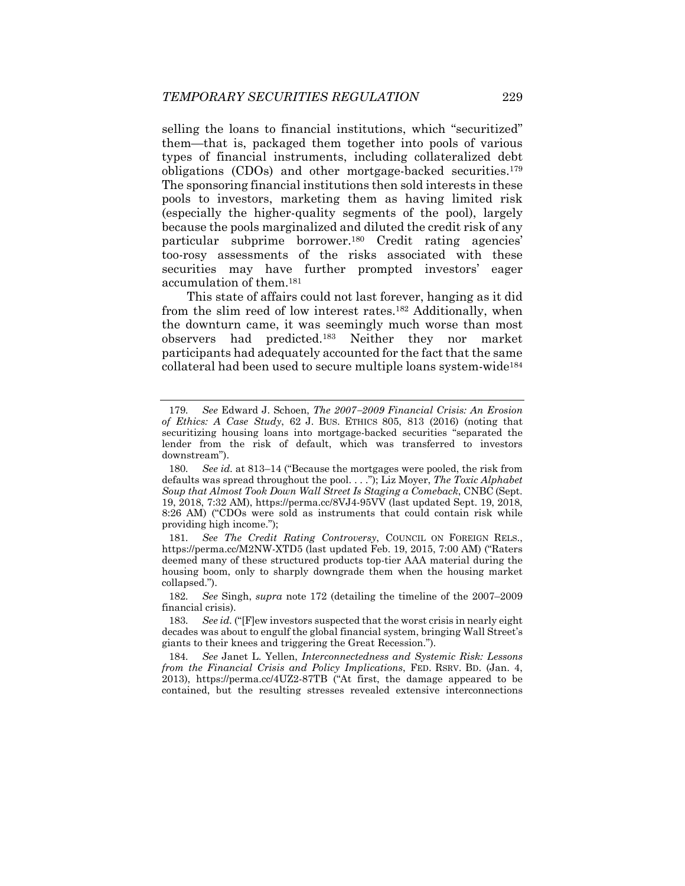selling the loans to financial institutions, which "securitized" them—that is, packaged them together into pools of various types of financial instruments, including collateralized debt obligations (CDOs) and other mortgage-backed securities.179 The sponsoring financial institutions then sold interests in these pools to investors, marketing them as having limited risk (especially the higher-quality segments of the pool), largely because the pools marginalized and diluted the credit risk of any particular subprime borrower.180 Credit rating agencies' too-rosy assessments of the risks associated with these securities may have further prompted investors' eager accumulation of them.181

This state of affairs could not last forever, hanging as it did from the slim reed of low interest rates.182 Additionally, when the downturn came, it was seemingly much worse than most observers had predicted.183 Neither they nor market participants had adequately accounted for the fact that the same collateral had been used to secure multiple loans system-wide184

<sup>179</sup>*. See* Edward J. Schoen, *The 20072009 Financial Crisis: An Erosion of Ethics: A Case Study*, 62 J. BUS. ETHICS 805, 813 (2016) (noting that securitizing housing loans into mortgage-backed securities "separated the lender from the risk of default, which was transferred to investors downstream").

<sup>180</sup>*. See id.* at 813–14 ("Because the mortgages were pooled, the risk from defaults was spread throughout the pool. . . ."); Liz Moyer, *The Toxic Alphabet Soup that Almost Took Down Wall Street Is Staging a Comeback*, CNBC (Sept. 19, 2018, 7:32 AM), https://perma.cc/8VJ4-95VV (last updated Sept. 19, 2018, 8:26 AM) ("CDOs were sold as instruments that could contain risk while providing high income.");

<sup>181</sup>*. See The Credit Rating Controversy*, COUNCIL ON FOREIGN RELS., https://perma.cc/M2NW-XTD5 (last updated Feb. 19, 2015, 7:00 AM) ("Raters deemed many of these structured products top-tier AAA material during the housing boom, only to sharply downgrade them when the housing market collapsed.").

<sup>182</sup>*. See* Singh, *supra* note 172 (detailing the timeline of the 2007–2009 financial crisis).

<sup>183</sup>*. See id.* ("[F]ew investors suspected that the worst crisis in nearly eight decades was about to engulf the global financial system, bringing Wall Street's giants to their knees and triggering the Great Recession.").

<sup>184</sup>*. See* Janet L. Yellen, *Interconnectedness and Systemic Risk: Lessons from the Financial Crisis and Policy Implications*, FED. RSRV. BD. (Jan. 4, 2013), https://perma.cc/4UZ2-87TB ("At first, the damage appeared to be contained, but the resulting stresses revealed extensive interconnections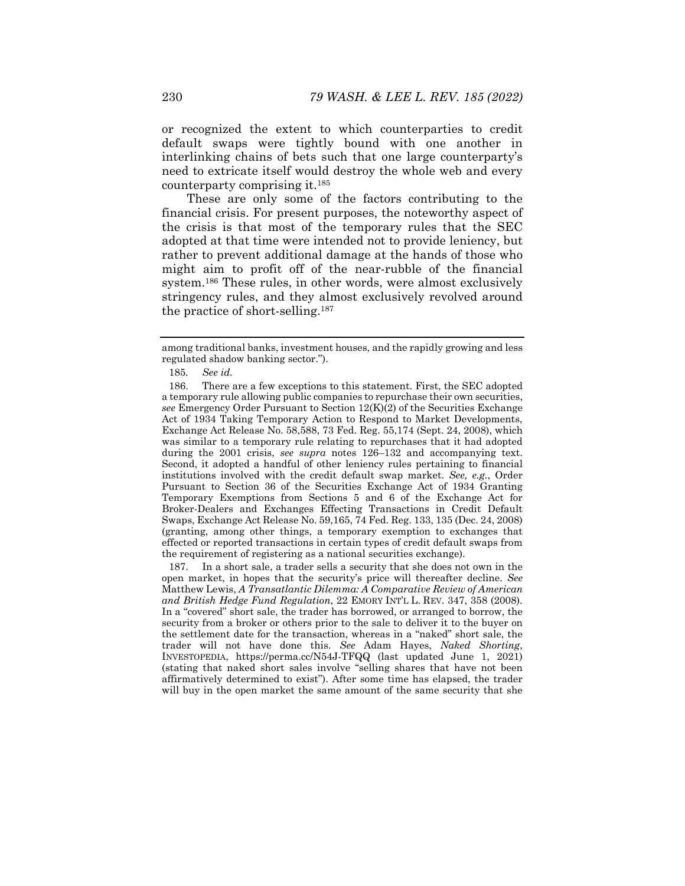or recognized the extent to which counterparties to credit default swaps were tightly bound with one another in interlinking chains of bets such that one large counterparty's need to extricate itself would destroy the whole web and every counterparty comprising it.185

These are only some of the factors contributing to the financial crisis. For present purposes, the noteworthy aspect of the crisis is that most of the temporary rules that the SEC adopted at that time were intended not to provide leniency, but rather to prevent additional damage at the hands of those who might aim to profit off of the near-rubble of the financial system.186 These rules, in other words, were almost exclusively stringency rules, and they almost exclusively revolved around the practice of short-selling.187

 187. In a short sale, a trader sells a security that she does not own in the open market, in hopes that the security's price will thereafter decline. *See* Matthew Lewis, *A Transatlantic Dilemma: A Comparative Review of American and British Hedge Fund Regulation*, 22 EMORY INT'L L. REV. 347, 358 (2008). In a "covered" short sale, the trader has borrowed, or arranged to borrow, the security from a broker or others prior to the sale to deliver it to the buyer on the settlement date for the transaction, whereas in a "naked" short sale, the trader will not have done this. *See* Adam Hayes, *Naked Shorting*, INVESTOPEDIA, https://perma.cc/N54J-TFQQ (last updated June 1, 2021) (stating that naked short sales involve "selling shares that have not been affirmatively determined to exist"). After some time has elapsed, the trader will buy in the open market the same amount of the same security that she

among traditional banks, investment houses, and the rapidly growing and less regulated shadow banking sector.").

<sup>185</sup>*. See id.*

 <sup>186.</sup> There are a few exceptions to this statement. First, the SEC adopted a temporary rule allowing public companies to repurchase their own securities, *see* Emergency Order Pursuant to Section 12(K)(2) of the Securities Exchange Act of 1934 Taking Temporary Action to Respond to Market Developments, Exchange Act Release No. 58,588, 73 Fed. Reg. 55,174 (Sept. 24, 2008), which was similar to a temporary rule relating to repurchases that it had adopted during the 2001 crisis, *see supra* notes 126–132 and accompanying text. Second, it adopted a handful of other leniency rules pertaining to financial institutions involved with the credit default swap market. *See, e.g.*, Order Pursuant to Section 36 of the Securities Exchange Act of 1934 Granting Temporary Exemptions from Sections 5 and 6 of the Exchange Act for Broker-Dealers and Exchanges Effecting Transactions in Credit Default Swaps, Exchange Act Release No. 59,165, 74 Fed. Reg. 133, 135 (Dec. 24, 2008) (granting, among other things, a temporary exemption to exchanges that effected or reported transactions in certain types of credit default swaps from the requirement of registering as a national securities exchange).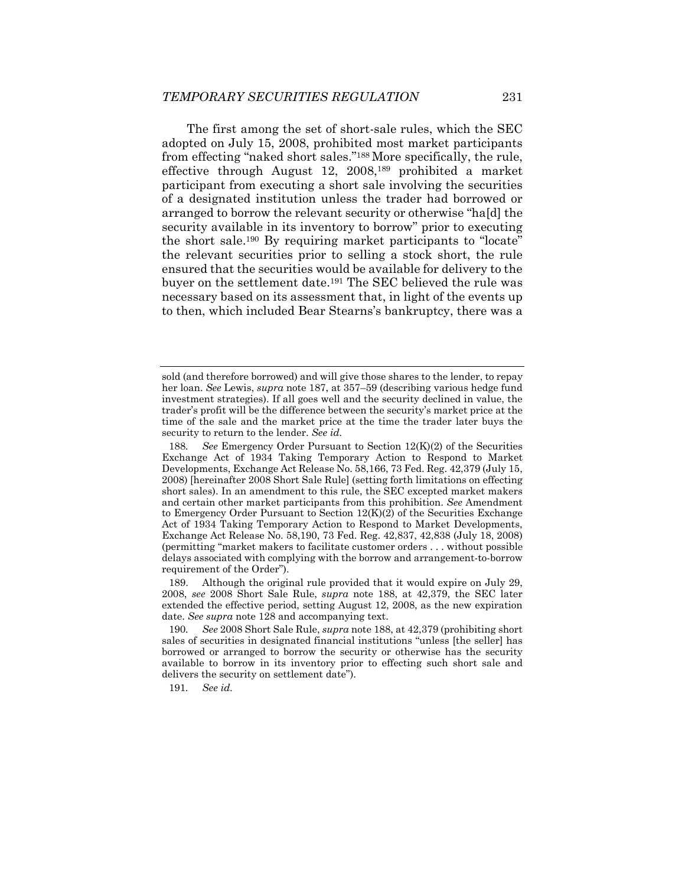The first among the set of short-sale rules, which the SEC adopted on July 15, 2008, prohibited most market participants from effecting "naked short sales."188 More specifically, the rule, effective through August 12, 2008,189 prohibited a market participant from executing a short sale involving the securities of a designated institution unless the trader had borrowed or arranged to borrow the relevant security or otherwise "ha[d] the security available in its inventory to borrow" prior to executing the short sale.190 By requiring market participants to "locate" the relevant securities prior to selling a stock short, the rule ensured that the securities would be available for delivery to the buyer on the settlement date.191 The SEC believed the rule was necessary based on its assessment that, in light of the events up to then, which included Bear Stearns's bankruptcy, there was a

191*. See id.*

sold (and therefore borrowed) and will give those shares to the lender, to repay her loan. *See* Lewis, *supra* note 187, at 357–59 (describing various hedge fund investment strategies). If all goes well and the security declined in value, the trader's profit will be the difference between the security's market price at the time of the sale and the market price at the time the trader later buys the security to return to the lender. *See id.*

<sup>188</sup>*. See* Emergency Order Pursuant to Section 12(K)(2) of the Securities Exchange Act of 1934 Taking Temporary Action to Respond to Market Developments, Exchange Act Release No. 58,166, 73 Fed. Reg. 42,379 (July 15, 2008) [hereinafter 2008 Short Sale Rule] (setting forth limitations on effecting short sales). In an amendment to this rule, the SEC excepted market makers and certain other market participants from this prohibition. *See* Amendment to Emergency Order Pursuant to Section  $12(K)(2)$  of the Securities Exchange Act of 1934 Taking Temporary Action to Respond to Market Developments, Exchange Act Release No. 58,190, 73 Fed. Reg. 42,837, 42,838 (July 18, 2008) (permitting "market makers to facilitate customer orders . . . without possible delays associated with complying with the borrow and arrangement-to-borrow requirement of the Order").

 <sup>189.</sup> Although the original rule provided that it would expire on July 29, 2008, *see* 2008 Short Sale Rule, *supra* note 188, at 42,379, the SEC later extended the effective period, setting August 12, 2008, as the new expiration date. *See supra* note 128 and accompanying text.

<sup>190</sup>*. See* 2008 Short Sale Rule, *supra* note 188, at 42,379 (prohibiting short sales of securities in designated financial institutions "unless [the seller] has borrowed or arranged to borrow the security or otherwise has the security available to borrow in its inventory prior to effecting such short sale and delivers the security on settlement date").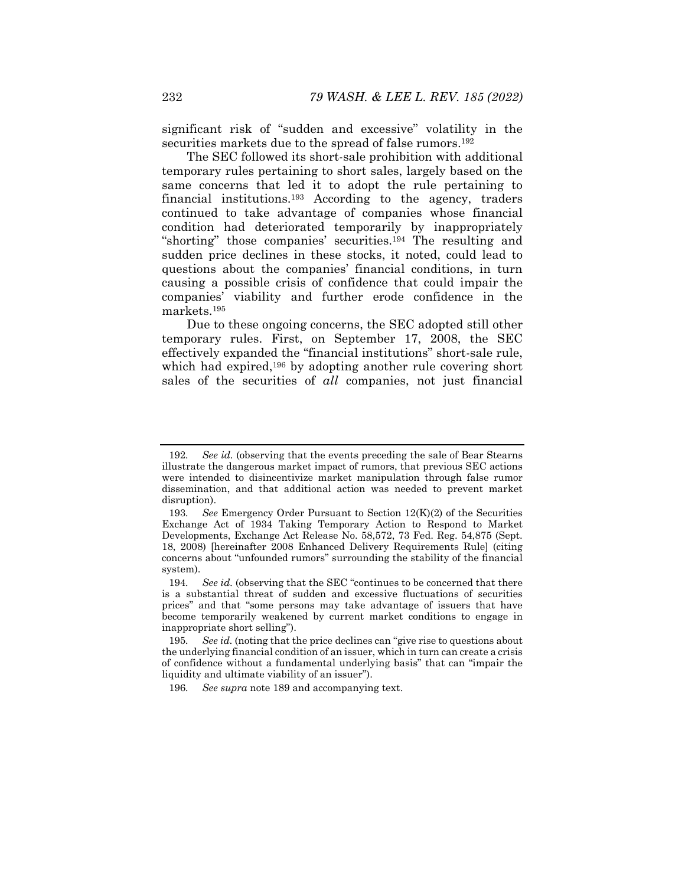significant risk of "sudden and excessive" volatility in the securities markets due to the spread of false rumors.<sup>192</sup>

The SEC followed its short-sale prohibition with additional temporary rules pertaining to short sales, largely based on the same concerns that led it to adopt the rule pertaining to financial institutions.193 According to the agency, traders continued to take advantage of companies whose financial condition had deteriorated temporarily by inappropriately "shorting" those companies' securities.194 The resulting and sudden price declines in these stocks, it noted, could lead to questions about the companies' financial conditions, in turn causing a possible crisis of confidence that could impair the companies' viability and further erode confidence in the markets.195

Due to these ongoing concerns, the SEC adopted still other temporary rules. First, on September 17, 2008, the SEC effectively expanded the "financial institutions" short-sale rule, which had expired,<sup>196</sup> by adopting another rule covering short sales of the securities of *all* companies, not just financial

<sup>192</sup>*. See id.* (observing that the events preceding the sale of Bear Stearns illustrate the dangerous market impact of rumors, that previous SEC actions were intended to disincentivize market manipulation through false rumor dissemination, and that additional action was needed to prevent market disruption).

<sup>193</sup>*. See* Emergency Order Pursuant to Section 12(K)(2) of the Securities Exchange Act of 1934 Taking Temporary Action to Respond to Market Developments, Exchange Act Release No. 58,572, 73 Fed. Reg. 54,875 (Sept. 18, 2008) [hereinafter 2008 Enhanced Delivery Requirements Rule] (citing concerns about "unfounded rumors" surrounding the stability of the financial system).

<sup>194</sup>*. See id.* (observing that the SEC "continues to be concerned that there is a substantial threat of sudden and excessive fluctuations of securities prices" and that "some persons may take advantage of issuers that have become temporarily weakened by current market conditions to engage in inappropriate short selling").

<sup>195</sup>*. See id.* (noting that the price declines can "give rise to questions about the underlying financial condition of an issuer, which in turn can create a crisis of confidence without a fundamental underlying basis" that can "impair the liquidity and ultimate viability of an issuer").

<sup>196</sup>*. See supra* note 189 and accompanying text.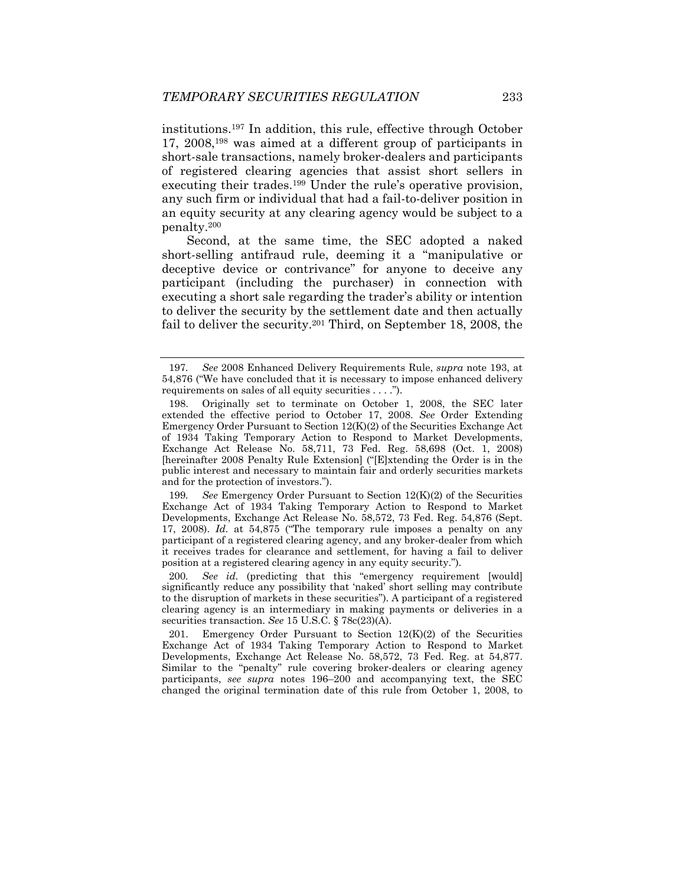institutions.197 In addition, this rule, effective through October 17, 2008,198 was aimed at a different group of participants in short-sale transactions, namely broker-dealers and participants of registered clearing agencies that assist short sellers in executing their trades.<sup>199</sup> Under the rule's operative provision, any such firm or individual that had a fail-to-deliver position in an equity security at any clearing agency would be subject to a penalty.200

Second, at the same time, the SEC adopted a naked short-selling antifraud rule, deeming it a "manipulative or deceptive device or contrivance" for anyone to deceive any participant (including the purchaser) in connection with executing a short sale regarding the trader's ability or intention to deliver the security by the settlement date and then actually fail to deliver the security.<sup>201</sup> Third, on September 18, 2008, the

199*. See* Emergency Order Pursuant to Section 12(K)(2) of the Securities Exchange Act of 1934 Taking Temporary Action to Respond to Market Developments, Exchange Act Release No. 58,572, 73 Fed. Reg. 54,876 (Sept. 17, 2008). *Id.* at 54,875 ("The temporary rule imposes a penalty on any participant of a registered clearing agency, and any broker-dealer from which it receives trades for clearance and settlement, for having a fail to deliver position at a registered clearing agency in any equity security.").

200*. See id.* (predicting that this "emergency requirement [would] significantly reduce any possibility that 'naked' short selling may contribute to the disruption of markets in these securities"). A participant of a registered clearing agency is an intermediary in making payments or deliveries in a securities transaction. *See* 15 U.S.C. § 78c(23)(A).

 201. Emergency Order Pursuant to Section 12(K)(2) of the Securities Exchange Act of 1934 Taking Temporary Action to Respond to Market Developments, Exchange Act Release No. 58,572, 73 Fed. Reg. at 54,877. Similar to the "penalty" rule covering broker-dealers or clearing agency participants, *see supra* notes 196–200 and accompanying text, the SEC changed the original termination date of this rule from October 1, 2008, to

<sup>197</sup>*. See* 2008 Enhanced Delivery Requirements Rule, *supra* note 193, at 54,876 ("We have concluded that it is necessary to impose enhanced delivery requirements on sales of all equity securities . . . .").

 <sup>198.</sup> Originally set to terminate on October 1, 2008, the SEC later extended the effective period to October 17, 2008. *See* Order Extending Emergency Order Pursuant to Section 12(K)(2) of the Securities Exchange Act of 1934 Taking Temporary Action to Respond to Market Developments, Exchange Act Release No. 58,711, 73 Fed. Reg. 58,698 (Oct. 1, 2008) [hereinafter 2008 Penalty Rule Extension] ("[E]xtending the Order is in the public interest and necessary to maintain fair and orderly securities markets and for the protection of investors.").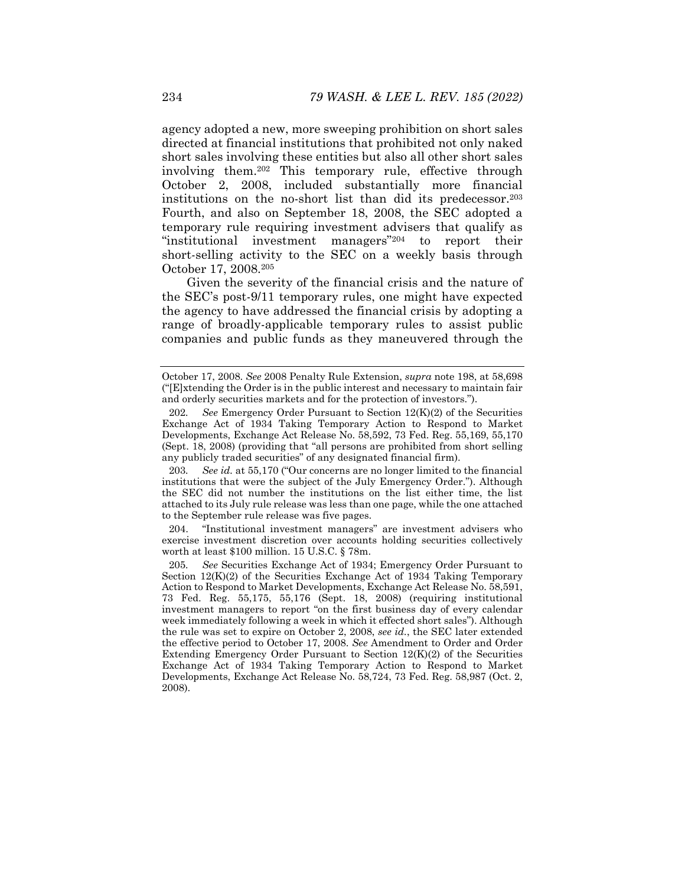agency adopted a new, more sweeping prohibition on short sales directed at financial institutions that prohibited not only naked short sales involving these entities but also all other short sales involving them.202 This temporary rule, effective through October 2, 2008, included substantially more financial institutions on the no-short list than did its predecessor.203 Fourth, and also on September 18, 2008, the SEC adopted a temporary rule requiring investment advisers that qualify as "institutional investment managers"204 to report their short-selling activity to the SEC on a weekly basis through October 17, 2008.205

Given the severity of the financial crisis and the nature of the SEC's post-9/11 temporary rules, one might have expected the agency to have addressed the financial crisis by adopting a range of broadly-applicable temporary rules to assist public companies and public funds as they maneuvered through the

203*. See id.* at 55,170 ("Our concerns are no longer limited to the financial institutions that were the subject of the July Emergency Order."). Although the SEC did not number the institutions on the list either time, the list attached to its July rule release was less than one page, while the one attached to the September rule release was five pages.

 204. "Institutional investment managers" are investment advisers who exercise investment discretion over accounts holding securities collectively worth at least \$100 million. 15 U.S.C. § 78m.

October 17, 2008. *See* 2008 Penalty Rule Extension, *supra* note 198, at 58,698 ("[E]xtending the Order is in the public interest and necessary to maintain fair and orderly securities markets and for the protection of investors.").

<sup>202</sup>*. See* Emergency Order Pursuant to Section 12(K)(2) of the Securities Exchange Act of 1934 Taking Temporary Action to Respond to Market Developments, Exchange Act Release No. 58,592, 73 Fed. Reg. 55,169, 55,170 (Sept. 18, 2008) (providing that "all persons are prohibited from short selling any publicly traded securities" of any designated financial firm).

<sup>205</sup>*. See* Securities Exchange Act of 1934; Emergency Order Pursuant to Section 12(K)(2) of the Securities Exchange Act of 1934 Taking Temporary Action to Respond to Market Developments, Exchange Act Release No. 58,591, 73 Fed. Reg. 55,175, 55,176 (Sept. 18, 2008) (requiring institutional investment managers to report "on the first business day of every calendar week immediately following a week in which it effected short sales"). Although the rule was set to expire on October 2, 2008, *see id.*, the SEC later extended the effective period to October 17, 2008. *See* Amendment to Order and Order Extending Emergency Order Pursuant to Section  $12(K)(2)$  of the Securities Exchange Act of 1934 Taking Temporary Action to Respond to Market Developments, Exchange Act Release No. 58,724, 73 Fed. Reg. 58,987 (Oct. 2, 2008).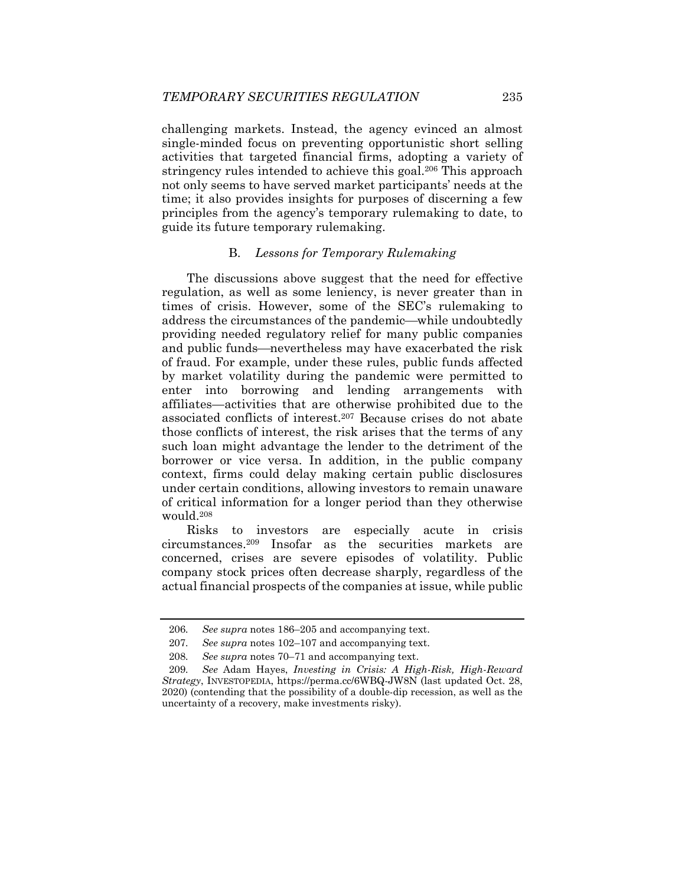challenging markets. Instead, the agency evinced an almost single-minded focus on preventing opportunistic short selling activities that targeted financial firms, adopting a variety of stringency rules intended to achieve this goal.206 This approach not only seems to have served market participants' needs at the time; it also provides insights for purposes of discerning a few principles from the agency's temporary rulemaking to date, to guide its future temporary rulemaking.

# B. *Lessons for Temporary Rulemaking*

The discussions above suggest that the need for effective regulation, as well as some leniency, is never greater than in times of crisis. However, some of the SEC's rulemaking to address the circumstances of the pandemic—while undoubtedly providing needed regulatory relief for many public companies and public funds—nevertheless may have exacerbated the risk of fraud. For example, under these rules, public funds affected by market volatility during the pandemic were permitted to enter into borrowing and lending arrangements with affiliates—activities that are otherwise prohibited due to the associated conflicts of interest.207 Because crises do not abate those conflicts of interest, the risk arises that the terms of any such loan might advantage the lender to the detriment of the borrower or vice versa. In addition, in the public company context, firms could delay making certain public disclosures under certain conditions, allowing investors to remain unaware of critical information for a longer period than they otherwise would.208

Risks to investors are especially acute in crisis circumstances.209 Insofar as the securities markets are concerned, crises are severe episodes of volatility. Public company stock prices often decrease sharply, regardless of the actual financial prospects of the companies at issue, while public

<sup>206</sup>*. See supra* notes 186–205 and accompanying text.

<sup>207</sup>*. See supra* notes 102–107 and accompanying text.

<sup>208</sup>*. See supra* notes 70–71 and accompanying text.

<sup>209</sup>*. See* Adam Hayes, *Investing in Crisis: A High-Risk, High-Reward Strategy*, INVESTOPEDIA, https://perma.cc/6WBQ-JW8N (last updated Oct. 28, 2020) (contending that the possibility of a double-dip recession, as well as the uncertainty of a recovery, make investments risky).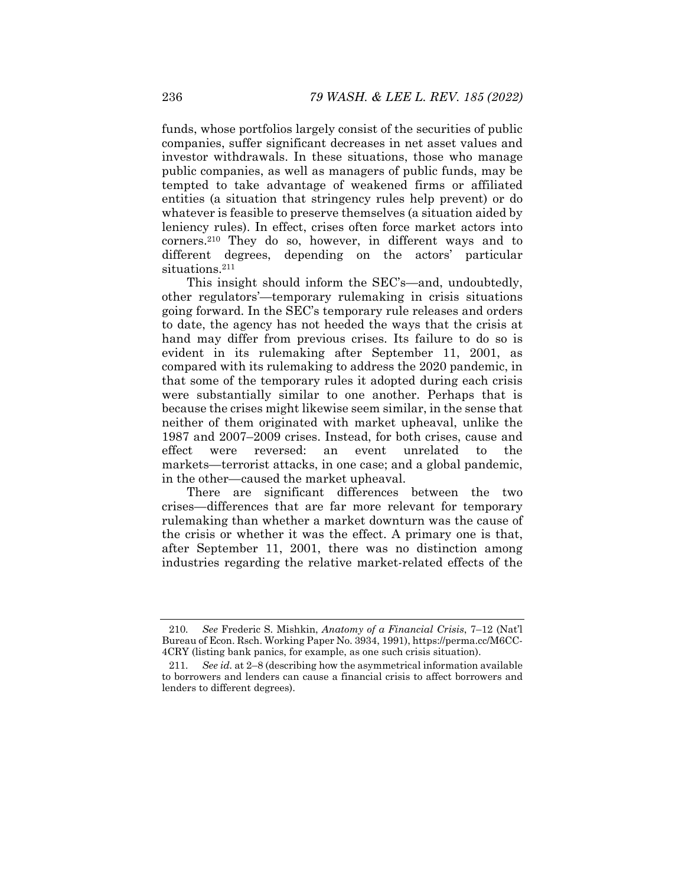funds, whose portfolios largely consist of the securities of public companies, suffer significant decreases in net asset values and investor withdrawals. In these situations, those who manage public companies, as well as managers of public funds, may be tempted to take advantage of weakened firms or affiliated entities (a situation that stringency rules help prevent) or do whatever is feasible to preserve themselves (a situation aided by leniency rules). In effect, crises often force market actors into corners.210 They do so, however, in different ways and to different degrees, depending on the actors' particular situations.<sup>211</sup>

This insight should inform the SEC's—and, undoubtedly, other regulators'—temporary rulemaking in crisis situations going forward. In the SEC's temporary rule releases and orders to date, the agency has not heeded the ways that the crisis at hand may differ from previous crises. Its failure to do so is evident in its rulemaking after September 11, 2001, as compared with its rulemaking to address the 2020 pandemic, in that some of the temporary rules it adopted during each crisis were substantially similar to one another. Perhaps that is because the crises might likewise seem similar, in the sense that neither of them originated with market upheaval, unlike the 1987 and 2007–2009 crises. Instead, for both crises, cause and effect were reversed: an event unrelated to the markets—terrorist attacks, in one case; and a global pandemic, in the other—caused the market upheaval.

There are significant differences between the two crises—differences that are far more relevant for temporary rulemaking than whether a market downturn was the cause of the crisis or whether it was the effect. A primary one is that, after September 11, 2001, there was no distinction among industries regarding the relative market-related effects of the

<sup>210</sup>*. See* Frederic S. Mishkin, *Anatomy of a Financial Crisis*, 7–12 (Nat'l Bureau of Econ. Rsch. Working Paper No. 3934, 1991), https://perma.cc/M6CC-4CRY (listing bank panics, for example, as one such crisis situation).

<sup>211</sup>*. See id.* at 2–8 (describing how the asymmetrical information available to borrowers and lenders can cause a financial crisis to affect borrowers and lenders to different degrees).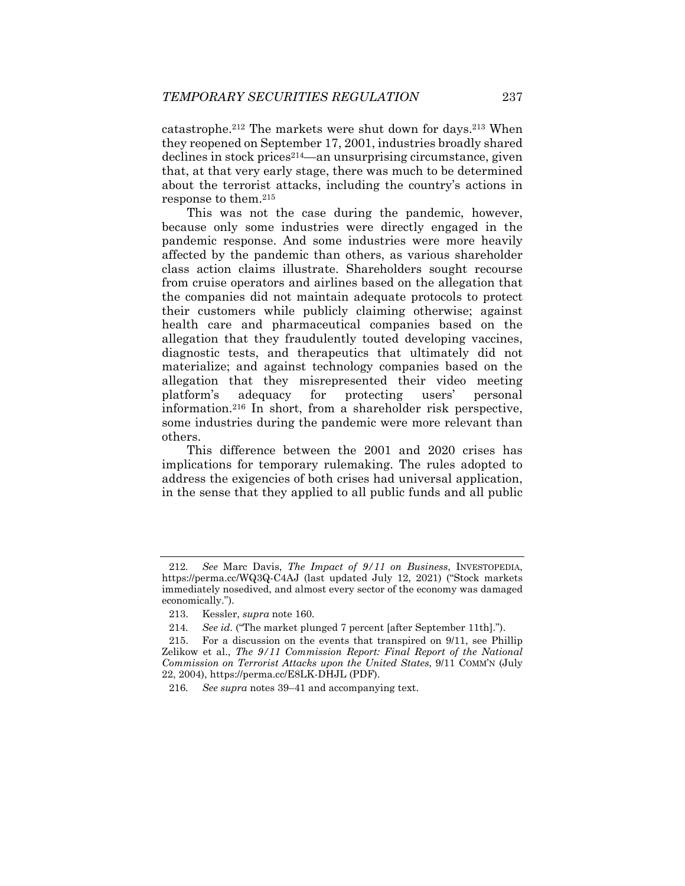catastrophe.212 The markets were shut down for days.213 When they reopened on September 17, 2001, industries broadly shared declines in stock prices214—an unsurprising circumstance, given that, at that very early stage, there was much to be determined about the terrorist attacks, including the country's actions in response to them.215

This was not the case during the pandemic, however, because only some industries were directly engaged in the pandemic response. And some industries were more heavily affected by the pandemic than others, as various shareholder class action claims illustrate. Shareholders sought recourse from cruise operators and airlines based on the allegation that the companies did not maintain adequate protocols to protect their customers while publicly claiming otherwise; against health care and pharmaceutical companies based on the allegation that they fraudulently touted developing vaccines, diagnostic tests, and therapeutics that ultimately did not materialize; and against technology companies based on the allegation that they misrepresented their video meeting platform's adequacy for protecting users' personal information.216 In short, from a shareholder risk perspective, some industries during the pandemic were more relevant than others.

This difference between the 2001 and 2020 crises has implications for temporary rulemaking. The rules adopted to address the exigencies of both crises had universal application, in the sense that they applied to all public funds and all public

<sup>212</sup>*. See* Marc Davis, *The Impact of 9/11 on Business*, INVESTOPEDIA, https://perma.cc/WQ3Q-C4AJ (last updated July 12, 2021) ("Stock markets immediately nosedived, and almost every sector of the economy was damaged economically.").

 <sup>213.</sup> Kessler, *supra* note 160.

<sup>214</sup>*. See id.* ("The market plunged 7 percent [after September 11th].").

For a discussion on the events that transpired on 9/11, see Phillip Zelikow et al., *The 9/11 Commission Report: Final Report of the National Commission on Terrorist Attacks upon the United States*, 9/11 COMM'N (July 22, 2004), https://perma.cc/E8LK-DHJL (PDF).

<sup>216</sup>*. See supra* notes 39–41 and accompanying text.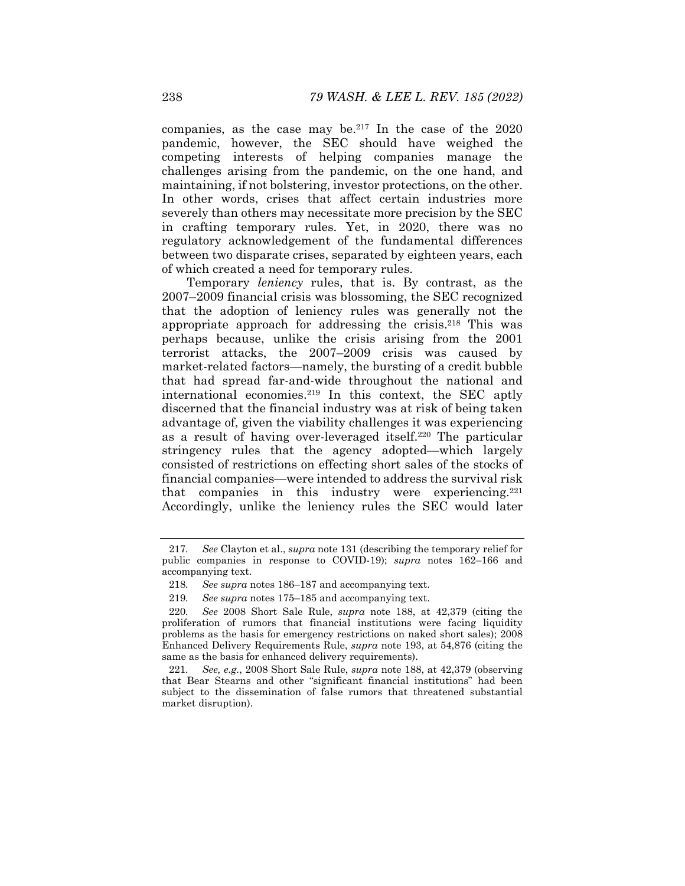companies, as the case may be.217 In the case of the 2020 pandemic, however, the SEC should have weighed the competing interests of helping companies manage the challenges arising from the pandemic, on the one hand, and maintaining, if not bolstering, investor protections, on the other. In other words, crises that affect certain industries more severely than others may necessitate more precision by the SEC in crafting temporary rules. Yet, in 2020, there was no regulatory acknowledgement of the fundamental differences between two disparate crises, separated by eighteen years, each of which created a need for temporary rules.

Temporary *leniency* rules, that is. By contrast, as the 2007–2009 financial crisis was blossoming, the SEC recognized that the adoption of leniency rules was generally not the appropriate approach for addressing the crisis.218 This was perhaps because, unlike the crisis arising from the 2001 terrorist attacks, the 2007–2009 crisis was caused by market-related factors—namely, the bursting of a credit bubble that had spread far-and-wide throughout the national and international economies.219 In this context, the SEC aptly discerned that the financial industry was at risk of being taken advantage of, given the viability challenges it was experiencing as a result of having over-leveraged itself.220 The particular stringency rules that the agency adopted—which largely consisted of restrictions on effecting short sales of the stocks of financial companies—were intended to address the survival risk that companies in this industry were experiencing.<sup>221</sup> Accordingly, unlike the leniency rules the SEC would later

<sup>217</sup>*. See* Clayton et al., *supra* note 131 (describing the temporary relief for public companies in response to COVID-19); *supra* notes 162–166 and accompanying text.

<sup>218</sup>*. See supra* notes 186–187 and accompanying text.

<sup>219</sup>*. See supra* notes 175–185 and accompanying text.

<sup>220</sup>*. See* 2008 Short Sale Rule, *supra* note 188, at 42,379 (citing the proliferation of rumors that financial institutions were facing liquidity problems as the basis for emergency restrictions on naked short sales); 2008 Enhanced Delivery Requirements Rule, *supra* note 193, at 54,876 (citing the same as the basis for enhanced delivery requirements).

<sup>221</sup>*. See, e.g.*, 2008 Short Sale Rule, *supra* note 188, at 42,379 (observing that Bear Stearns and other "significant financial institutions" had been subject to the dissemination of false rumors that threatened substantial market disruption).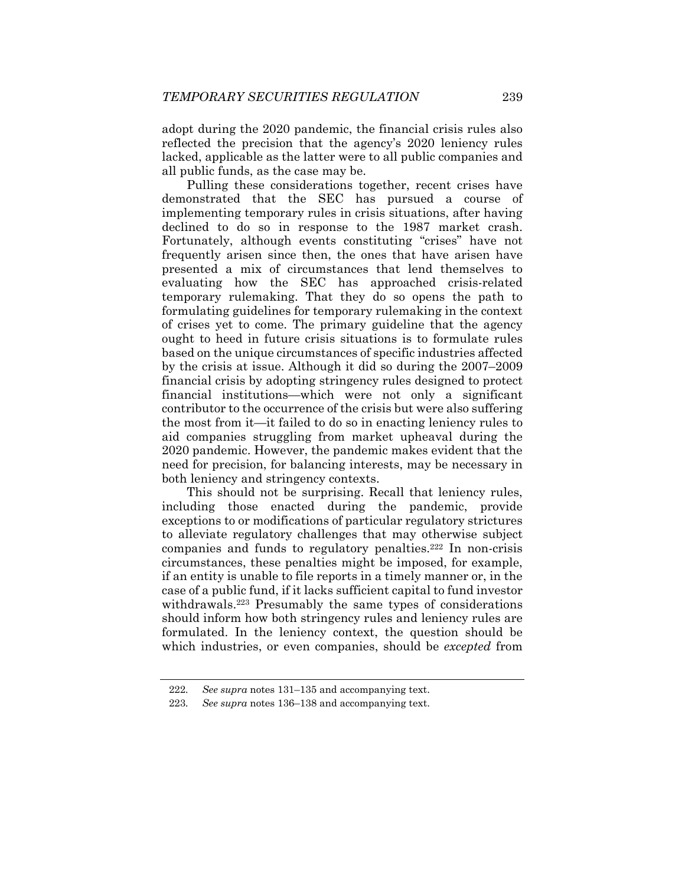adopt during the 2020 pandemic, the financial crisis rules also reflected the precision that the agency's 2020 leniency rules lacked, applicable as the latter were to all public companies and all public funds, as the case may be.

Pulling these considerations together, recent crises have demonstrated that the SEC has pursued a course of implementing temporary rules in crisis situations, after having declined to do so in response to the 1987 market crash. Fortunately, although events constituting "crises" have not frequently arisen since then, the ones that have arisen have presented a mix of circumstances that lend themselves to evaluating how the SEC has approached crisis-related temporary rulemaking. That they do so opens the path to formulating guidelines for temporary rulemaking in the context of crises yet to come. The primary guideline that the agency ought to heed in future crisis situations is to formulate rules based on the unique circumstances of specific industries affected by the crisis at issue. Although it did so during the 2007–2009 financial crisis by adopting stringency rules designed to protect financial institutions—which were not only a significant contributor to the occurrence of the crisis but were also suffering the most from it—it failed to do so in enacting leniency rules to aid companies struggling from market upheaval during the 2020 pandemic. However, the pandemic makes evident that the need for precision, for balancing interests, may be necessary in both leniency and stringency contexts.

This should not be surprising. Recall that leniency rules, including those enacted during the pandemic, provide exceptions to or modifications of particular regulatory strictures to alleviate regulatory challenges that may otherwise subject companies and funds to regulatory penalties.222 In non-crisis circumstances, these penalties might be imposed, for example, if an entity is unable to file reports in a timely manner or, in the case of a public fund, if it lacks sufficient capital to fund investor withdrawals.223 Presumably the same types of considerations should inform how both stringency rules and leniency rules are formulated. In the leniency context, the question should be which industries, or even companies, should be *excepted* from

<sup>222</sup>*. See supra* notes 131–135 and accompanying text.

<sup>223</sup>*. See supra* notes 136–138 and accompanying text.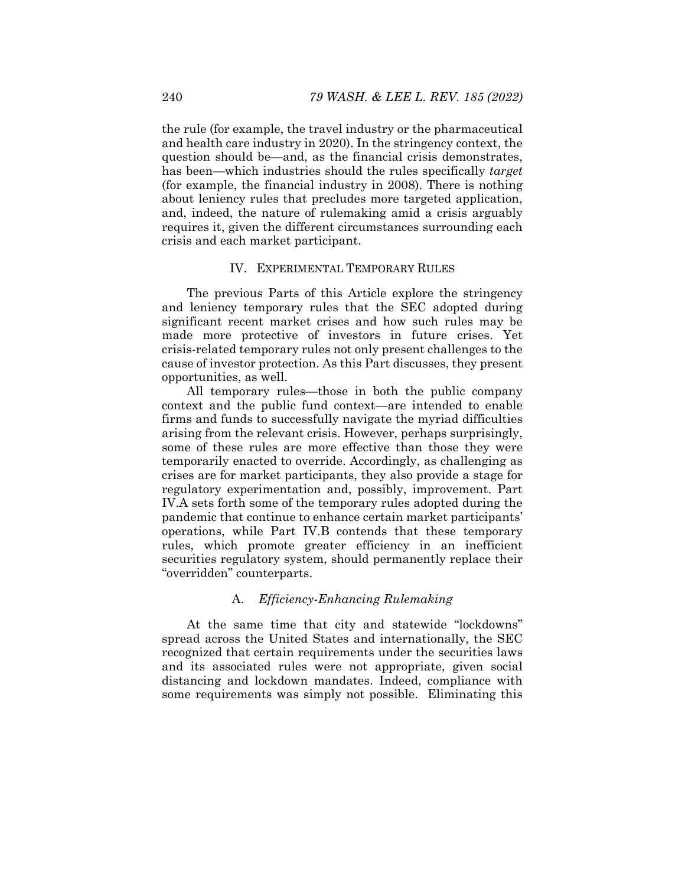the rule (for example, the travel industry or the pharmaceutical and health care industry in 2020). In the stringency context, the question should be—and, as the financial crisis demonstrates, has been—which industries should the rules specifically *target* (for example, the financial industry in 2008). There is nothing about leniency rules that precludes more targeted application, and, indeed, the nature of rulemaking amid a crisis arguably requires it, given the different circumstances surrounding each crisis and each market participant.

## IV. EXPERIMENTAL TEMPORARY RULES

The previous Parts of this Article explore the stringency and leniency temporary rules that the SEC adopted during significant recent market crises and how such rules may be made more protective of investors in future crises. Yet crisis-related temporary rules not only present challenges to the cause of investor protection. As this Part discusses, they present opportunities, as well.

All temporary rules—those in both the public company context and the public fund context—are intended to enable firms and funds to successfully navigate the myriad difficulties arising from the relevant crisis. However, perhaps surprisingly, some of these rules are more effective than those they were temporarily enacted to override. Accordingly, as challenging as crises are for market participants, they also provide a stage for regulatory experimentation and, possibly, improvement. Part IV.A sets forth some of the temporary rules adopted during the pandemic that continue to enhance certain market participants' operations, while Part IV.B contends that these temporary rules, which promote greater efficiency in an inefficient securities regulatory system, should permanently replace their "overridden" counterparts.

# A. *Efficiency-Enhancing Rulemaking*

At the same time that city and statewide "lockdowns" spread across the United States and internationally, the SEC recognized that certain requirements under the securities laws and its associated rules were not appropriate, given social distancing and lockdown mandates. Indeed, compliance with some requirements was simply not possible. Eliminating this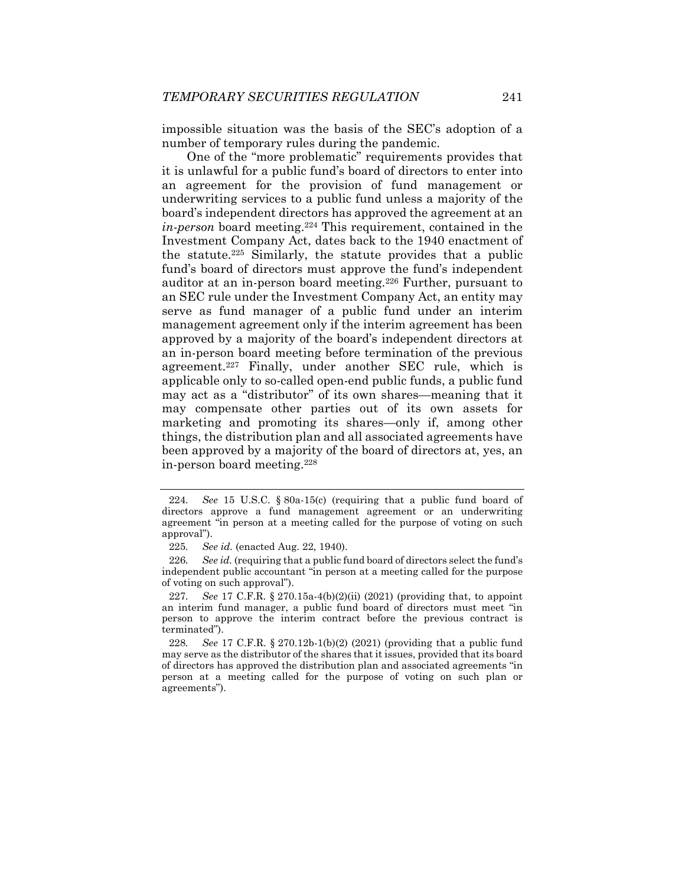impossible situation was the basis of the SEC's adoption of a number of temporary rules during the pandemic.

One of the "more problematic" requirements provides that it is unlawful for a public fund's board of directors to enter into an agreement for the provision of fund management or underwriting services to a public fund unless a majority of the board's independent directors has approved the agreement at an *in-person* board meeting.224 This requirement, contained in the Investment Company Act, dates back to the 1940 enactment of the statute.225 Similarly, the statute provides that a public fund's board of directors must approve the fund's independent auditor at an in-person board meeting.226 Further, pursuant to an SEC rule under the Investment Company Act, an entity may serve as fund manager of a public fund under an interim management agreement only if the interim agreement has been approved by a majority of the board's independent directors at an in-person board meeting before termination of the previous agreement.227 Finally, under another SEC rule, which is applicable only to so-called open-end public funds, a public fund may act as a "distributor" of its own shares—meaning that it may compensate other parties out of its own assets for marketing and promoting its shares—only if, among other things, the distribution plan and all associated agreements have been approved by a majority of the board of directors at, yes, an in-person board meeting.228

<sup>224</sup>*. See* 15 U.S.C. § 80a-15(c) (requiring that a public fund board of directors approve a fund management agreement or an underwriting agreement "in person at a meeting called for the purpose of voting on such approval").

<sup>225</sup>*. See id.* (enacted Aug. 22, 1940).

<sup>226</sup>*. See id.* (requiring that a public fund board of directors select the fund's independent public accountant "in person at a meeting called for the purpose of voting on such approval").

<sup>227</sup>*. See* 17 C.F.R. § 270.15a-4(b)(2)(ii) (2021) (providing that, to appoint an interim fund manager, a public fund board of directors must meet "in person to approve the interim contract before the previous contract is terminated").

<sup>228</sup>*. See* 17 C.F.R. § 270.12b-1(b)(2) (2021) (providing that a public fund may serve as the distributor of the shares that it issues, provided that its board of directors has approved the distribution plan and associated agreements "in person at a meeting called for the purpose of voting on such plan or agreements").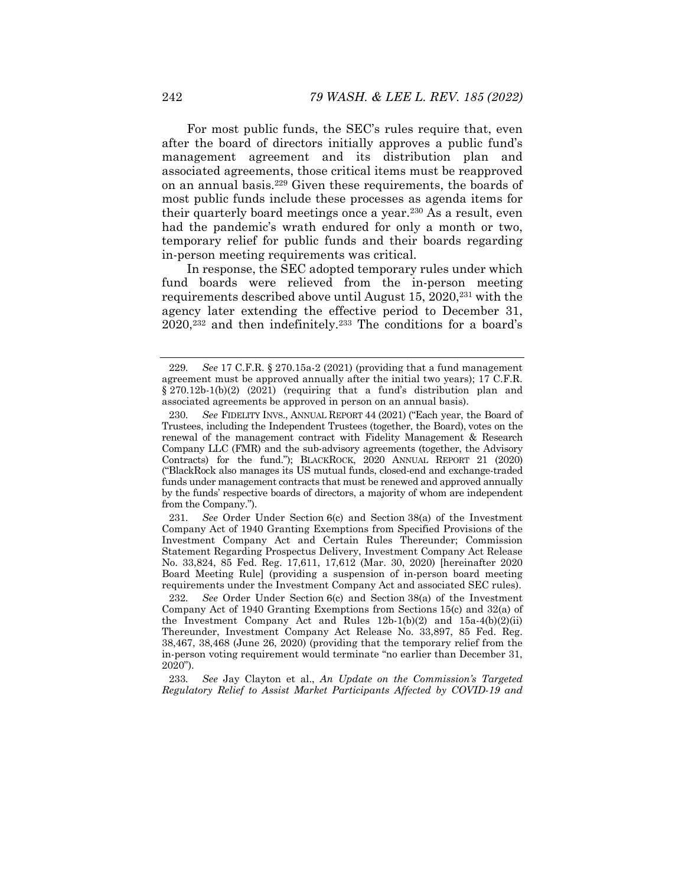For most public funds, the SEC's rules require that, even after the board of directors initially approves a public fund's management agreement and its distribution plan and associated agreements, those critical items must be reapproved on an annual basis.229 Given these requirements, the boards of most public funds include these processes as agenda items for their quarterly board meetings once a year.230 As a result, even had the pandemic's wrath endured for only a month or two, temporary relief for public funds and their boards regarding in-person meeting requirements was critical.

In response, the SEC adopted temporary rules under which fund boards were relieved from the in-person meeting requirements described above until August 15, 2020,<sup>231</sup> with the agency later extending the effective period to December 31, 2020,232 and then indefinitely.233 The conditions for a board's

231*. See* Order Under Section 6(c) and Section 38(a) of the Investment Company Act of 1940 Granting Exemptions from Specified Provisions of the Investment Company Act and Certain Rules Thereunder; Commission Statement Regarding Prospectus Delivery, Investment Company Act Release No. 33,824, 85 Fed. Reg. 17,611, 17,612 (Mar. 30, 2020) [hereinafter 2020 Board Meeting Rule] (providing a suspension of in-person board meeting requirements under the Investment Company Act and associated SEC rules).

<sup>229</sup>*. See* 17 C.F.R. § 270.15a-2 (2021) (providing that a fund management agreement must be approved annually after the initial two years); 17 C.F.R. § 270.12b-1(b)(2) (2021) (requiring that a fund's distribution plan and associated agreements be approved in person on an annual basis).

<sup>230</sup>*. See* FIDELITY INVS., ANNUAL REPORT 44 (2021) ("Each year, the Board of Trustees, including the Independent Trustees (together, the Board), votes on the renewal of the management contract with Fidelity Management & Research Company LLC (FMR) and the sub-advisory agreements (together, the Advisory Contracts) for the fund."); BLACKROCK, 2020 ANNUAL REPORT 21 (2020) ("BlackRock also manages its US mutual funds, closed-end and exchange-traded funds under management contracts that must be renewed and approved annually by the funds' respective boards of directors, a majority of whom are independent from the Company.").

<sup>232</sup>*. See* Order Under Section 6(c) and Section 38(a) of the Investment Company Act of 1940 Granting Exemptions from Sections 15(c) and 32(a) of the Investment Company Act and Rules 12b-1(b)(2) and 15a-4(b)(2)(ii) Thereunder, Investment Company Act Release No. 33,897, 85 Fed. Reg. 38,467, 38,468 (June 26, 2020) (providing that the temporary relief from the in-person voting requirement would terminate "no earlier than December 31,  $20\overline{2}0"$ ).

<sup>233</sup>*. See* Jay Clayton et al., *An Update on the Commission's Targeted Regulatory Relief to Assist Market Participants Affected by COVID-19 and*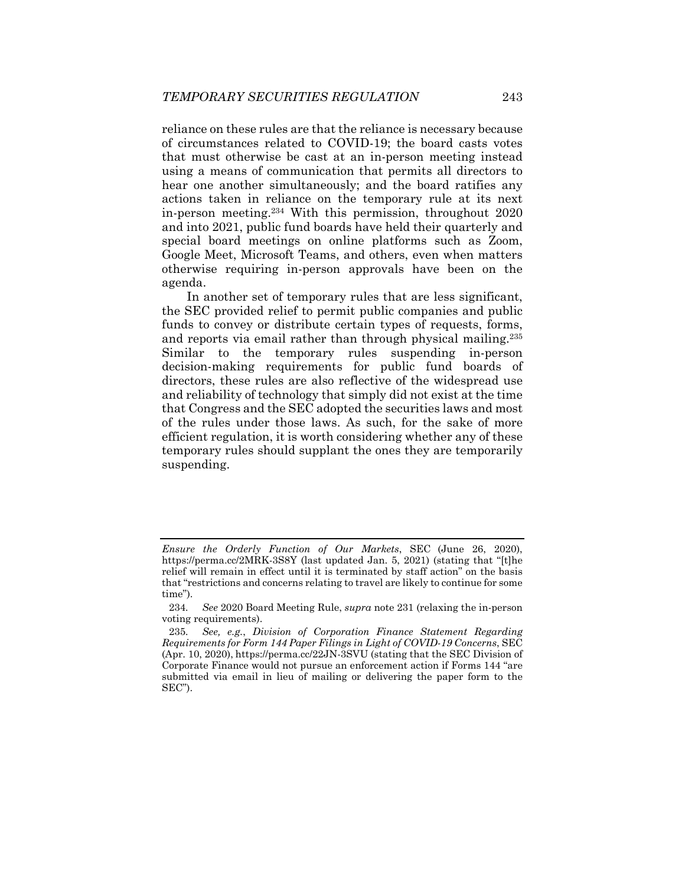reliance on these rules are that the reliance is necessary because of circumstances related to COVID-19; the board casts votes that must otherwise be cast at an in-person meeting instead using a means of communication that permits all directors to hear one another simultaneously; and the board ratifies any actions taken in reliance on the temporary rule at its next in-person meeting.234 With this permission, throughout 2020 and into 2021, public fund boards have held their quarterly and special board meetings on online platforms such as Zoom, Google Meet, Microsoft Teams, and others, even when matters otherwise requiring in-person approvals have been on the agenda.

In another set of temporary rules that are less significant, the SEC provided relief to permit public companies and public funds to convey or distribute certain types of requests, forms, and reports via email rather than through physical mailing.235 Similar to the temporary rules suspending in-person decision-making requirements for public fund boards of directors, these rules are also reflective of the widespread use and reliability of technology that simply did not exist at the time that Congress and the SEC adopted the securities laws and most of the rules under those laws. As such, for the sake of more efficient regulation, it is worth considering whether any of these temporary rules should supplant the ones they are temporarily suspending.

*Ensure the Orderly Function of Our Markets*, SEC (June 26, 2020), https://perma.cc/2MRK-3S8Y (last updated Jan. 5, 2021) (stating that "[t]he relief will remain in effect until it is terminated by staff action" on the basis that "restrictions and concerns relating to travel are likely to continue for some time").

<sup>234</sup>*. See* 2020 Board Meeting Rule, *supra* note 231 (relaxing the in-person voting requirements).

<sup>235</sup>*. See, e.g.*, *Division of Corporation Finance Statement Regarding Requirements for Form 144 Paper Filings in Light of COVID-19 Concerns*, SEC (Apr. 10, 2020), https://perma.cc/22JN-3SVU (stating that the SEC Division of Corporate Finance would not pursue an enforcement action if Forms 144 "are submitted via email in lieu of mailing or delivering the paper form to the SEC").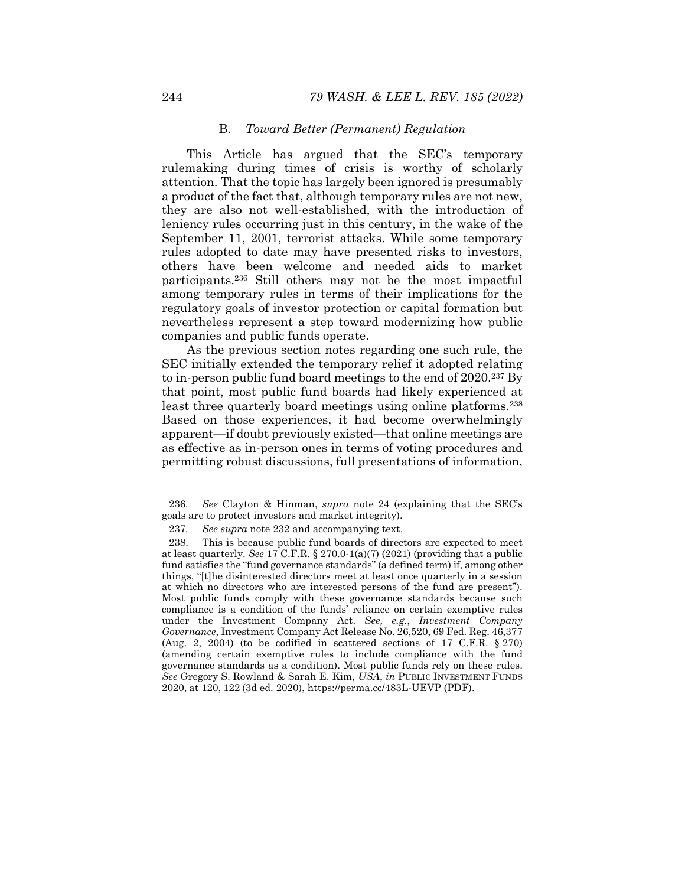# B. *Toward Better (Permanent) Regulation*

This Article has argued that the SEC's temporary rulemaking during times of crisis is worthy of scholarly attention. That the topic has largely been ignored is presumably a product of the fact that, although temporary rules are not new, they are also not well-established, with the introduction of leniency rules occurring just in this century, in the wake of the September 11, 2001, terrorist attacks. While some temporary rules adopted to date may have presented risks to investors, others have been welcome and needed aids to market participants.236 Still others may not be the most impactful among temporary rules in terms of their implications for the regulatory goals of investor protection or capital formation but nevertheless represent a step toward modernizing how public companies and public funds operate.

As the previous section notes regarding one such rule, the SEC initially extended the temporary relief it adopted relating to in-person public fund board meetings to the end of 2020.237 By that point, most public fund boards had likely experienced at least three quarterly board meetings using online platforms.<sup>238</sup> Based on those experiences, it had become overwhelmingly apparent—if doubt previously existed—that online meetings are as effective as in-person ones in terms of voting procedures and permitting robust discussions, full presentations of information,

<sup>236</sup>*. See* Clayton & Hinman, *supra* note 24 (explaining that the SEC's goals are to protect investors and market integrity).

<sup>237</sup>*. See supra* note 232 and accompanying text.

 <sup>238.</sup> This is because public fund boards of directors are expected to meet at least quarterly. *See* 17 C.F.R. § 270.0-1(a)(7) (2021) (providing that a public fund satisfies the "fund governance standards" (a defined term) if, among other things, "[t]he disinterested directors meet at least once quarterly in a session at which no directors who are interested persons of the fund are present"). Most public funds comply with these governance standards because such compliance is a condition of the funds' reliance on certain exemptive rules under the Investment Company Act. *See, e.g.*, *Investment Company Governance*, Investment Company Act Release No. 26,520, 69 Fed. Reg. 46,377 (Aug. 2, 2004) (to be codified in scattered sections of 17 C.F.R. § 270) (amending certain exemptive rules to include compliance with the fund governance standards as a condition). Most public funds rely on these rules. *See* Gregory S. Rowland & Sarah E. Kim, *USA*, *in* PUBLIC INVESTMENT FUNDS 2020, at 120, 122 (3d ed. 2020), https://perma.cc/483L-UEVP (PDF).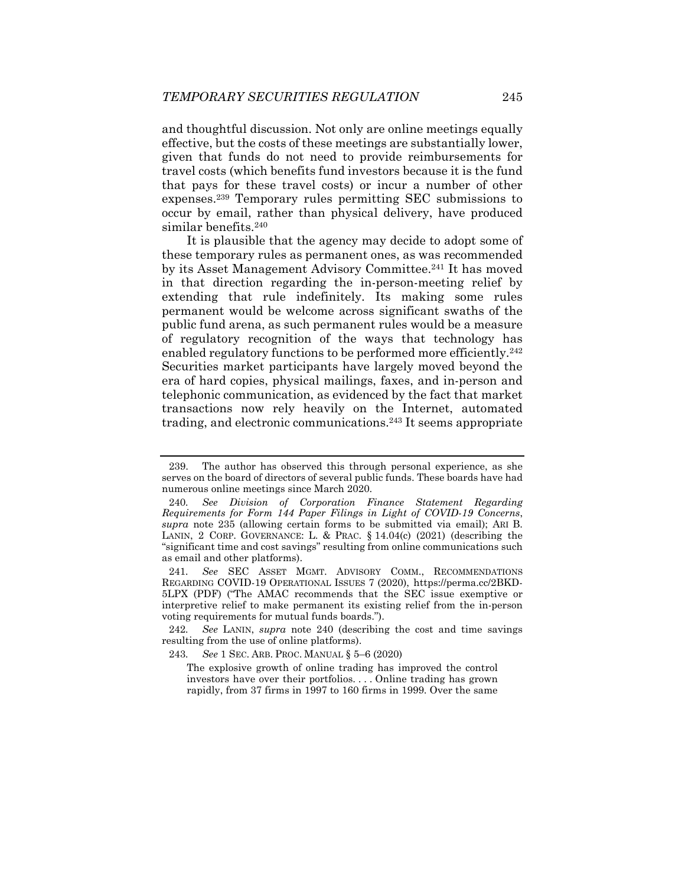and thoughtful discussion. Not only are online meetings equally effective, but the costs of these meetings are substantially lower, given that funds do not need to provide reimbursements for travel costs (which benefits fund investors because it is the fund that pays for these travel costs) or incur a number of other expenses.239 Temporary rules permitting SEC submissions to occur by email, rather than physical delivery, have produced similar benefits.<sup>240</sup>

It is plausible that the agency may decide to adopt some of these temporary rules as permanent ones, as was recommended by its Asset Management Advisory Committee.241 It has moved in that direction regarding the in-person-meeting relief by extending that rule indefinitely. Its making some rules permanent would be welcome across significant swaths of the public fund arena, as such permanent rules would be a measure of regulatory recognition of the ways that technology has enabled regulatory functions to be performed more efficiently.<sup>242</sup> Securities market participants have largely moved beyond the era of hard copies, physical mailings, faxes, and in-person and telephonic communication, as evidenced by the fact that market transactions now rely heavily on the Internet, automated trading, and electronic communications.243 It seems appropriate

 <sup>239.</sup> The author has observed this through personal experience, as she serves on the board of directors of several public funds. These boards have had numerous online meetings since March 2020.

<sup>240</sup>*. See Division of Corporation Finance Statement Regarding Requirements for Form 144 Paper Filings in Light of COVID-19 Concerns*, *supra* note 235 (allowing certain forms to be submitted via email); ARI B. LANIN, 2 CORP. GOVERNANCE: L. & PRAC. § 14.04(c) (2021) (describing the "significant time and cost savings" resulting from online communications such as email and other platforms).

<sup>241</sup>*. See* SEC ASSET MGMT. ADVISORY COMM., RECOMMENDATIONS REGARDING COVID-19 OPERATIONAL ISSUES 7 (2020), https://perma.cc/2BKD-5LPX (PDF) ("The AMAC recommends that the SEC issue exemptive or interpretive relief to make permanent its existing relief from the in-person voting requirements for mutual funds boards.").

<sup>242</sup>*. See* LANIN, *supra* note 240 (describing the cost and time savings resulting from the use of online platforms).

<sup>243</sup>*. See* 1 SEC. ARB. PROC. MANUAL § 5–6 (2020)

The explosive growth of online trading has improved the control investors have over their portfolios. . . . Online trading has grown rapidly, from 37 firms in 1997 to 160 firms in 1999. Over the same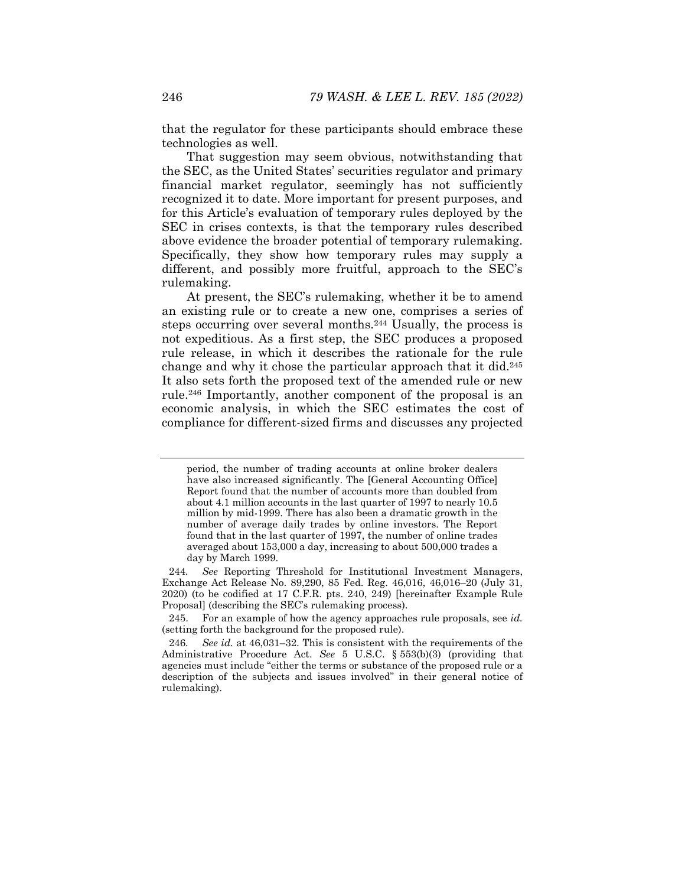that the regulator for these participants should embrace these technologies as well.

That suggestion may seem obvious, notwithstanding that the SEC, as the United States' securities regulator and primary financial market regulator, seemingly has not sufficiently recognized it to date. More important for present purposes, and for this Article's evaluation of temporary rules deployed by the SEC in crises contexts, is that the temporary rules described above evidence the broader potential of temporary rulemaking. Specifically, they show how temporary rules may supply a different, and possibly more fruitful, approach to the SEC's rulemaking.

At present, the SEC's rulemaking, whether it be to amend an existing rule or to create a new one, comprises a series of steps occurring over several months.244 Usually, the process is not expeditious. As a first step, the SEC produces a proposed rule release, in which it describes the rationale for the rule change and why it chose the particular approach that it did.245 It also sets forth the proposed text of the amended rule or new rule.246 Importantly, another component of the proposal is an economic analysis, in which the SEC estimates the cost of compliance for different-sized firms and discusses any projected

period, the number of trading accounts at online broker dealers have also increased significantly. The [General Accounting Office] Report found that the number of accounts more than doubled from about 4.1 million accounts in the last quarter of 1997 to nearly 10.5 million by mid-1999. There has also been a dramatic growth in the number of average daily trades by online investors. The Report found that in the last quarter of 1997, the number of online trades averaged about 153,000 a day, increasing to about 500,000 trades a day by March 1999.

<sup>244</sup>*. See* Reporting Threshold for Institutional Investment Managers, Exchange Act Release No. 89,290, 85 Fed. Reg. 46,016, 46,016–20 (July 31, 2020) (to be codified at 17 C.F.R. pts. 240, 249) [hereinafter Example Rule Proposal] (describing the SEC's rulemaking process).

 <sup>245.</sup> For an example of how the agency approaches rule proposals, see *id.* (setting forth the background for the proposed rule).

<sup>246</sup>*. See id.* at 46,031–32. This is consistent with the requirements of the Administrative Procedure Act. *See* 5 U.S.C. § 553(b)(3) (providing that agencies must include "either the terms or substance of the proposed rule or a description of the subjects and issues involved" in their general notice of rulemaking).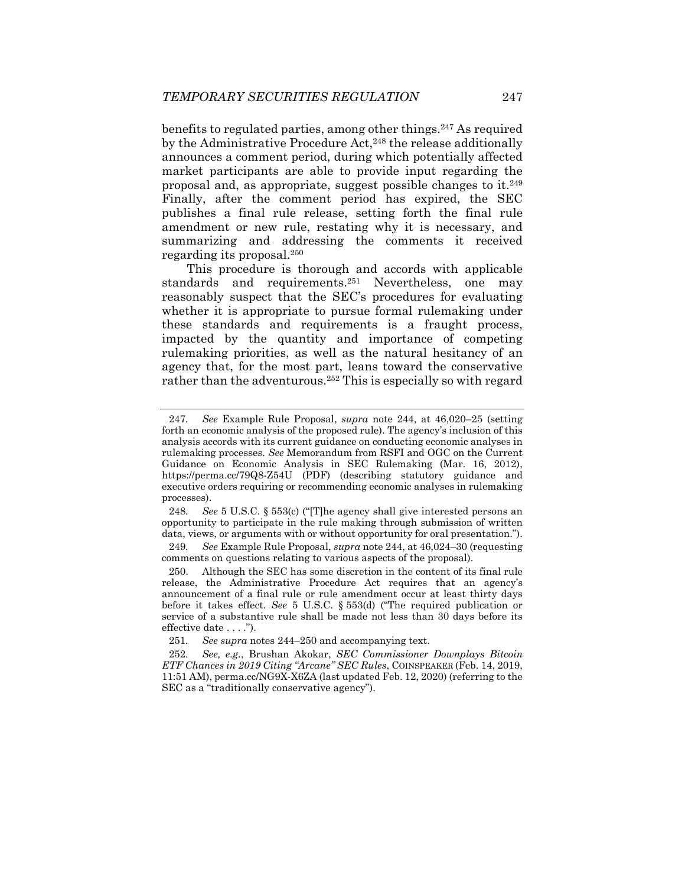benefits to regulated parties, among other things.247 As required by the Administrative Procedure Act,<sup>248</sup> the release additionally announces a comment period, during which potentially affected market participants are able to provide input regarding the proposal and, as appropriate, suggest possible changes to it.249 Finally, after the comment period has expired, the SEC publishes a final rule release, setting forth the final rule amendment or new rule, restating why it is necessary, and summarizing and addressing the comments it received regarding its proposal.250

This procedure is thorough and accords with applicable standards and requirements.251 Nevertheless, one may reasonably suspect that the SEC's procedures for evaluating whether it is appropriate to pursue formal rulemaking under these standards and requirements is a fraught process, impacted by the quantity and importance of competing rulemaking priorities, as well as the natural hesitancy of an agency that, for the most part, leans toward the conservative rather than the adventurous.252 This is especially so with regard

248*. See* 5 U.S.C. § 553(c) ("[T]he agency shall give interested persons an opportunity to participate in the rule making through submission of written data, views, or arguments with or without opportunity for oral presentation.").

249*. See* Example Rule Proposal, *supra* note 244, at 46,024–30 (requesting comments on questions relating to various aspects of the proposal).

 250. Although the SEC has some discretion in the content of its final rule release, the Administrative Procedure Act requires that an agency's announcement of a final rule or rule amendment occur at least thirty days before it takes effect. *See* 5 U.S.C. § 553(d) ("The required publication or service of a substantive rule shall be made not less than 30 days before its effective date . . . .").

<sup>247</sup>*. See* Example Rule Proposal, *supra* note 244, at 46,020–25 (setting forth an economic analysis of the proposed rule). The agency's inclusion of this analysis accords with its current guidance on conducting economic analyses in rulemaking processes*. See* Memorandum from RSFI and OGC on the Current Guidance on Economic Analysis in SEC Rulemaking (Mar. 16, 2012), https://perma.cc/79Q8-Z54U (PDF) (describing statutory guidance and executive orders requiring or recommending economic analyses in rulemaking processes).

<sup>251</sup>*. See supra* notes 244–250 and accompanying text.

<sup>252</sup>*. See, e.g.*, Brushan Akokar, *SEC Commissioner Downplays Bitcoin ETF Chances in 2019 Citing "Arcane" SEC Rules*, COINSPEAKER (Feb. 14, 2019, 11:51 AM), perma.cc/NG9X-X6ZA (last updated Feb. 12, 2020) (referring to the SEC as a "traditionally conservative agency").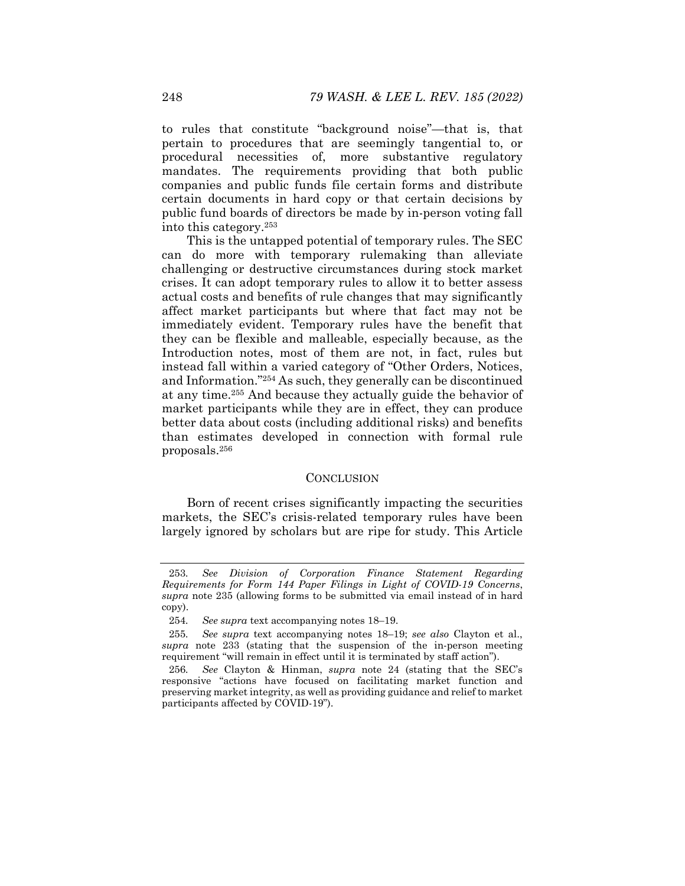to rules that constitute "background noise"—that is, that pertain to procedures that are seemingly tangential to, or procedural necessities of, more substantive regulatory mandates. The requirements providing that both public companies and public funds file certain forms and distribute certain documents in hard copy or that certain decisions by public fund boards of directors be made by in-person voting fall into this category.253

This is the untapped potential of temporary rules. The SEC can do more with temporary rulemaking than alleviate challenging or destructive circumstances during stock market crises. It can adopt temporary rules to allow it to better assess actual costs and benefits of rule changes that may significantly affect market participants but where that fact may not be immediately evident. Temporary rules have the benefit that they can be flexible and malleable, especially because, as the Introduction notes, most of them are not, in fact, rules but instead fall within a varied category of "Other Orders, Notices, and Information."254 As such, they generally can be discontinued at any time.255 And because they actually guide the behavior of market participants while they are in effect, they can produce better data about costs (including additional risks) and benefits than estimates developed in connection with formal rule proposals.256

### **CONCLUSION**

Born of recent crises significantly impacting the securities markets, the SEC's crisis-related temporary rules have been largely ignored by scholars but are ripe for study. This Article

<sup>253</sup>*. See Division of Corporation Finance Statement Regarding Requirements for Form 144 Paper Filings in Light of COVID-19 Concerns*, *supra* note 235 (allowing forms to be submitted via email instead of in hard copy).

<sup>254</sup>*. See supra* text accompanying notes 18–19.

<sup>255</sup>*. See supra* text accompanying notes 18–19; *see also* Clayton et al., *supra* note 233 (stating that the suspension of the in-person meeting requirement "will remain in effect until it is terminated by staff action").

<sup>256</sup>*. See* Clayton & Hinman, *supra* note 24 (stating that the SEC's responsive "actions have focused on facilitating market function and preserving market integrity, as well as providing guidance and relief to market participants affected by COVID-19").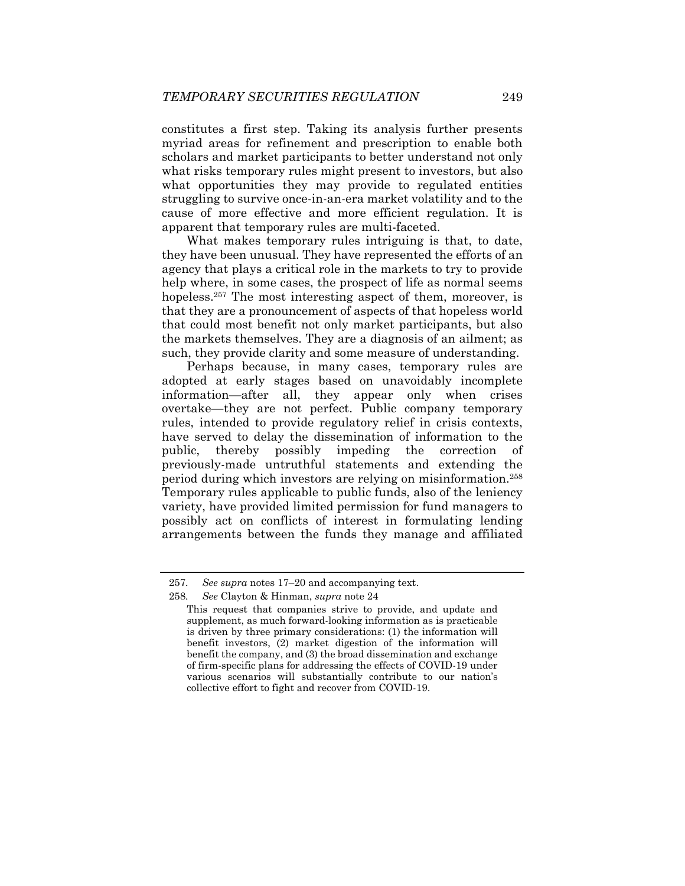constitutes a first step. Taking its analysis further presents myriad areas for refinement and prescription to enable both scholars and market participants to better understand not only what risks temporary rules might present to investors, but also what opportunities they may provide to regulated entities struggling to survive once-in-an-era market volatility and to the cause of more effective and more efficient regulation. It is apparent that temporary rules are multi-faceted.

What makes temporary rules intriguing is that, to date, they have been unusual. They have represented the efforts of an agency that plays a critical role in the markets to try to provide help where, in some cases, the prospect of life as normal seems hopeless.<sup>257</sup> The most interesting aspect of them, moreover, is that they are a pronouncement of aspects of that hopeless world that could most benefit not only market participants, but also the markets themselves. They are a diagnosis of an ailment; as such, they provide clarity and some measure of understanding.

Perhaps because, in many cases, temporary rules are adopted at early stages based on unavoidably incomplete information—after all, they appear only when crises overtake—they are not perfect. Public company temporary rules, intended to provide regulatory relief in crisis contexts, have served to delay the dissemination of information to the public, thereby possibly impeding the correction of previously-made untruthful statements and extending the period during which investors are relying on misinformation.258 Temporary rules applicable to public funds, also of the leniency variety, have provided limited permission for fund managers to possibly act on conflicts of interest in formulating lending arrangements between the funds they manage and affiliated

<sup>257</sup>*. See supra* notes 17–20 and accompanying text.

<sup>258</sup>*. See* Clayton & Hinman, *supra* note 24

This request that companies strive to provide, and update and supplement, as much forward-looking information as is practicable is driven by three primary considerations: (1) the information will benefit investors, (2) market digestion of the information will benefit the company, and (3) the broad dissemination and exchange of firm-specific plans for addressing the effects of COVID-19 under various scenarios will substantially contribute to our nation's collective effort to fight and recover from COVID-19.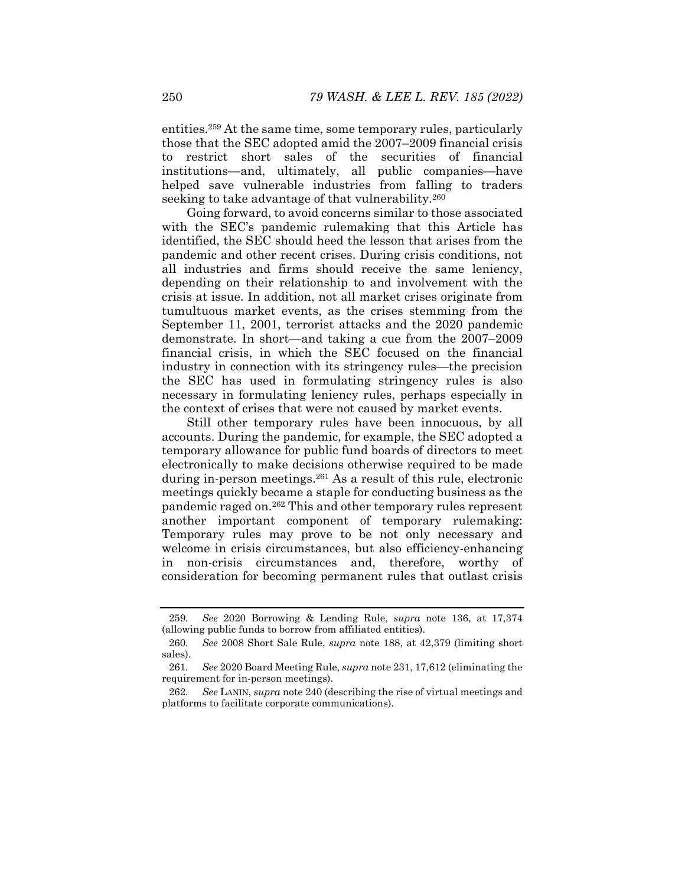entities.259 At the same time, some temporary rules, particularly those that the SEC adopted amid the 2007–2009 financial crisis to restrict short sales of the securities of financial institutions—and, ultimately, all public companies—have helped save vulnerable industries from falling to traders seeking to take advantage of that vulnerability.<sup>260</sup>

Going forward, to avoid concerns similar to those associated with the SEC's pandemic rulemaking that this Article has identified, the SEC should heed the lesson that arises from the pandemic and other recent crises. During crisis conditions, not all industries and firms should receive the same leniency, depending on their relationship to and involvement with the crisis at issue. In addition, not all market crises originate from tumultuous market events, as the crises stemming from the September 11, 2001, terrorist attacks and the 2020 pandemic demonstrate. In short—and taking a cue from the 2007–2009 financial crisis, in which the SEC focused on the financial industry in connection with its stringency rules—the precision the SEC has used in formulating stringency rules is also necessary in formulating leniency rules, perhaps especially in the context of crises that were not caused by market events.

Still other temporary rules have been innocuous, by all accounts. During the pandemic, for example, the SEC adopted a temporary allowance for public fund boards of directors to meet electronically to make decisions otherwise required to be made during in-person meetings.261 As a result of this rule, electronic meetings quickly became a staple for conducting business as the pandemic raged on.262 This and other temporary rules represent another important component of temporary rulemaking: Temporary rules may prove to be not only necessary and welcome in crisis circumstances, but also efficiency-enhancing in non-crisis circumstances and, therefore, worthy of consideration for becoming permanent rules that outlast crisis

<sup>259</sup>*. See* 2020 Borrowing & Lending Rule, *supra* note 136, at 17,374 (allowing public funds to borrow from affiliated entities).

<sup>260</sup>*. See* 2008 Short Sale Rule, *supra* note 188, at 42,379 (limiting short sales).

<sup>261</sup>*. See* 2020 Board Meeting Rule, *supra* note 231, 17,612 (eliminating the requirement for in-person meetings).

<sup>262</sup>*. See* LANIN, *supra* note 240 (describing the rise of virtual meetings and platforms to facilitate corporate communications).